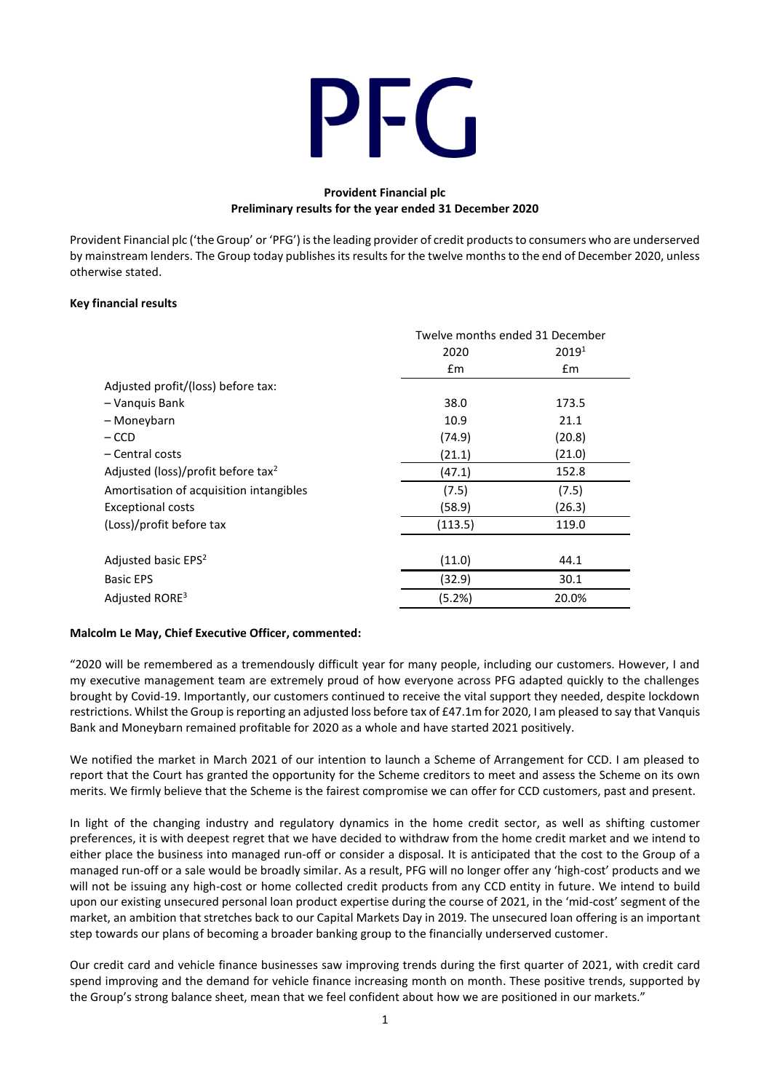# PFG

# **Provident Financial plc Preliminary results for the year ended 31 December 2020**

Provident Financial plc ('the Group' or 'PFG') is the leading provider of credit products to consumers who are underserved by mainstream lenders. The Group today publishes its results for the twelve months to the end of December 2020, unless otherwise stated.

## **Key financial results**

|                                                | Twelve months ended 31 December |                   |  |
|------------------------------------------------|---------------------------------|-------------------|--|
|                                                | 2020                            | 2019 <sup>1</sup> |  |
|                                                | $\mathsf{fm}$                   | £m                |  |
| Adjusted profit/(loss) before tax:             |                                 |                   |  |
| - Vanquis Bank                                 | 38.0                            | 173.5             |  |
| – Moneybarn                                    | 10.9                            | 21.1              |  |
| $-$ CCD                                        | (74.9)                          | (20.8)            |  |
| – Central costs                                | (21.1)                          | (21.0)            |  |
| Adjusted (loss)/profit before tax <sup>2</sup> | (47.1)                          | 152.8             |  |
| Amortisation of acquisition intangibles        | (7.5)                           | (7.5)             |  |
| <b>Exceptional costs</b>                       | (58.9)                          | (26.3)            |  |
| (Loss)/profit before tax                       | (113.5)<br>119.0                |                   |  |
|                                                |                                 |                   |  |
| Adjusted basic EPS <sup>2</sup>                | (11.0)                          | 44.1              |  |
| <b>Basic EPS</b>                               | (32.9)                          | 30.1              |  |
| Adjusted RORE <sup>3</sup>                     | (5.2%)<br>20.0%                 |                   |  |

## **Malcolm Le May, Chief Executive Officer, commented:**

"2020 will be remembered as a tremendously difficult year for many people, including our customers. However, I and my executive management team are extremely proud of how everyone across PFG adapted quickly to the challenges brought by Covid-19. Importantly, our customers continued to receive the vital support they needed, despite lockdown restrictions. Whilst the Group isreporting an adjusted loss before tax of £47.1m for 2020, I am pleased to say that Vanquis Bank and Moneybarn remained profitable for 2020 as a whole and have started 2021 positively.

We notified the market in March 2021 of our intention to launch a Scheme of Arrangement for CCD. I am pleased to report that the Court has granted the opportunity for the Scheme creditors to meet and assess the Scheme on its own merits. We firmly believe that the Scheme is the fairest compromise we can offer for CCD customers, past and present.

In light of the changing industry and regulatory dynamics in the home credit sector, as well as shifting customer preferences, it is with deepest regret that we have decided to withdraw from the home credit market and we intend to either place the business into managed run-off or consider a disposal. It is anticipated that the cost to the Group of a managed run-off or a sale would be broadly similar. As a result, PFG will no longer offer any 'high-cost' products and we will not be issuing any high-cost or home collected credit products from any CCD entity in future. We intend to build upon our existing unsecured personal loan product expertise during the course of 2021, in the 'mid-cost' segment of the market, an ambition that stretches back to our Capital Markets Day in 2019. The unsecured loan offering is an important step towards our plans of becoming a broader banking group to the financially underserved customer.

Our credit card and vehicle finance businesses saw improving trends during the first quarter of 2021, with credit card spend improving and the demand for vehicle finance increasing month on month. These positive trends, supported by the Group's strong balance sheet, mean that we feel confident about how we are positioned in our markets."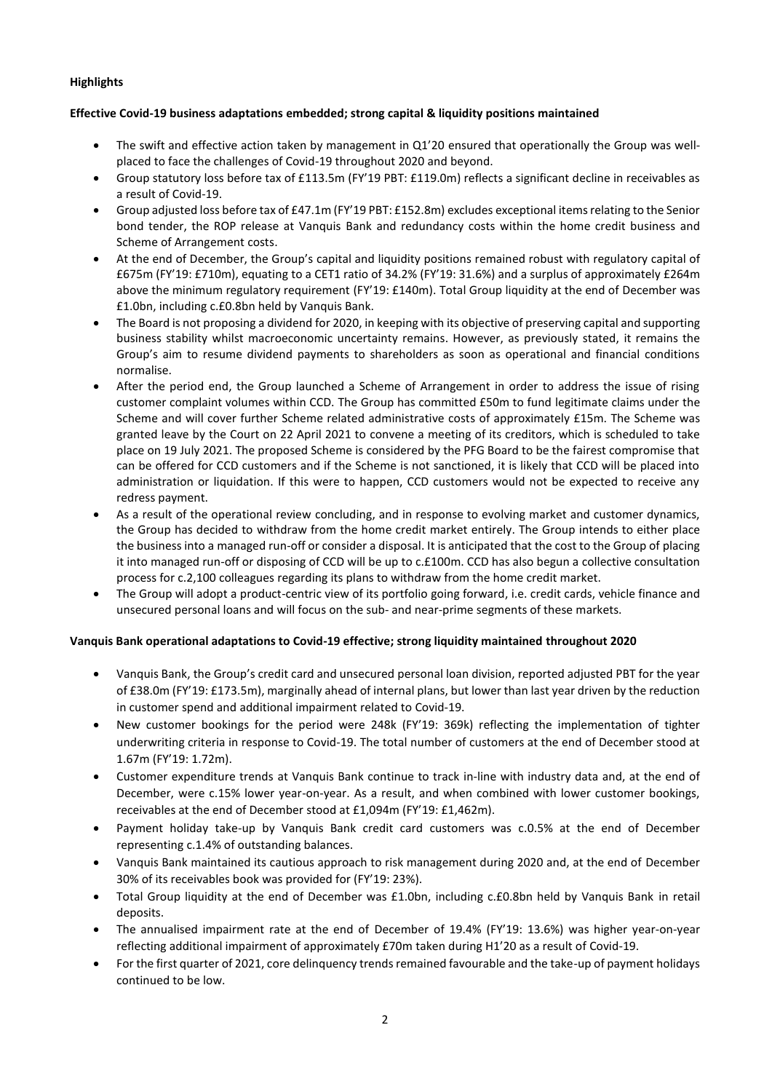# **Highlights**

# **Effective Covid-19 business adaptations embedded; strong capital & liquidity positions maintained**

- The swift and effective action taken by management in Q1'20 ensured that operationally the Group was wellplaced to face the challenges of Covid-19 throughout 2020 and beyond.
- Group statutory loss before tax of £113.5m (FY'19 PBT: £119.0m) reflects a significant decline in receivables as a result of Covid-19.
- Group adjusted loss before tax of £47.1m (FY'19 PBT: £152.8m) excludes exceptional items relating to the Senior bond tender, the ROP release at Vanquis Bank and redundancy costs within the home credit business and Scheme of Arrangement costs.
- At the end of December, the Group's capital and liquidity positions remained robust with regulatory capital of £675m (FY'19: £710m), equating to a CET1 ratio of 34.2% (FY'19: 31.6%) and a surplus of approximately £264m above the minimum regulatory requirement (FY'19: £140m). Total Group liquidity at the end of December was £1.0bn, including c.£0.8bn held by Vanquis Bank.
- The Board is not proposing a dividend for 2020, in keeping with its objective of preserving capital and supporting business stability whilst macroeconomic uncertainty remains. However, as previously stated, it remains the Group's aim to resume dividend payments to shareholders as soon as operational and financial conditions normalise.
- After the period end, the Group launched a Scheme of Arrangement in order to address the issue of rising customer complaint volumes within CCD. The Group has committed £50m to fund legitimate claims under the Scheme and will cover further Scheme related administrative costs of approximately £15m. The Scheme was granted leave by the Court on 22 April 2021 to convene a meeting of its creditors, which is scheduled to take place on 19 July 2021. The proposed Scheme is considered by the PFG Board to be the fairest compromise that can be offered for CCD customers and if the Scheme is not sanctioned, it is likely that CCD will be placed into administration or liquidation. If this were to happen, CCD customers would not be expected to receive any redress payment.
- As a result of the operational review concluding, and in response to evolving market and customer dynamics, the Group has decided to withdraw from the home credit market entirely. The Group intends to either place the business into a managed run-off or consider a disposal. It is anticipated that the cost to the Group of placing it into managed run-off or disposing of CCD will be up to c.£100m. CCD has also begun a collective consultation process for c.2,100 colleagues regarding its plans to withdraw from the home credit market.
- The Group will adopt a product-centric view of its portfolio going forward, i.e. credit cards, vehicle finance and unsecured personal loans and will focus on the sub- and near-prime segments of these markets.

## **Vanquis Bank operational adaptations to Covid-19 effective; strong liquidity maintained throughout 2020**

- Vanquis Bank, the Group's credit card and unsecured personal loan division, reported adjusted PBT for the year of £38.0m (FY'19: £173.5m), marginally ahead of internal plans, but lower than last year driven by the reduction in customer spend and additional impairment related to Covid-19.
- New customer bookings for the period were 248k (FY'19: 369k) reflecting the implementation of tighter underwriting criteria in response to Covid-19. The total number of customers at the end of December stood at 1.67m (FY'19: 1.72m).
- Customer expenditure trends at Vanquis Bank continue to track in-line with industry data and, at the end of December, were c.15% lower year-on-year. As a result, and when combined with lower customer bookings, receivables at the end of December stood at £1,094m (FY'19: £1,462m).
- Payment holiday take-up by Vanquis Bank credit card customers was c.0.5% at the end of December representing c.1.4% of outstanding balances.
- Vanquis Bank maintained its cautious approach to risk management during 2020 and, at the end of December 30% of its receivables book was provided for (FY'19: 23%).
- Total Group liquidity at the end of December was £1.0bn, including c.£0.8bn held by Vanquis Bank in retail deposits.
- The annualised impairment rate at the end of December of 19.4% (FY'19: 13.6%) was higher year-on-year reflecting additional impairment of approximately £70m taken during H1'20 as a result of Covid-19.
- For the first quarter of 2021, core delinquency trends remained favourable and the take-up of payment holidays continued to be low.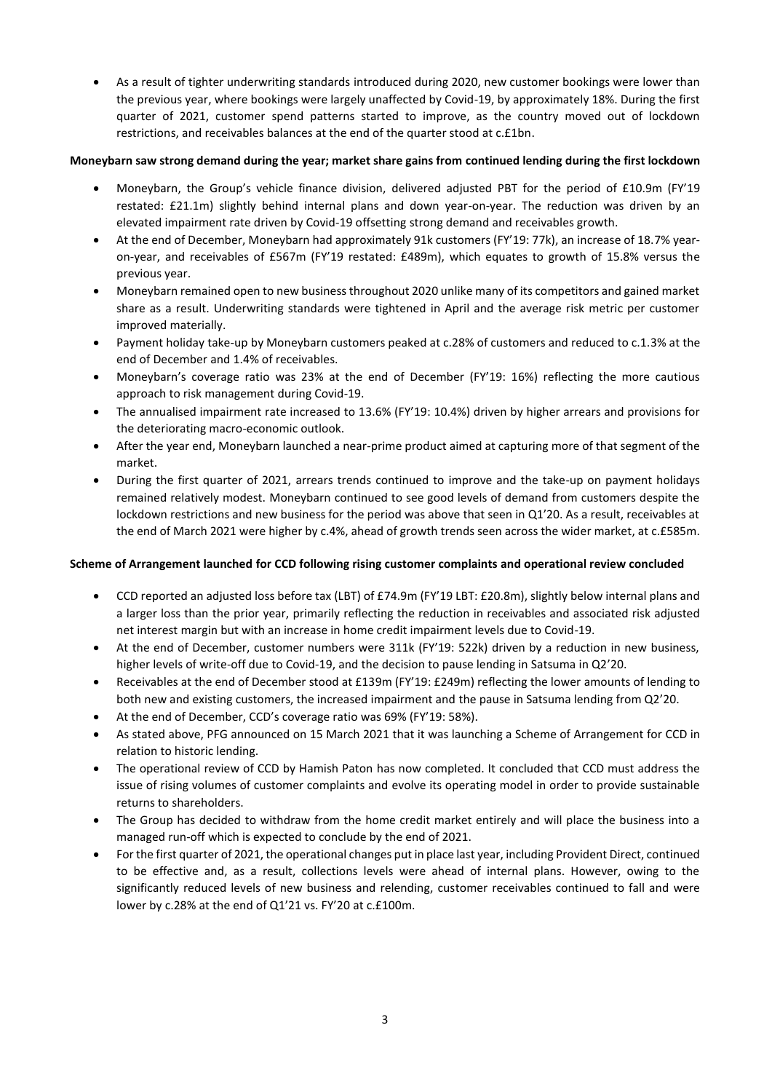• As a result of tighter underwriting standards introduced during 2020, new customer bookings were lower than the previous year, where bookings were largely unaffected by Covid-19, by approximately 18%. During the first quarter of 2021, customer spend patterns started to improve, as the country moved out of lockdown restrictions, and receivables balances at the end of the quarter stood at c.£1bn.

# **Moneybarn saw strong demand during the year; market share gains from continued lending during the first lockdown**

- Moneybarn, the Group's vehicle finance division, delivered adjusted PBT for the period of £10.9m (FY'19 restated: £21.1m) slightly behind internal plans and down year-on-year. The reduction was driven by an elevated impairment rate driven by Covid-19 offsetting strong demand and receivables growth.
- At the end of December, Moneybarn had approximately 91k customers (FY'19: 77k), an increase of 18.7% yearon-year, and receivables of £567m (FY'19 restated: £489m), which equates to growth of 15.8% versus the previous year.
- Moneybarn remained open to new business throughout 2020 unlike many of its competitors and gained market share as a result. Underwriting standards were tightened in April and the average risk metric per customer improved materially.
- Payment holiday take-up by Moneybarn customers peaked at c.28% of customers and reduced to c.1.3% at the end of December and 1.4% of receivables.
- Moneybarn's coverage ratio was 23% at the end of December (FY'19: 16%) reflecting the more cautious approach to risk management during Covid-19.
- The annualised impairment rate increased to 13.6% (FY'19: 10.4%) driven by higher arrears and provisions for the deteriorating macro-economic outlook.
- After the year end, Moneybarn launched a near-prime product aimed at capturing more of that segment of the market.
- During the first quarter of 2021, arrears trends continued to improve and the take-up on payment holidays remained relatively modest. Moneybarn continued to see good levels of demand from customers despite the lockdown restrictions and new business for the period was above that seen in Q1'20. As a result, receivables at the end of March 2021 were higher by c.4%, ahead of growth trends seen across the wider market, at c.£585m.

# **Scheme of Arrangement launched for CCD following rising customer complaints and operational review concluded**

- CCD reported an adjusted loss before tax (LBT) of £74.9m (FY'19 LBT: £20.8m), slightly below internal plans and a larger loss than the prior year, primarily reflecting the reduction in receivables and associated risk adjusted net interest margin but with an increase in home credit impairment levels due to Covid-19.
- At the end of December, customer numbers were 311k (FY'19: 522k) driven by a reduction in new business, higher levels of write-off due to Covid-19, and the decision to pause lending in Satsuma in Q2'20.
- Receivables at the end of December stood at £139m (FY'19: £249m) reflecting the lower amounts of lending to both new and existing customers, the increased impairment and the pause in Satsuma lending from Q2'20.
- At the end of December, CCD's coverage ratio was 69% (FY'19: 58%).
- As stated above, PFG announced on 15 March 2021 that it was launching a Scheme of Arrangement for CCD in relation to historic lending.
- The operational review of CCD by Hamish Paton has now completed. It concluded that CCD must address the issue of rising volumes of customer complaints and evolve its operating model in order to provide sustainable returns to shareholders.
- The Group has decided to withdraw from the home credit market entirely and will place the business into a managed run-off which is expected to conclude by the end of 2021.
- For the first quarter of 2021, the operational changes put in place last year, including Provident Direct, continued to be effective and, as a result, collections levels were ahead of internal plans. However, owing to the significantly reduced levels of new business and relending, customer receivables continued to fall and were lower by c.28% at the end of Q1'21 vs. FY'20 at c.£100m.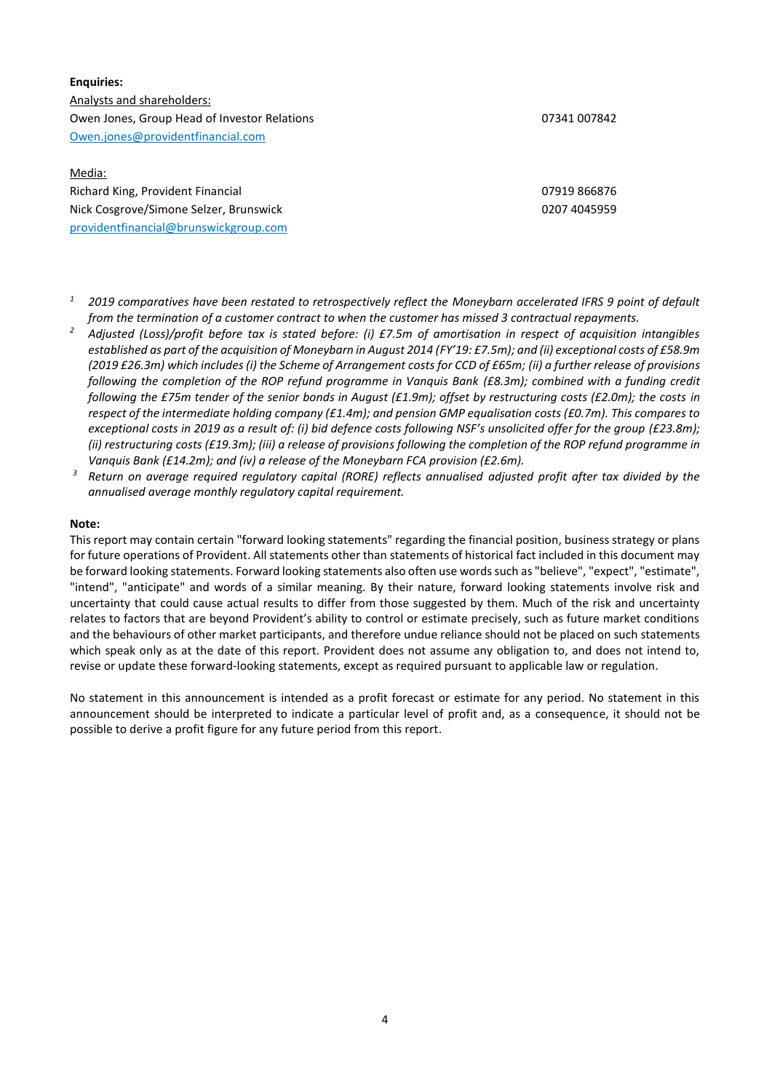# **Enquiries:** Analysts and shareholders: Owen Jones, Group Head of Investor Relations 07341 007842 [Owen.jones@providentfinancial.com](mailto:Owen.jones@providentfinancial.com)

# Media: Richard King, Provident Financial 07919 866876 Nick Cosgrove/Simone Selzer, Brunswick 0207 4045959 [providentfinancial@brunswickgroup.com](mailto:providentfinancial@brunswickgroup.com)

- *<sup>1</sup> 2019 comparatives have been restated to retrospectively reflect the Moneybarn accelerated IFRS 9 point of default from the termination of a customer contract to when the customer has missed 3 contractual repayments.*
- *<sup>2</sup> Adjusted (Loss)/profit before tax is stated before: (i) £7.5m of amortisation in respect of acquisition intangibles established as part of the acquisition of Moneybarn in August 2014 (FY'19: £7.5m); and (ii) exceptional costs of £58.9m (2019 £26.3m) which includes (i) the Scheme of Arrangement costs for CCD of £65m; (ii) a further release of provisions following the completion of the ROP refund programme in Vanquis Bank (£8.3m); combined with a funding credit following the £75m tender of the senior bonds in August (£1.9m); offset by restructuring costs (£2.0m); the costs in respect of the intermediate holding company (£1.4m); and pension GMP equalisation costs (£0.7m). This compares to exceptional costs in 2019 as a result of: (i) bid defence costs following NSF's unsolicited offer for the group (£23.8m); (ii) restructuring costs (£19.3m); (iii) a release of provisions following the completion of the ROP refund programme in Vanquis Bank (£14.2m); and (iv) a release of the Moneybarn FCA provision (£2.6m).*
- *<sup>3</sup> Return on average required regulatory capital (RORE) reflects annualised adjusted profit after tax divided by the annualised average monthly regulatory capital requirement.*

#### **Note:**

This report may contain certain "forward looking statements" regarding the financial position, business strategy or plans for future operations of Provident. All statements other than statements of historical fact included in this document may be forward looking statements. Forward looking statements also often use words such as "believe", "expect", "estimate", "intend", "anticipate" and words of a similar meaning. By their nature, forward looking statements involve risk and uncertainty that could cause actual results to differ from those suggested by them. Much of the risk and uncertainty relates to factors that are beyond Provident's ability to control or estimate precisely, such as future market conditions and the behaviours of other market participants, and therefore undue reliance should not be placed on such statements which speak only as at the date of this report. Provident does not assume any obligation to, and does not intend to, revise or update these forward-looking statements, except as required pursuant to applicable law or regulation.

No statement in this announcement is intended as a profit forecast or estimate for any period. No statement in this announcement should be interpreted to indicate a particular level of profit and, as a consequence, it should not be possible to derive a profit figure for any future period from this report.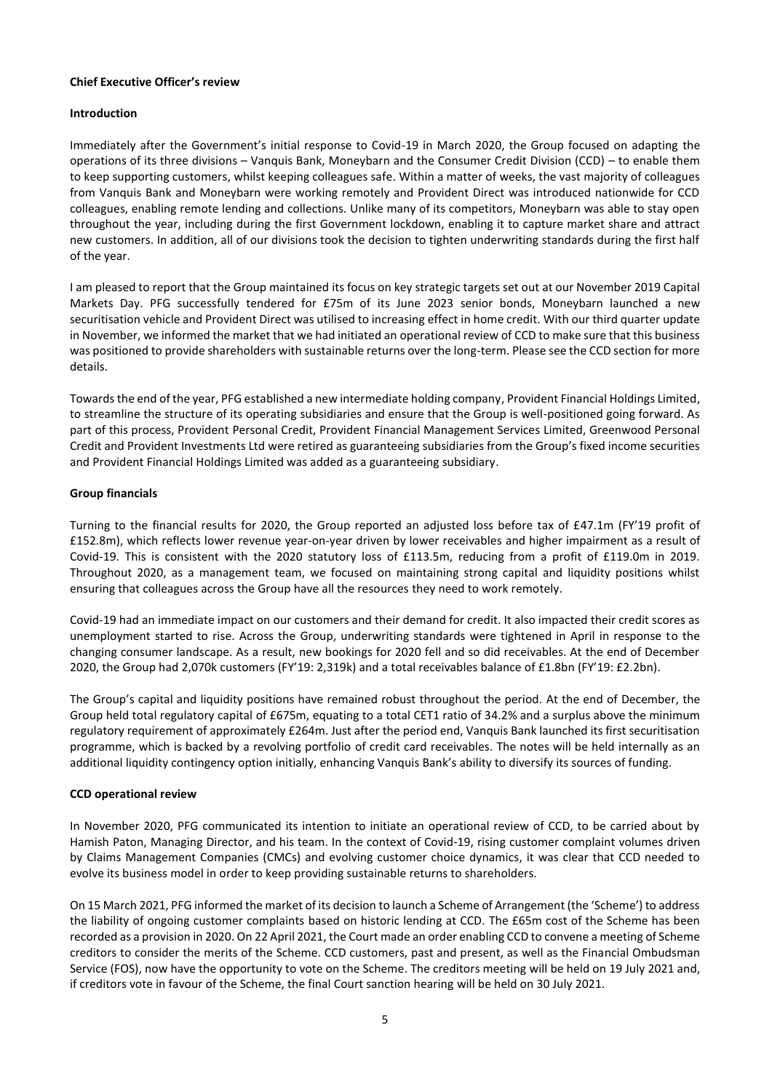#### **Chief Executive Officer's review**

#### **Introduction**

Immediately after the Government's initial response to Covid-19 in March 2020, the Group focused on adapting the operations of its three divisions – Vanquis Bank, Moneybarn and the Consumer Credit Division (CCD) – to enable them to keep supporting customers, whilst keeping colleagues safe. Within a matter of weeks, the vast majority of colleagues from Vanquis Bank and Moneybarn were working remotely and Provident Direct was introduced nationwide for CCD colleagues, enabling remote lending and collections. Unlike many of its competitors, Moneybarn was able to stay open throughout the year, including during the first Government lockdown, enabling it to capture market share and attract new customers. In addition, all of our divisions took the decision to tighten underwriting standards during the first half of the year.

I am pleased to report that the Group maintained its focus on key strategic targets set out at our November 2019 Capital Markets Day. PFG successfully tendered for £75m of its June 2023 senior bonds, Moneybarn launched a new securitisation vehicle and Provident Direct was utilised to increasing effect in home credit. With our third quarter update in November, we informed the market that we had initiated an operational review of CCD to make sure that this business was positioned to provide shareholders with sustainable returns over the long-term. Please see the CCD section for more details.

Towards the end of the year, PFG established a new intermediate holding company, Provident Financial Holdings Limited, to streamline the structure of its operating subsidiaries and ensure that the Group is well-positioned going forward. As part of this process, Provident Personal Credit, Provident Financial Management Services Limited, Greenwood Personal Credit and Provident Investments Ltd were retired as guaranteeing subsidiaries from the Group's fixed income securities and Provident Financial Holdings Limited was added as a guaranteeing subsidiary.

#### **Group financials**

Turning to the financial results for 2020, the Group reported an adjusted loss before tax of £47.1m (FY'19 profit of £152.8m), which reflects lower revenue year-on-year driven by lower receivables and higher impairment as a result of Covid-19. This is consistent with the 2020 statutory loss of £113.5m, reducing from a profit of £119.0m in 2019. Throughout 2020, as a management team, we focused on maintaining strong capital and liquidity positions whilst ensuring that colleagues across the Group have all the resources they need to work remotely.

Covid-19 had an immediate impact on our customers and their demand for credit. It also impacted their credit scores as unemployment started to rise. Across the Group, underwriting standards were tightened in April in response to the changing consumer landscape. As a result, new bookings for 2020 fell and so did receivables. At the end of December 2020, the Group had 2,070k customers (FY'19: 2,319k) and a total receivables balance of £1.8bn (FY'19: £2.2bn).

The Group's capital and liquidity positions have remained robust throughout the period. At the end of December, the Group held total regulatory capital of £675m, equating to a total CET1 ratio of 34.2% and a surplus above the minimum regulatory requirement of approximately £264m. Just after the period end, Vanquis Bank launched its first securitisation programme, which is backed by a revolving portfolio of credit card receivables. The notes will be held internally as an additional liquidity contingency option initially, enhancing Vanquis Bank's ability to diversify its sources of funding.

## **CCD operational review**

In November 2020, PFG communicated its intention to initiate an operational review of CCD, to be carried about by Hamish Paton, Managing Director, and his team. In the context of Covid-19, rising customer complaint volumes driven by Claims Management Companies (CMCs) and evolving customer choice dynamics, it was clear that CCD needed to evolve its business model in order to keep providing sustainable returns to shareholders.

On 15 March 2021, PFG informed the market of its decision to launch a Scheme of Arrangement (the 'Scheme') to address the liability of ongoing customer complaints based on historic lending at CCD. The £65m cost of the Scheme has been recorded as a provision in 2020. On 22 April 2021, the Court made an order enabling CCD to convene a meeting of Scheme creditors to consider the merits of the Scheme. CCD customers, past and present, as well as the Financial Ombudsman Service (FOS), now have the opportunity to vote on the Scheme. The creditors meeting will be held on 19 July 2021 and, if creditors vote in favour of the Scheme, the final Court sanction hearing will be held on 30 July 2021.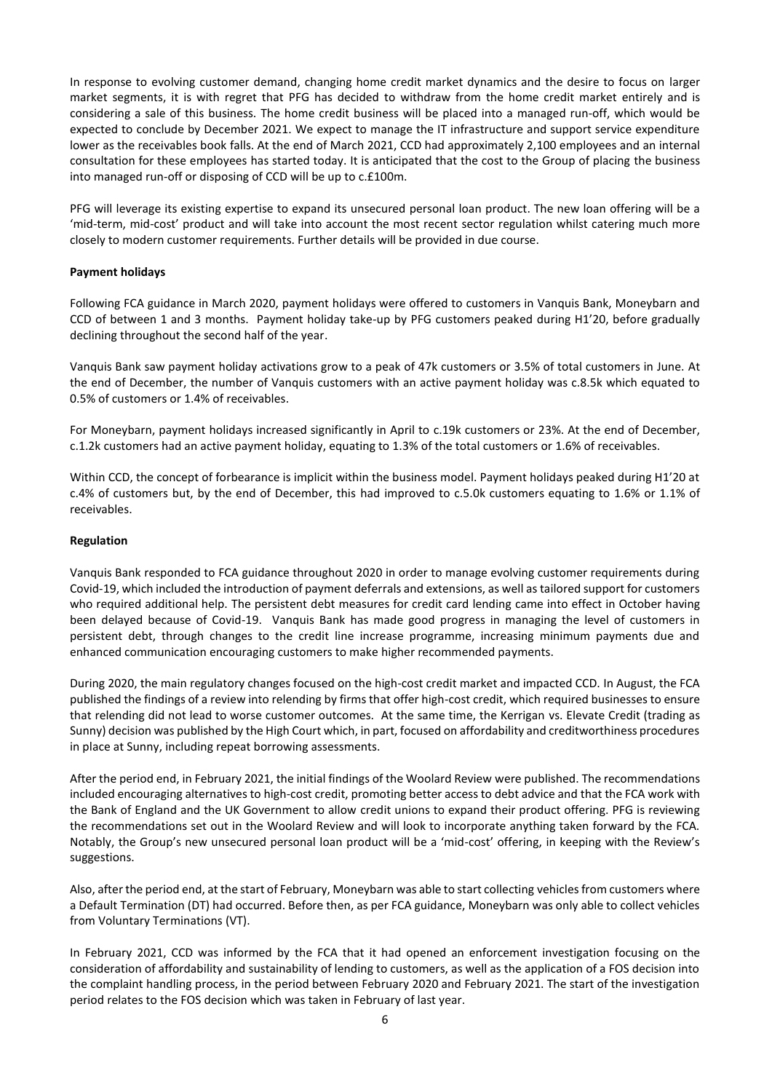In response to evolving customer demand, changing home credit market dynamics and the desire to focus on larger market segments, it is with regret that PFG has decided to withdraw from the home credit market entirely and is considering a sale of this business. The home credit business will be placed into a managed run-off, which would be expected to conclude by December 2021. We expect to manage the IT infrastructure and support service expenditure lower as the receivables book falls. At the end of March 2021, CCD had approximately 2,100 employees and an internal consultation for these employees has started today. It is anticipated that the cost to the Group of placing the business into managed run-off or disposing of CCD will be up to c.£100m.

PFG will leverage its existing expertise to expand its unsecured personal loan product. The new loan offering will be a 'mid-term, mid-cost' product and will take into account the most recent sector regulation whilst catering much more closely to modern customer requirements. Further details will be provided in due course.

#### **Payment holidays**

Following FCA guidance in March 2020, payment holidays were offered to customers in Vanquis Bank, Moneybarn and CCD of between 1 and 3 months. Payment holiday take-up by PFG customers peaked during H1'20, before gradually declining throughout the second half of the year.

Vanquis Bank saw payment holiday activations grow to a peak of 47k customers or 3.5% of total customers in June. At the end of December, the number of Vanquis customers with an active payment holiday was c.8.5k which equated to 0.5% of customers or 1.4% of receivables.

For Moneybarn, payment holidays increased significantly in April to c.19k customers or 23%. At the end of December, c.1.2k customers had an active payment holiday, equating to 1.3% of the total customers or 1.6% of receivables.

Within CCD, the concept of forbearance is implicit within the business model. Payment holidays peaked during H1'20 at c.4% of customers but, by the end of December, this had improved to c.5.0k customers equating to 1.6% or 1.1% of receivables.

#### **Regulation**

Vanquis Bank responded to FCA guidance throughout 2020 in order to manage evolving customer requirements during Covid-19, which included the introduction of payment deferrals and extensions, as well as tailored support for customers who required additional help. The persistent debt measures for credit card lending came into effect in October having been delayed because of Covid-19. Vanquis Bank has made good progress in managing the level of customers in persistent debt, through changes to the credit line increase programme, increasing minimum payments due and enhanced communication encouraging customers to make higher recommended payments.

During 2020, the main regulatory changes focused on the high-cost credit market and impacted CCD. In August, the FCA published the findings of a review into relending by firms that offer high-cost credit, which required businesses to ensure that relending did not lead to worse customer outcomes. At the same time, the Kerrigan vs. Elevate Credit (trading as Sunny) decision was published by the High Court which, in part, focused on affordability and creditworthiness procedures in place at Sunny, including repeat borrowing assessments.

After the period end, in February 2021, the initial findings of the Woolard Review were published. The recommendations included encouraging alternatives to high-cost credit, promoting better access to debt advice and that the FCA work with the Bank of England and the UK Government to allow credit unions to expand their product offering. PFG is reviewing the recommendations set out in the Woolard Review and will look to incorporate anything taken forward by the FCA. Notably, the Group's new unsecured personal loan product will be a 'mid-cost' offering, in keeping with the Review's suggestions.

Also, after the period end, at the start of February, Moneybarn was able to start collecting vehicles from customers where a Default Termination (DT) had occurred. Before then, as per FCA guidance, Moneybarn was only able to collect vehicles from Voluntary Terminations (VT).

In February 2021, CCD was informed by the FCA that it had opened an enforcement investigation focusing on the consideration of affordability and sustainability of lending to customers, as well as the application of a FOS decision into the complaint handling process, in the period between February 2020 and February 2021. The start of the investigation period relates to the FOS decision which was taken in February of last year.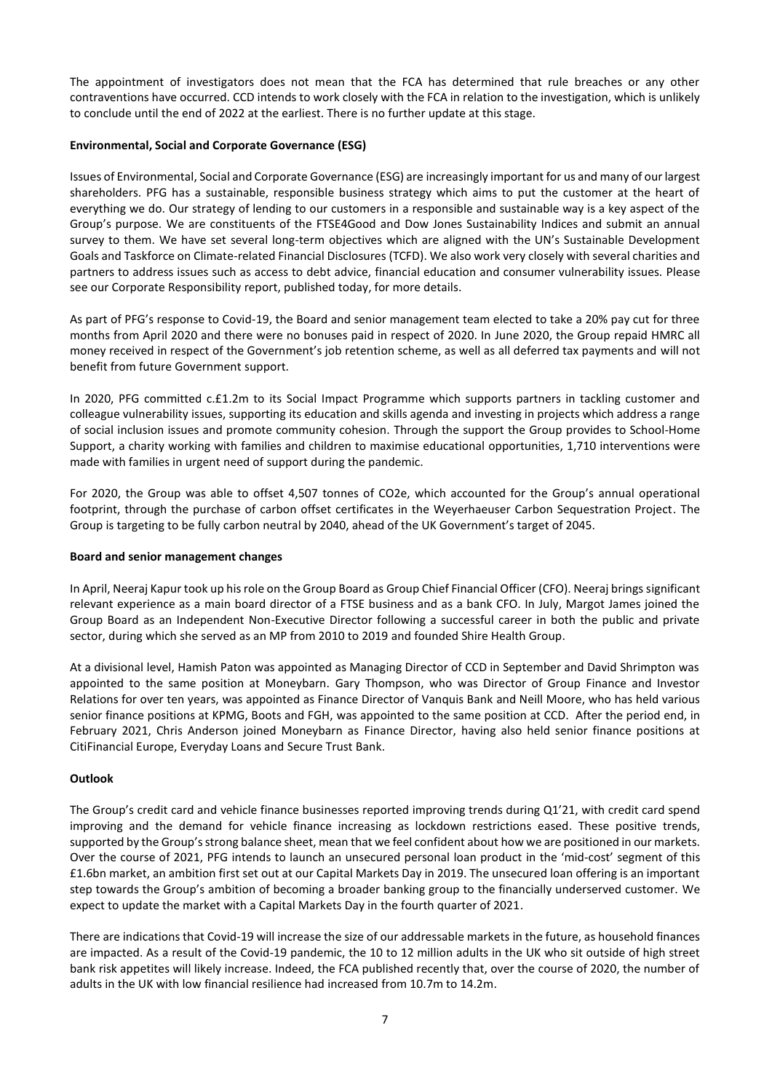The appointment of investigators does not mean that the FCA has determined that rule breaches or any other contraventions have occurred. CCD intends to work closely with the FCA in relation to the investigation, which is unlikely to conclude until the end of 2022 at the earliest. There is no further update at this stage.

## **Environmental, Social and Corporate Governance (ESG)**

Issues of Environmental, Social and Corporate Governance (ESG) are increasingly important for us and many of our largest shareholders. PFG has a sustainable, responsible business strategy which aims to put the customer at the heart of everything we do. Our strategy of lending to our customers in a responsible and sustainable way is a key aspect of the Group's purpose. We are constituents of the FTSE4Good and Dow Jones Sustainability Indices and submit an annual survey to them. We have set several long-term objectives which are aligned with the UN's Sustainable Development Goals and Taskforce on Climate-related Financial Disclosures (TCFD). We also work very closely with several charities and partners to address issues such as access to debt advice, financial education and consumer vulnerability issues. Please see our Corporate Responsibility report, published today, for more details.

As part of PFG's response to Covid-19, the Board and senior management team elected to take a 20% pay cut for three months from April 2020 and there were no bonuses paid in respect of 2020. In June 2020, the Group repaid HMRC all money received in respect of the Government's job retention scheme, as well as all deferred tax payments and will not benefit from future Government support.

In 2020, PFG committed c.£1.2m to its Social Impact Programme which supports partners in tackling customer and colleague vulnerability issues, supporting its education and skills agenda and investing in projects which address a range of social inclusion issues and promote community cohesion. Through the support the Group provides to School-Home Support, a charity working with families and children to maximise educational opportunities, 1,710 interventions were made with families in urgent need of support during the pandemic.

For 2020, the Group was able to offset 4,507 tonnes of CO2e, which accounted for the Group's annual operational footprint, through the purchase of carbon offset certificates in the Weyerhaeuser Carbon Sequestration Project. The Group is targeting to be fully carbon neutral by 2040, ahead of the UK Government's target of 2045.

## **Board and senior management changes**

In April, Neeraj Kapur took up his role on the Group Board as Group Chief Financial Officer (CFO). Neeraj brings significant relevant experience as a main board director of a FTSE business and as a bank CFO. In July, Margot James joined the Group Board as an Independent Non-Executive Director following a successful career in both the public and private sector, during which she served as an MP from 2010 to 2019 and founded Shire Health Group.

At a divisional level, Hamish Paton was appointed as Managing Director of CCD in September and David Shrimpton was appointed to the same position at Moneybarn. Gary Thompson, who was Director of Group Finance and Investor Relations for over ten years, was appointed as Finance Director of Vanquis Bank and Neill Moore, who has held various senior finance positions at KPMG, Boots and FGH, was appointed to the same position at CCD. After the period end, in February 2021, Chris Anderson joined Moneybarn as Finance Director, having also held senior finance positions at CitiFinancial Europe, Everyday Loans and Secure Trust Bank.

## **Outlook**

The Group's credit card and vehicle finance businesses reported improving trends during Q1'21, with credit card spend improving and the demand for vehicle finance increasing as lockdown restrictions eased. These positive trends, supported by the Group's strong balance sheet, mean that we feel confident about how we are positioned in our markets. Over the course of 2021, PFG intends to launch an unsecured personal loan product in the 'mid-cost' segment of this £1.6bn market, an ambition first set out at our Capital Markets Day in 2019. The unsecured loan offering is an important step towards the Group's ambition of becoming a broader banking group to the financially underserved customer. We expect to update the market with a Capital Markets Day in the fourth quarter of 2021.

There are indications that Covid-19 will increase the size of our addressable markets in the future, as household finances are impacted. As a result of the Covid-19 pandemic, the 10 to 12 million adults in the UK who sit outside of high street bank risk appetites will likely increase. Indeed, the FCA published recently that, over the course of 2020, the number of adults in the UK with low financial resilience had increased from 10.7m to 14.2m.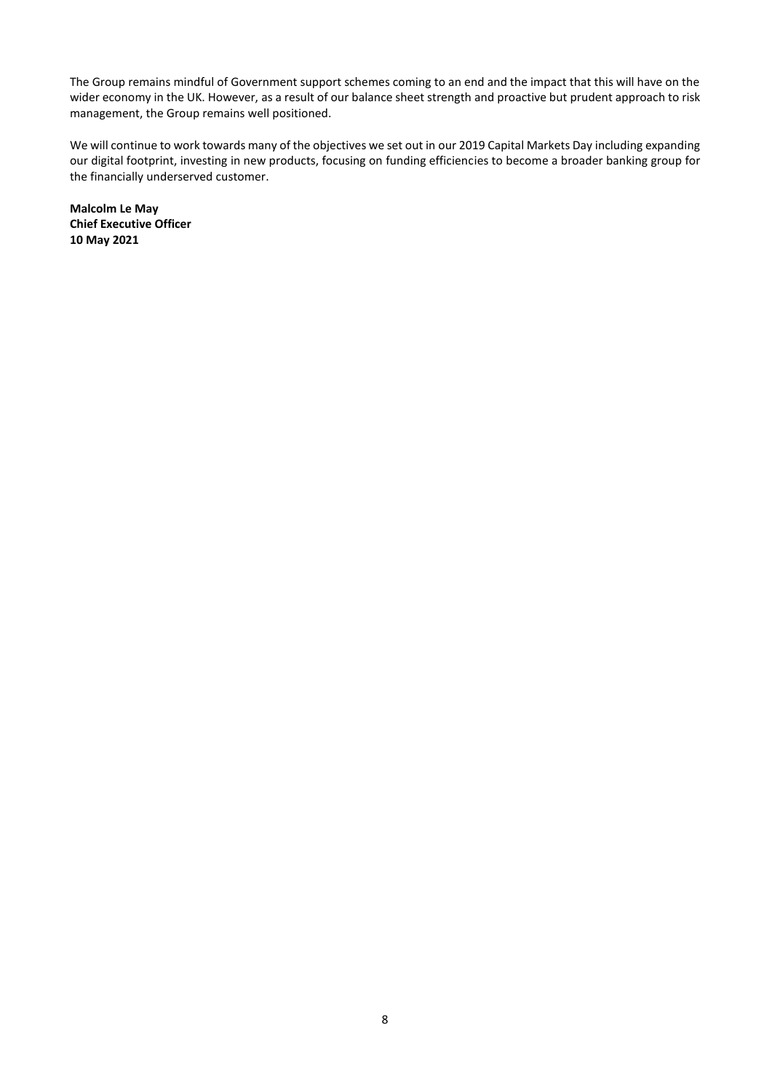The Group remains mindful of Government support schemes coming to an end and the impact that this will have on the wider economy in the UK. However, as a result of our balance sheet strength and proactive but prudent approach to risk management, the Group remains well positioned.

We will continue to work towards many of the objectives we set out in our 2019 Capital Markets Day including expanding our digital footprint, investing in new products, focusing on funding efficiencies to become a broader banking group for the financially underserved customer.

**Malcolm Le May Chief Executive Officer 10 May 2021**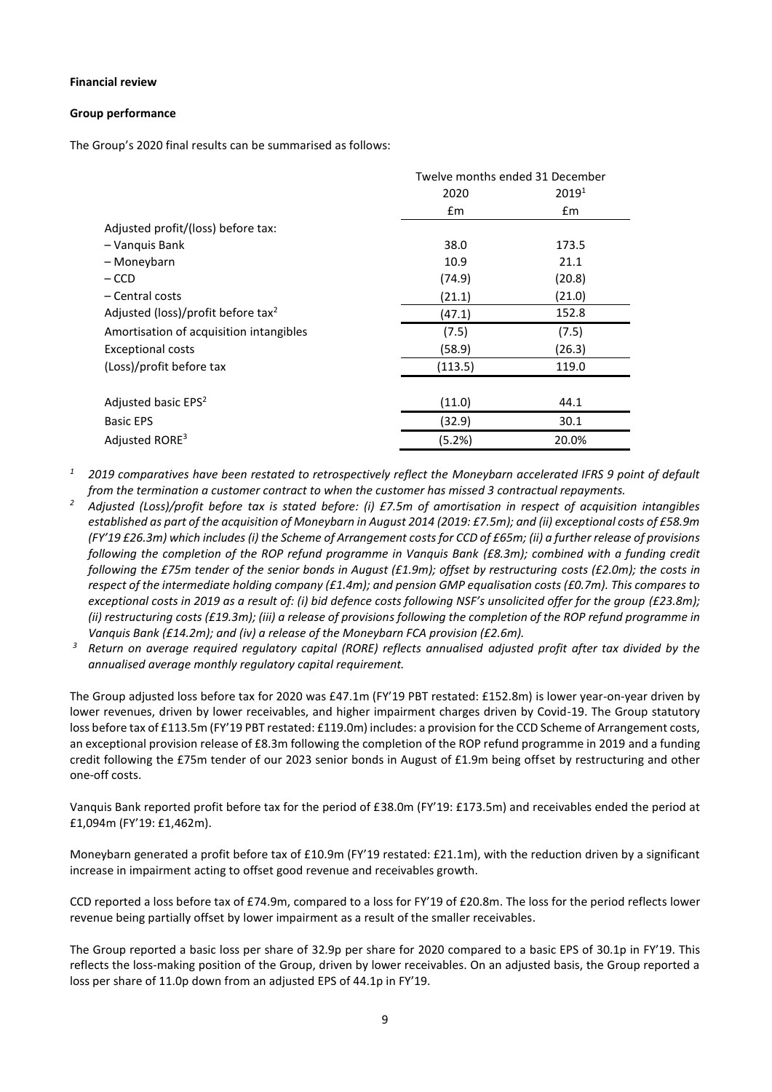#### **Financial review**

#### **Group performance**

The Group's 2020 final results can be summarised as follows:

|                                                | Twelve months ended 31 December |                   |  |
|------------------------------------------------|---------------------------------|-------------------|--|
|                                                | 2020                            | 2019 <sup>1</sup> |  |
|                                                | $\mathsf{fm}$                   | £m                |  |
| Adjusted profit/(loss) before tax:             |                                 |                   |  |
| - Vanquis Bank                                 | 38.0                            | 173.5             |  |
| – Moneybarn                                    | 10.9                            | 21.1              |  |
| – CCD                                          | (74.9)                          | (20.8)            |  |
| – Central costs                                | (21.1)                          | (21.0)            |  |
| Adjusted (loss)/profit before tax <sup>2</sup> | (47.1)                          | 152.8             |  |
| Amortisation of acquisition intangibles        | (7.5)                           | (7.5)             |  |
| <b>Exceptional costs</b>                       | (58.9)                          | (26.3)            |  |
| (Loss)/profit before tax                       | (113.5)                         | 119.0             |  |
|                                                |                                 |                   |  |
| Adjusted basic EPS <sup>2</sup>                | (11.0)                          | 44.1              |  |
| <b>Basic EPS</b>                               | (32.9)                          | 30.1              |  |
| Adjusted RORE <sup>3</sup>                     | (5.2%)<br>20.0%                 |                   |  |

*<sup>1</sup> 2019 comparatives have been restated to retrospectively reflect the Moneybarn accelerated IFRS 9 point of default from the termination a customer contract to when the customer has missed 3 contractual repayments.*

- *<sup>2</sup> Adjusted (Loss)/profit before tax is stated before: (i) £7.5m of amortisation in respect of acquisition intangibles established as part of the acquisition of Moneybarn in August 2014 (2019: £7.5m); and (ii) exceptional costs of £58.9m (FY'19 £26.3m) which includes (i) the Scheme of Arrangement costs for CCD of £65m; (ii) a further release of provisions following the completion of the ROP refund programme in Vanquis Bank (£8.3m); combined with a funding credit following the £75m tender of the senior bonds in August (£1.9m); offset by restructuring costs (£2.0m); the costs in respect of the intermediate holding company (£1.4m); and pension GMP equalisation costs (£0.7m). This compares to exceptional costs in 2019 as a result of: (i) bid defence costs following NSF's unsolicited offer for the group (£23.8m); (ii) restructuring costs (£19.3m); (iii) a release of provisions following the completion of the ROP refund programme in Vanquis Bank (£14.2m); and (iv) a release of the Moneybarn FCA provision (£2.6m).*
- *<sup>3</sup> Return on average required regulatory capital (RORE) reflects annualised adjusted profit after tax divided by the annualised average monthly regulatory capital requirement.*

The Group adjusted loss before tax for 2020 was £47.1m (FY'19 PBT restated: £152.8m) is lower year-on-year driven by lower revenues, driven by lower receivables, and higher impairment charges driven by Covid-19. The Group statutory loss before tax of £113.5m (FY'19 PBT restated: £119.0m) includes: a provision for the CCD Scheme of Arrangement costs, an exceptional provision release of £8.3m following the completion of the ROP refund programme in 2019 and a funding credit following the £75m tender of our 2023 senior bonds in August of £1.9m being offset by restructuring and other one-off costs.

Vanquis Bank reported profit before tax for the period of £38.0m (FY'19: £173.5m) and receivables ended the period at £1,094m (FY'19: £1,462m).

Moneybarn generated a profit before tax of £10.9m (FY'19 restated: £21.1m), with the reduction driven by a significant increase in impairment acting to offset good revenue and receivables growth.

CCD reported a loss before tax of £74.9m, compared to a loss for FY'19 of £20.8m. The loss for the period reflects lower revenue being partially offset by lower impairment as a result of the smaller receivables.

The Group reported a basic loss per share of 32.9p per share for 2020 compared to a basic EPS of 30.1p in FY'19. This reflects the loss-making position of the Group, driven by lower receivables. On an adjusted basis, the Group reported a loss per share of 11.0p down from an adjusted EPS of 44.1p in FY'19.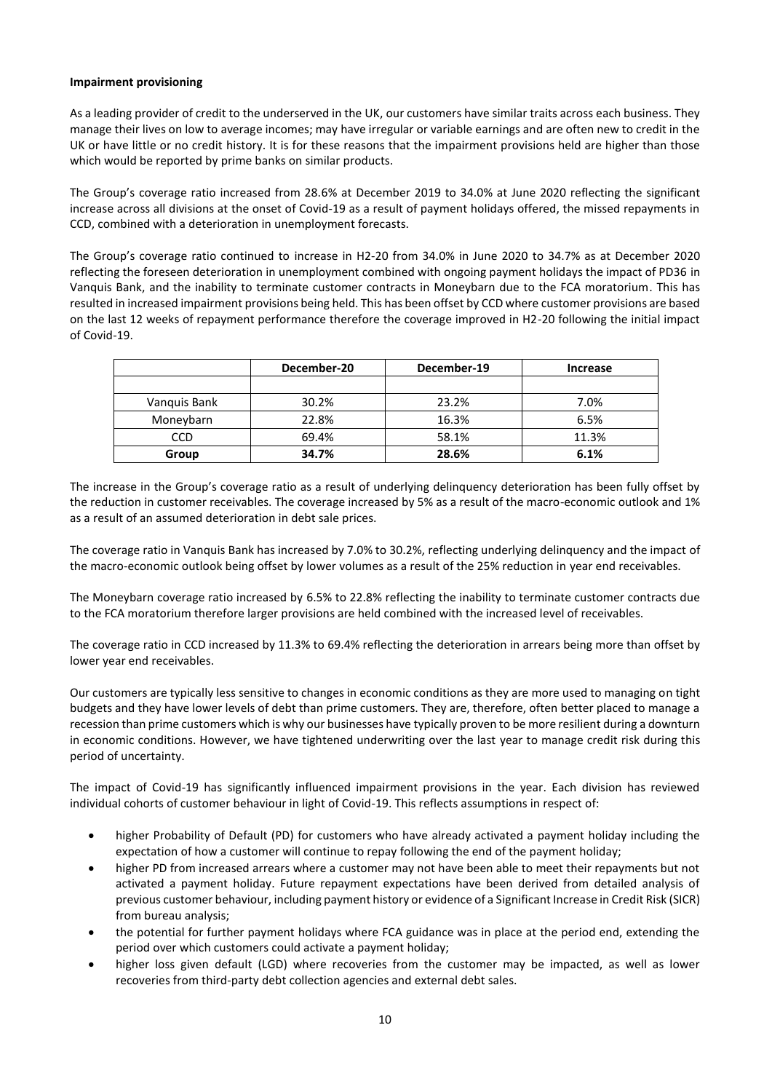## **Impairment provisioning**

As a leading provider of credit to the underserved in the UK, our customers have similar traits across each business. They manage their lives on low to average incomes; may have irregular or variable earnings and are often new to credit in the UK or have little or no credit history. It is for these reasons that the impairment provisions held are higher than those which would be reported by prime banks on similar products.

The Group's coverage ratio increased from 28.6% at December 2019 to 34.0% at June 2020 reflecting the significant increase across all divisions at the onset of Covid-19 as a result of payment holidays offered, the missed repayments in CCD, combined with a deterioration in unemployment forecasts.

The Group's coverage ratio continued to increase in H2-20 from 34.0% in June 2020 to 34.7% as at December 2020 reflecting the foreseen deterioration in unemployment combined with ongoing payment holidays the impact of PD36 in Vanquis Bank, and the inability to terminate customer contracts in Moneybarn due to the FCA moratorium. This has resulted in increased impairment provisions being held. This has been offset by CCD where customer provisions are based on the last 12 weeks of repayment performance therefore the coverage improved in H2-20 following the initial impact of Covid-19.

|              | December-20 | December-19 | <b>Increase</b> |
|--------------|-------------|-------------|-----------------|
|              |             |             |                 |
| Vanquis Bank | 30.2%       | 23.2%       | 7.0%            |
| Moneybarn    | 22.8%       | 16.3%       | 6.5%            |
| <b>CCD</b>   | 69.4%       | 58.1%       | 11.3%           |
| Group        | 34.7%       | 28.6%       | 6.1%            |

The increase in the Group's coverage ratio as a result of underlying delinquency deterioration has been fully offset by the reduction in customer receivables. The coverage increased by 5% as a result of the macro-economic outlook and 1% as a result of an assumed deterioration in debt sale prices.

The coverage ratio in Vanquis Bank has increased by 7.0% to 30.2%, reflecting underlying delinquency and the impact of the macro-economic outlook being offset by lower volumes as a result of the 25% reduction in year end receivables.

The Moneybarn coverage ratio increased by 6.5% to 22.8% reflecting the inability to terminate customer contracts due to the FCA moratorium therefore larger provisions are held combined with the increased level of receivables.

The coverage ratio in CCD increased by 11.3% to 69.4% reflecting the deterioration in arrears being more than offset by lower year end receivables.

Our customers are typically less sensitive to changes in economic conditions as they are more used to managing on tight budgets and they have lower levels of debt than prime customers. They are, therefore, often better placed to manage a recession than prime customers which is why our businesses have typically proven to be more resilient during a downturn in economic conditions. However, we have tightened underwriting over the last year to manage credit risk during this period of uncertainty.

The impact of Covid-19 has significantly influenced impairment provisions in the year. Each division has reviewed individual cohorts of customer behaviour in light of Covid-19. This reflects assumptions in respect of:

- higher Probability of Default (PD) for customers who have already activated a payment holiday including the expectation of how a customer will continue to repay following the end of the payment holiday;
- higher PD from increased arrears where a customer may not have been able to meet their repayments but not activated a payment holiday. Future repayment expectations have been derived from detailed analysis of previous customer behaviour, including payment history or evidence of a Significant Increase in Credit Risk (SICR) from bureau analysis;
- the potential for further payment holidays where FCA guidance was in place at the period end, extending the period over which customers could activate a payment holiday;
- higher loss given default (LGD) where recoveries from the customer may be impacted, as well as lower recoveries from third-party debt collection agencies and external debt sales.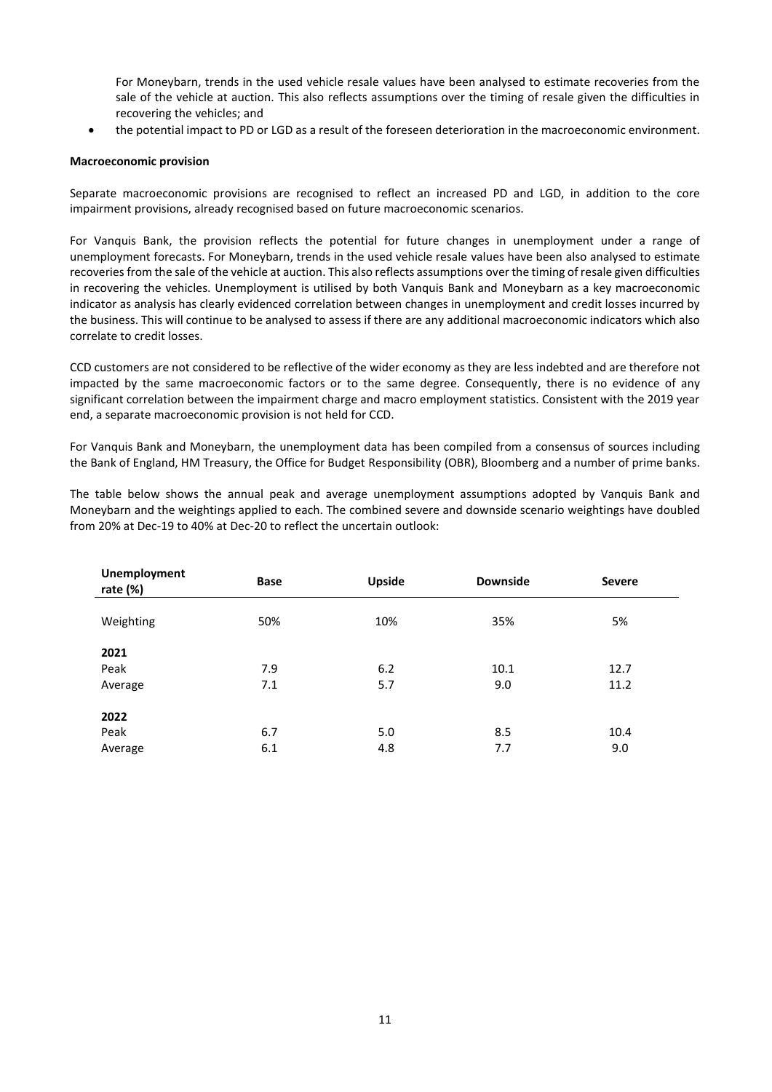For Moneybarn, trends in the used vehicle resale values have been analysed to estimate recoveries from the sale of the vehicle at auction. This also reflects assumptions over the timing of resale given the difficulties in recovering the vehicles; and

• the potential impact to PD or LGD as a result of the foreseen deterioration in the macroeconomic environment.

# **Macroeconomic provision**

Separate macroeconomic provisions are recognised to reflect an increased PD and LGD, in addition to the core impairment provisions, already recognised based on future macroeconomic scenarios.

For Vanquis Bank, the provision reflects the potential for future changes in unemployment under a range of unemployment forecasts. For Moneybarn, trends in the used vehicle resale values have been also analysed to estimate recoveries from the sale of the vehicle at auction. This also reflects assumptions over the timing of resale given difficulties in recovering the vehicles. Unemployment is utilised by both Vanquis Bank and Moneybarn as a key macroeconomic indicator as analysis has clearly evidenced correlation between changes in unemployment and credit losses incurred by the business. This will continue to be analysed to assess if there are any additional macroeconomic indicators which also correlate to credit losses.

CCD customers are not considered to be reflective of the wider economy as they are less indebted and are therefore not impacted by the same macroeconomic factors or to the same degree. Consequently, there is no evidence of any significant correlation between the impairment charge and macro employment statistics. Consistent with the 2019 year end, a separate macroeconomic provision is not held for CCD.

For Vanquis Bank and Moneybarn, the unemployment data has been compiled from a consensus of sources including the Bank of England, HM Treasury, the Office for Budget Responsibility (OBR), Bloomberg and a number of prime banks.

The table below shows the annual peak and average unemployment assumptions adopted by Vanquis Bank and Moneybarn and the weightings applied to each. The combined severe and downside scenario weightings have doubled from 20% at Dec-19 to 40% at Dec-20 to reflect the uncertain outlook:

| <b>Unemployment</b><br>rate $(\%)$ | <b>Base</b> | <b>Upside</b> | <b>Downside</b> | <b>Severe</b> |  |
|------------------------------------|-------------|---------------|-----------------|---------------|--|
| Weighting                          | 50%         | 10%           | 35%             | 5%            |  |
| 2021                               |             |               |                 |               |  |
| Peak                               | 7.9         | 6.2           | 10.1            | 12.7          |  |
| Average                            | 7.1         | 5.7           | 9.0             | 11.2          |  |
| 2022                               |             |               |                 |               |  |
| Peak                               | 6.7         | 5.0           | 8.5             | 10.4          |  |
| Average                            | 6.1         | 4.8           | 7.7             | 9.0           |  |
|                                    |             |               |                 |               |  |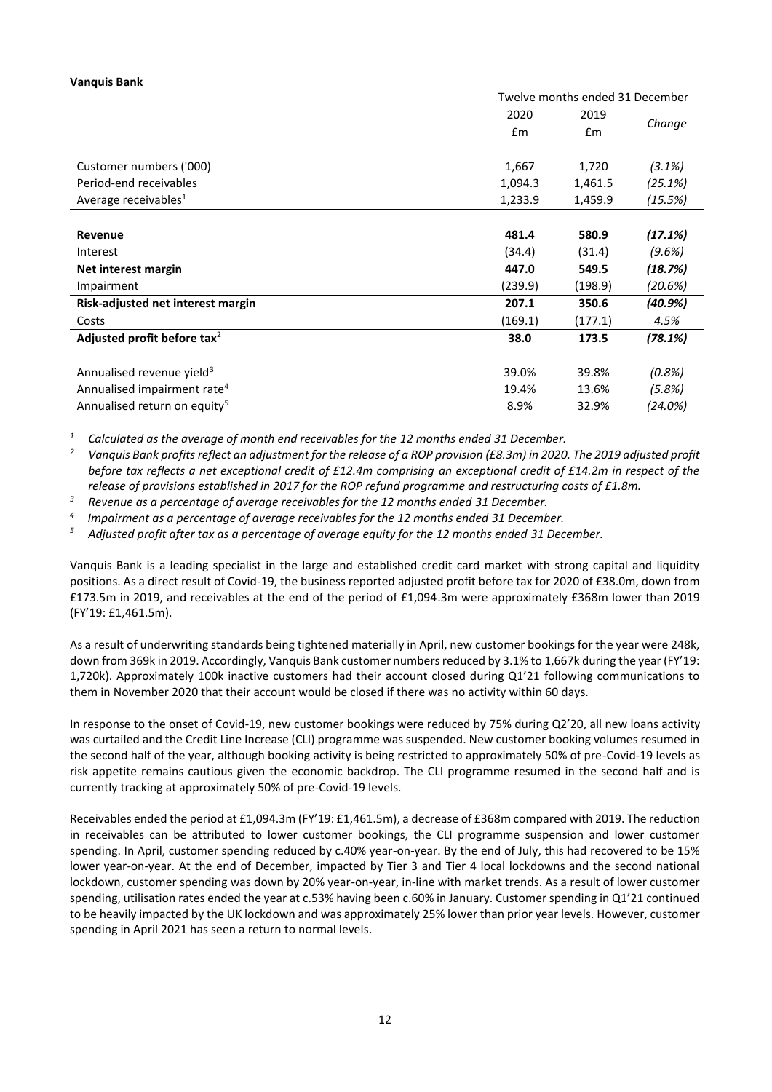#### **Vanquis Bank**

|                                          |         | Twelve months ended 31 December |           |  |  |
|------------------------------------------|---------|---------------------------------|-----------|--|--|
|                                          | 2020    | 2019                            |           |  |  |
|                                          | £m      | £m                              | Change    |  |  |
|                                          |         |                                 |           |  |  |
| Customer numbers ('000)                  | 1,667   | 1,720                           | (3.1%)    |  |  |
| Period-end receivables                   | 1,094.3 | 1,461.5                         | (25.1%)   |  |  |
| Average receivables <sup>1</sup>         | 1,233.9 | 1,459.9                         | (15.5%)   |  |  |
|                                          |         |                                 |           |  |  |
| Revenue                                  | 481.4   | 580.9                           | (17.1%)   |  |  |
| Interest                                 | (34.4)  | (31.4)                          | (9.6%)    |  |  |
| Net interest margin                      | 447.0   | 549.5                           | (18.7%)   |  |  |
| Impairment                               | (239.9) | (198.9)                         | (20.6%)   |  |  |
| Risk-adjusted net interest margin        | 207.1   | 350.6                           | (40.9%)   |  |  |
| Costs                                    | (169.1) | (177.1)                         | 4.5%      |  |  |
| Adjusted profit before tax <sup>2</sup>  | 38.0    | 173.5                           | (78.1%)   |  |  |
|                                          |         |                                 |           |  |  |
| Annualised revenue yield <sup>3</sup>    | 39.0%   | 39.8%                           | $(0.8\%)$ |  |  |
| Annualised impairment rate <sup>4</sup>  | 19.4%   | 13.6%                           | (5.8%)    |  |  |
| Annualised return on equity <sup>5</sup> | 8.9%    | 32.9%                           | (24.0%)   |  |  |

*<sup>1</sup> Calculated as the average of month end receivables for the 12 months ended 31 December.*

*<sup>2</sup> Vanquis Bank profits reflect an adjustment for the release of a ROP provision (£8.3m) in 2020. The 2019 adjusted profit before tax reflects a net exceptional credit of £12.4m comprising an exceptional credit of £14.2m in respect of the release of provisions established in 2017 for the ROP refund programme and restructuring costs of £1.8m.* 

*<sup>3</sup> Revenue as a percentage of average receivables for the 12 months ended 31 December.*

*4 Impairment as a percentage of average receivables for the 12 months ended 31 December.*

*<sup>5</sup> Adjusted profit after tax as a percentage of average equity for the 12 months ended 31 December.*

Vanquis Bank is a leading specialist in the large and established credit card market with strong capital and liquidity positions. As a direct result of Covid-19, the business reported adjusted profit before tax for 2020 of £38.0m, down from £173.5m in 2019, and receivables at the end of the period of £1,094.3m were approximately £368m lower than 2019 (FY'19: £1,461.5m).

As a result of underwriting standards being tightened materially in April, new customer bookings for the year were 248k, down from 369k in 2019. Accordingly, Vanquis Bank customer numbers reduced by 3.1% to 1,667k during the year (FY'19: 1,720k). Approximately 100k inactive customers had their account closed during Q1'21 following communications to them in November 2020 that their account would be closed if there was no activity within 60 days.

In response to the onset of Covid-19, new customer bookings were reduced by 75% during Q2'20, all new loans activity was curtailed and the Credit Line Increase (CLI) programme was suspended. New customer booking volumes resumed in the second half of the year, although booking activity is being restricted to approximately 50% of pre-Covid-19 levels as risk appetite remains cautious given the economic backdrop. The CLI programme resumed in the second half and is currently tracking at approximately 50% of pre-Covid-19 levels.

Receivables ended the period at £1,094.3m (FY'19: £1,461.5m), a decrease of £368m compared with 2019. The reduction in receivables can be attributed to lower customer bookings, the CLI programme suspension and lower customer spending. In April, customer spending reduced by c.40% year-on-year. By the end of July, this had recovered to be 15% lower year-on-year. At the end of December, impacted by Tier 3 and Tier 4 local lockdowns and the second national lockdown, customer spending was down by 20% year-on-year, in-line with market trends. As a result of lower customer spending, utilisation rates ended the year at c.53% having been c.60% in January. Customer spending in Q1'21 continued to be heavily impacted by the UK lockdown and was approximately 25% lower than prior year levels. However, customer spending in April 2021 has seen a return to normal levels.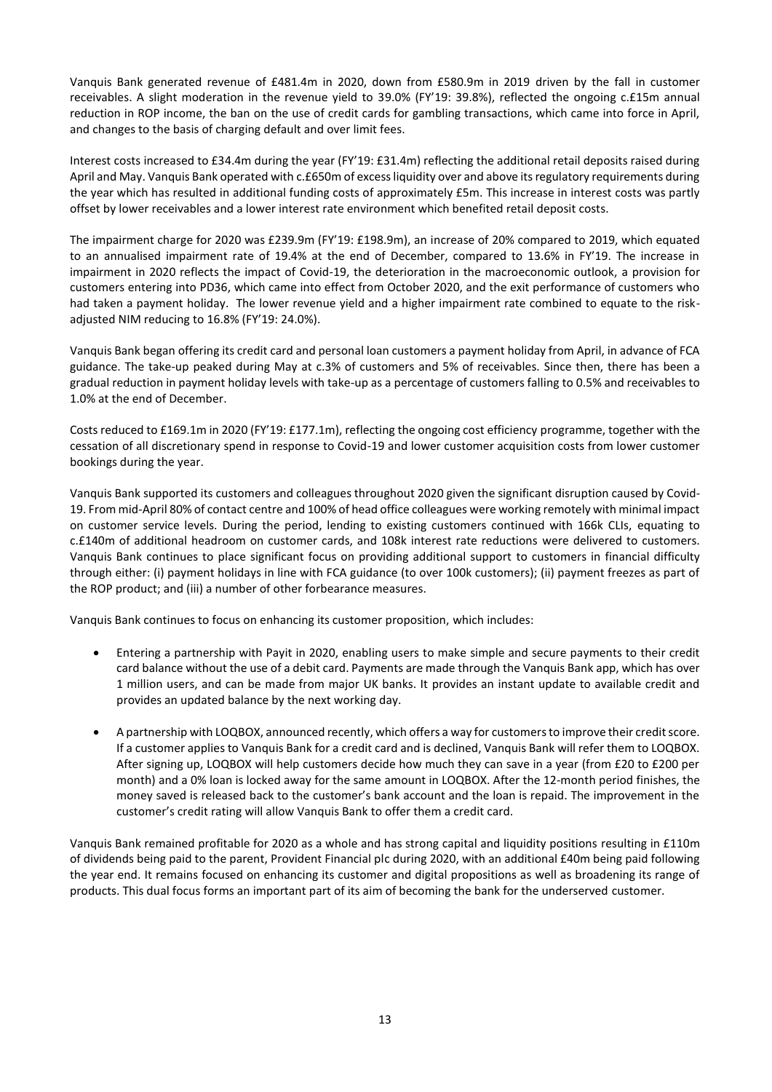Vanquis Bank generated revenue of £481.4m in 2020, down from £580.9m in 2019 driven by the fall in customer receivables. A slight moderation in the revenue yield to 39.0% (FY'19: 39.8%), reflected the ongoing c.£15m annual reduction in ROP income, the ban on the use of credit cards for gambling transactions, which came into force in April, and changes to the basis of charging default and over limit fees.

Interest costs increased to £34.4m during the year (FY'19: £31.4m) reflecting the additional retail deposits raised during April and May. Vanquis Bank operated with c.£650m of excess liquidity over and above its regulatory requirements during the year which has resulted in additional funding costs of approximately £5m. This increase in interest costs was partly offset by lower receivables and a lower interest rate environment which benefited retail deposit costs.

The impairment charge for 2020 was £239.9m (FY'19: £198.9m), an increase of 20% compared to 2019, which equated to an annualised impairment rate of 19.4% at the end of December, compared to 13.6% in FY'19. The increase in impairment in 2020 reflects the impact of Covid-19, the deterioration in the macroeconomic outlook, a provision for customers entering into PD36, which came into effect from October 2020, and the exit performance of customers who had taken a payment holiday. The lower revenue yield and a higher impairment rate combined to equate to the riskadjusted NIM reducing to 16.8% (FY'19: 24.0%).

Vanquis Bank began offering its credit card and personal loan customers a payment holiday from April, in advance of FCA guidance. The take-up peaked during May at c.3% of customers and 5% of receivables. Since then, there has been a gradual reduction in payment holiday levels with take-up as a percentage of customers falling to 0.5% and receivables to 1.0% at the end of December.

Costs reduced to £169.1m in 2020 (FY'19: £177.1m), reflecting the ongoing cost efficiency programme, together with the cessation of all discretionary spend in response to Covid-19 and lower customer acquisition costs from lower customer bookings during the year.

Vanquis Bank supported its customers and colleagues throughout 2020 given the significant disruption caused by Covid-19. From mid-April 80% of contact centre and 100% of head office colleagues were working remotely with minimal impact on customer service levels. During the period, lending to existing customers continued with 166k CLIs, equating to c.£140m of additional headroom on customer cards, and 108k interest rate reductions were delivered to customers. Vanquis Bank continues to place significant focus on providing additional support to customers in financial difficulty through either: (i) payment holidays in line with FCA guidance (to over 100k customers); (ii) payment freezes as part of the ROP product; and (iii) a number of other forbearance measures.

Vanquis Bank continues to focus on enhancing its customer proposition, which includes:

- Entering a partnership with Payit in 2020, enabling users to make simple and secure payments to their credit card balance without the use of a debit card. Payments are made through the Vanquis Bank app, which has over 1 million users, and can be made from major UK banks. It provides an instant update to available credit and provides an updated balance by the next working day.
- A partnership with LOQBOX, announced recently, which offers a way for customers to improve their credit score. If a customer applies to Vanquis Bank for a credit card and is declined, Vanquis Bank will refer them to LOQBOX. After signing up, LOQBOX will help customers decide how much they can save in a year (from £20 to £200 per month) and a 0% loan is locked away for the same amount in LOQBOX. After the 12-month period finishes, the money saved is released back to the customer's bank account and the loan is repaid. The improvement in the customer's credit rating will allow Vanquis Bank to offer them a credit card.

Vanquis Bank remained profitable for 2020 as a whole and has strong capital and liquidity positions resulting in £110m of dividends being paid to the parent, Provident Financial plc during 2020, with an additional £40m being paid following the year end. It remains focused on enhancing its customer and digital propositions as well as broadening its range of products. This dual focus forms an important part of its aim of becoming the bank for the underserved customer.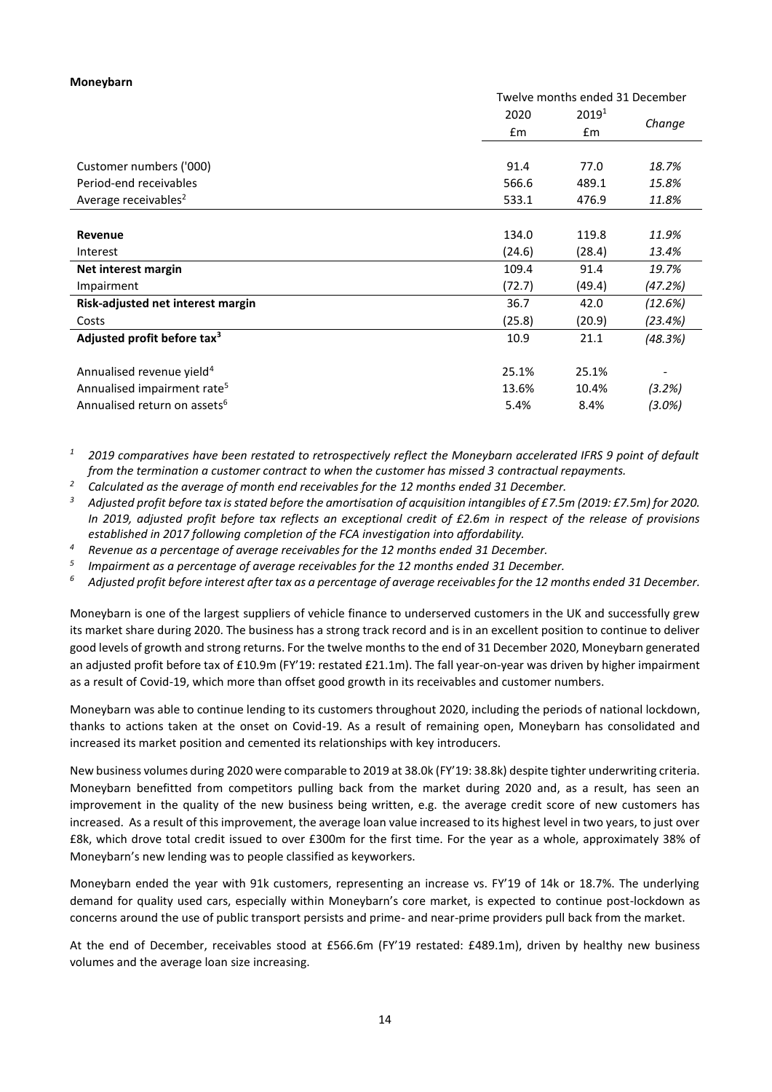#### **Moneybarn**

|                                          |        | Twelve months ended 31 December |                          |  |  |
|------------------------------------------|--------|---------------------------------|--------------------------|--|--|
|                                          | 2020   | 2019 <sup>1</sup>               |                          |  |  |
|                                          | £m     | £m                              | Change                   |  |  |
|                                          |        |                                 |                          |  |  |
| Customer numbers ('000)                  | 91.4   | 77.0                            | 18.7%                    |  |  |
| Period-end receivables                   | 566.6  | 489.1                           | 15.8%                    |  |  |
| Average receivables <sup>2</sup>         | 533.1  | 476.9                           | 11.8%                    |  |  |
|                                          |        |                                 |                          |  |  |
| Revenue                                  | 134.0  | 119.8                           | 11.9%                    |  |  |
| Interest                                 | (24.6) | (28.4)                          | 13.4%                    |  |  |
| Net interest margin                      | 109.4  | 91.4                            | 19.7%                    |  |  |
| Impairment                               | (72.7) | (49.4)                          | (47.2%)                  |  |  |
| Risk-adjusted net interest margin        | 36.7   | 42.0                            | (12.6%)                  |  |  |
| Costs                                    | (25.8) | (20.9)                          | (23.4%)                  |  |  |
| Adjusted profit before tax <sup>3</sup>  | 10.9   | 21.1                            | (48.3%)                  |  |  |
|                                          |        |                                 |                          |  |  |
| Annualised revenue yield <sup>4</sup>    | 25.1%  | 25.1%                           | $\overline{\phantom{a}}$ |  |  |
| Annualised impairment rate <sup>5</sup>  | 13.6%  | 10.4%                           | (3.2%)                   |  |  |
| Annualised return on assets <sup>6</sup> | 5.4%   | 8.4%                            | $(3.0\%)$                |  |  |

*<sup>1</sup> 2019 comparatives have been restated to retrospectively reflect the Moneybarn accelerated IFRS 9 point of default from the termination a customer contract to when the customer has missed 3 contractual repayments.*

*<sup>2</sup> Calculated as the average of month end receivables for the 12 months ended 31 December.* 

*<sup>3</sup> Adjusted profit before tax is stated before the amortisation of acquisition intangibles of £7.5m (2019: £7.5m) for 2020. In 2019, adjusted profit before tax reflects an exceptional credit of £2.6m in respect of the release of provisions established in 2017 following completion of the FCA investigation into affordability.*

*<sup>4</sup> Revenue as a percentage of average receivables for the 12 months ended 31 December.*

*5 Impairment as a percentage of average receivables for the 12 months ended 31 December.*

*<sup>6</sup> Adjusted profit before interest after tax as a percentage of average receivables for the 12 months ended 31 December.*

Moneybarn is one of the largest suppliers of vehicle finance to underserved customers in the UK and successfully grew its market share during 2020. The business has a strong track record and is in an excellent position to continue to deliver good levels of growth and strong returns. For the twelve months to the end of 31 December 2020, Moneybarn generated an adjusted profit before tax of £10.9m (FY'19: restated £21.1m). The fall year-on-year was driven by higher impairment as a result of Covid-19, which more than offset good growth in its receivables and customer numbers.

Moneybarn was able to continue lending to its customers throughout 2020, including the periods of national lockdown, thanks to actions taken at the onset on Covid-19. As a result of remaining open, Moneybarn has consolidated and increased its market position and cemented its relationships with key introducers.

New business volumes during 2020 were comparable to 2019 at 38.0k (FY'19: 38.8k) despite tighter underwriting criteria. Moneybarn benefitted from competitors pulling back from the market during 2020 and, as a result, has seen an improvement in the quality of the new business being written, e.g. the average credit score of new customers has increased. As a result of this improvement, the average loan value increased to its highest level in two years, to just over £8k, which drove total credit issued to over £300m for the first time. For the year as a whole, approximately 38% of Moneybarn's new lending was to people classified as keyworkers.

Moneybarn ended the year with 91k customers, representing an increase vs. FY'19 of 14k or 18.7%. The underlying demand for quality used cars, especially within Moneybarn's core market, is expected to continue post-lockdown as concerns around the use of public transport persists and prime- and near-prime providers pull back from the market.

At the end of December, receivables stood at £566.6m (FY'19 restated: £489.1m), driven by healthy new business volumes and the average loan size increasing.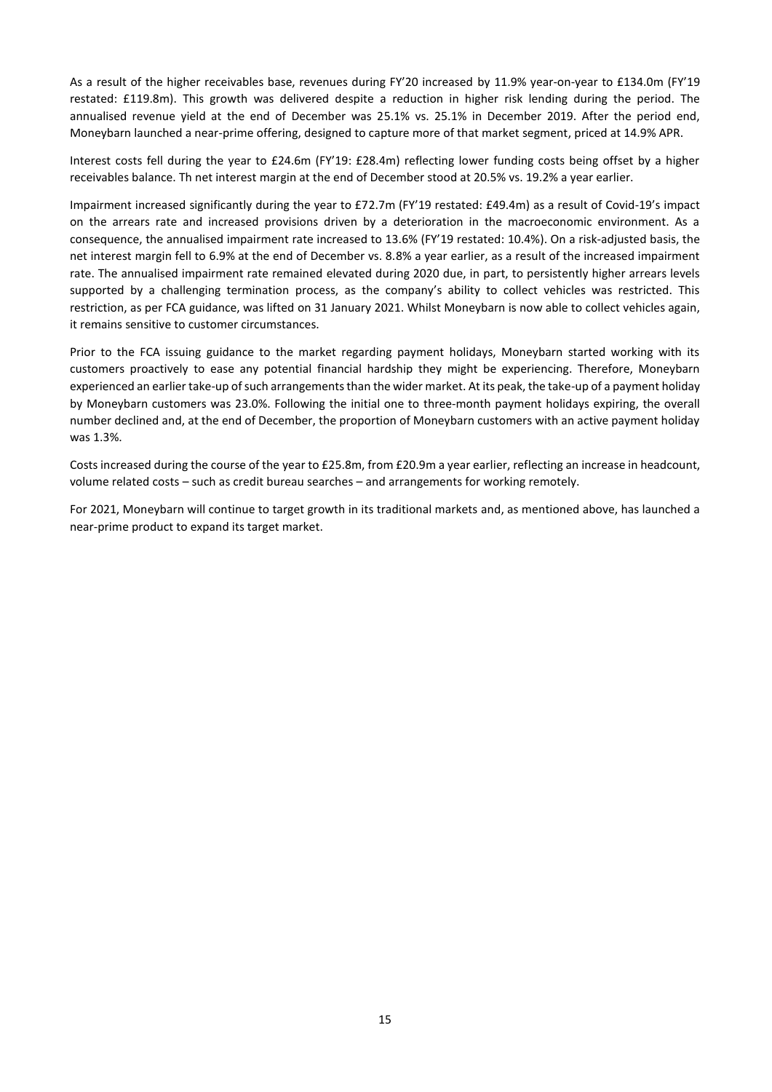As a result of the higher receivables base, revenues during FY'20 increased by 11.9% year-on-year to £134.0m (FY'19 restated: £119.8m). This growth was delivered despite a reduction in higher risk lending during the period. The annualised revenue yield at the end of December was 25.1% vs. 25.1% in December 2019. After the period end, Moneybarn launched a near-prime offering, designed to capture more of that market segment, priced at 14.9% APR.

Interest costs fell during the year to £24.6m (FY'19: £28.4m) reflecting lower funding costs being offset by a higher receivables balance. Th net interest margin at the end of December stood at 20.5% vs. 19.2% a year earlier.

Impairment increased significantly during the year to £72.7m (FY'19 restated: £49.4m) as a result of Covid-19's impact on the arrears rate and increased provisions driven by a deterioration in the macroeconomic environment. As a consequence, the annualised impairment rate increased to 13.6% (FY'19 restated: 10.4%). On a risk-adjusted basis, the net interest margin fell to 6.9% at the end of December vs. 8.8% a year earlier, as a result of the increased impairment rate. The annualised impairment rate remained elevated during 2020 due, in part, to persistently higher arrears levels supported by a challenging termination process, as the company's ability to collect vehicles was restricted. This restriction, as per FCA guidance, was lifted on 31 January 2021. Whilst Moneybarn is now able to collect vehicles again, it remains sensitive to customer circumstances.

Prior to the FCA issuing guidance to the market regarding payment holidays, Moneybarn started working with its customers proactively to ease any potential financial hardship they might be experiencing. Therefore, Moneybarn experienced an earlier take-up of such arrangements than the wider market. At its peak, the take-up of a payment holiday by Moneybarn customers was 23.0%. Following the initial one to three-month payment holidays expiring, the overall number declined and, at the end of December, the proportion of Moneybarn customers with an active payment holiday was 1.3%.

Costs increased during the course of the year to £25.8m, from £20.9m a year earlier, reflecting an increase in headcount, volume related costs – such as credit bureau searches – and arrangements for working remotely.

For 2021, Moneybarn will continue to target growth in its traditional markets and, as mentioned above, has launched a near-prime product to expand its target market.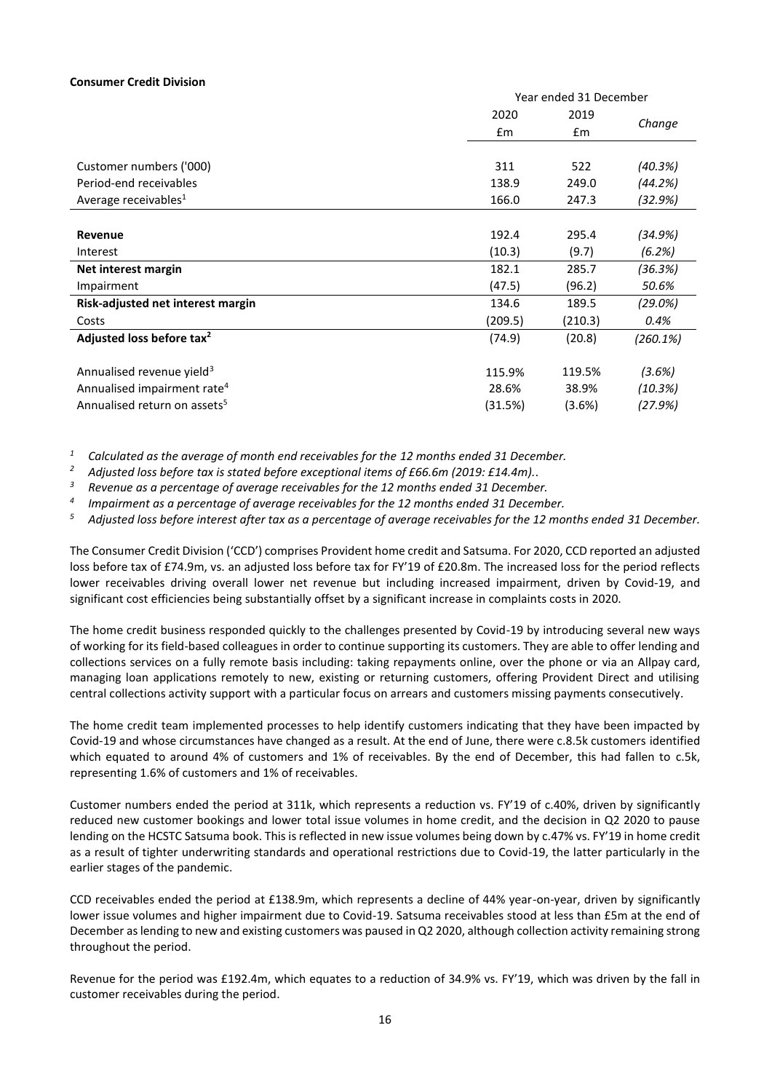#### **Consumer Credit Division**

|                                          | Year ended 31 December |         |          |  |
|------------------------------------------|------------------------|---------|----------|--|
|                                          | 2020                   | 2019    |          |  |
|                                          | £m                     | £m      | Change   |  |
|                                          |                        |         |          |  |
| Customer numbers ('000)                  | 311                    | 522     | (40.3%)  |  |
| Period-end receivables                   | 138.9                  | 249.0   | (44.2%)  |  |
| Average receivables <sup>1</sup>         | 166.0                  | 247.3   | (32.9%)  |  |
|                                          |                        |         |          |  |
| Revenue                                  | 192.4                  | 295.4   | (34.9%)  |  |
| Interest                                 | (10.3)                 | (9.7)   | (6.2%)   |  |
| Net interest margin                      | 182.1                  | 285.7   | (36.3%)  |  |
| Impairment                               | (47.5)                 | (96.2)  | 50.6%    |  |
| Risk-adjusted net interest margin        | 134.6                  | 189.5   | (29.0%)  |  |
| Costs                                    | (209.5)                | (210.3) | 0.4%     |  |
| Adjusted loss before tax <sup>2</sup>    | (74.9)                 | (20.8)  | (260.1%) |  |
|                                          |                        |         |          |  |
| Annualised revenue yield <sup>3</sup>    | 115.9%                 | 119.5%  | (3.6%)   |  |
| Annualised impairment rate <sup>4</sup>  | 28.6%                  | 38.9%   | (10.3%)  |  |
| Annualised return on assets <sup>5</sup> | (31.5%)                | (3.6%)  | (27.9%)  |  |

*<sup>1</sup> Calculated as the average of month end receivables for the 12 months ended 31 December.*

*<sup>2</sup> Adjusted loss before tax is stated before exceptional items of £66.6m (2019: £14.4m)..*

*<sup>3</sup> Revenue as a percentage of average receivables for the 12 months ended 31 December.*

*4 Impairment as a percentage of average receivables for the 12 months ended 31 December.*

*<sup>5</sup> Adjusted loss before interest after tax as a percentage of average receivables for the 12 months ended 31 December.*

The Consumer Credit Division ('CCD') comprises Provident home credit and Satsuma. For 2020, CCD reported an adjusted loss before tax of £74.9m, vs. an adjusted loss before tax for FY'19 of £20.8m. The increased loss for the period reflects lower receivables driving overall lower net revenue but including increased impairment, driven by Covid-19, and significant cost efficiencies being substantially offset by a significant increase in complaints costs in 2020.

The home credit business responded quickly to the challenges presented by Covid-19 by introducing several new ways of working for its field-based colleagues in order to continue supporting its customers. They are able to offer lending and collections services on a fully remote basis including: taking repayments online, over the phone or via an Allpay card, managing loan applications remotely to new, existing or returning customers, offering Provident Direct and utilising central collections activity support with a particular focus on arrears and customers missing payments consecutively.

The home credit team implemented processes to help identify customers indicating that they have been impacted by Covid-19 and whose circumstances have changed as a result. At the end of June, there were c.8.5k customers identified which equated to around 4% of customers and 1% of receivables. By the end of December, this had fallen to c.5k, representing 1.6% of customers and 1% of receivables.

Customer numbers ended the period at 311k, which represents a reduction vs. FY'19 of c.40%, driven by significantly reduced new customer bookings and lower total issue volumes in home credit, and the decision in Q2 2020 to pause lending on the HCSTC Satsuma book. This is reflected in new issue volumes being down by c.47% vs. FY'19 in home credit as a result of tighter underwriting standards and operational restrictions due to Covid-19, the latter particularly in the earlier stages of the pandemic.

CCD receivables ended the period at £138.9m, which represents a decline of 44% year-on-year, driven by significantly lower issue volumes and higher impairment due to Covid-19. Satsuma receivables stood at less than £5m at the end of December as lending to new and existing customers was paused in Q2 2020, although collection activity remaining strong throughout the period.

Revenue for the period was £192.4m, which equates to a reduction of 34.9% vs. FY'19, which was driven by the fall in customer receivables during the period.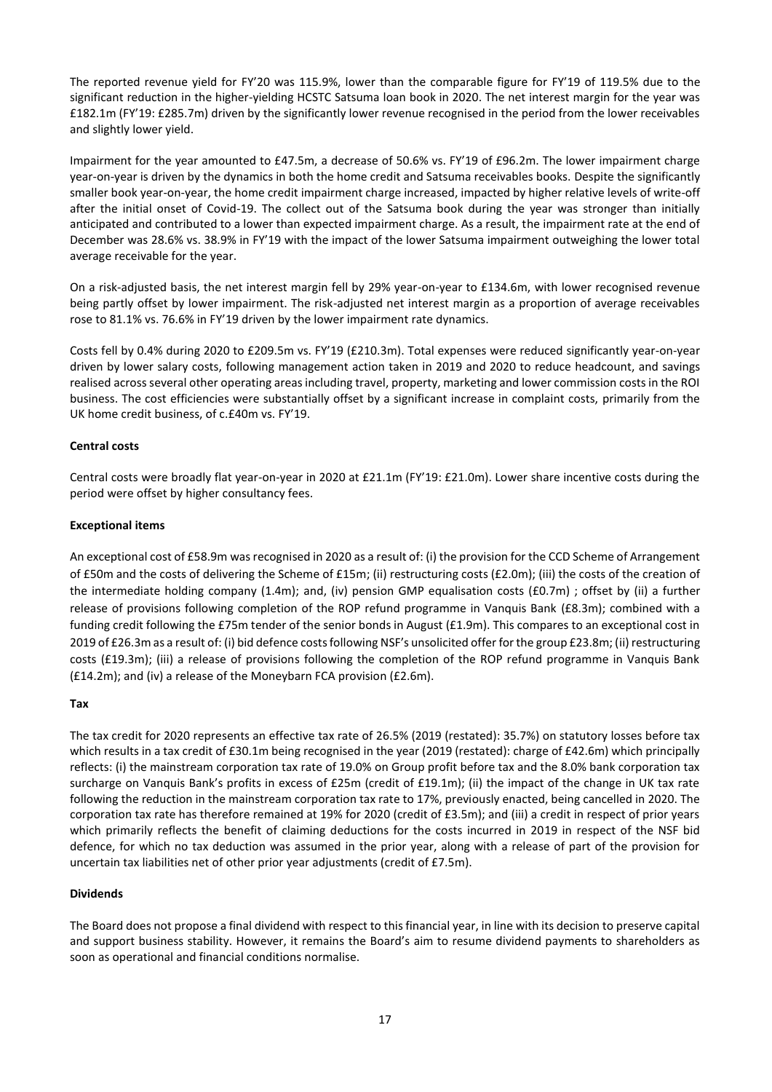The reported revenue yield for FY'20 was 115.9%, lower than the comparable figure for FY'19 of 119.5% due to the significant reduction in the higher-yielding HCSTC Satsuma loan book in 2020. The net interest margin for the year was £182.1m (FY'19: £285.7m) driven by the significantly lower revenue recognised in the period from the lower receivables and slightly lower yield.

Impairment for the year amounted to £47.5m, a decrease of 50.6% vs. FY'19 of £96.2m. The lower impairment charge year-on-year is driven by the dynamics in both the home credit and Satsuma receivables books. Despite the significantly smaller book year-on-year, the home credit impairment charge increased, impacted by higher relative levels of write-off after the initial onset of Covid-19. The collect out of the Satsuma book during the year was stronger than initially anticipated and contributed to a lower than expected impairment charge. As a result, the impairment rate at the end of December was 28.6% vs. 38.9% in FY'19 with the impact of the lower Satsuma impairment outweighing the lower total average receivable for the year.

On a risk-adjusted basis, the net interest margin fell by 29% year-on-year to £134.6m, with lower recognised revenue being partly offset by lower impairment. The risk-adjusted net interest margin as a proportion of average receivables rose to 81.1% vs. 76.6% in FY'19 driven by the lower impairment rate dynamics.

Costs fell by 0.4% during 2020 to £209.5m vs. FY'19 (£210.3m). Total expenses were reduced significantly year-on-year driven by lower salary costs, following management action taken in 2019 and 2020 to reduce headcount, and savings realised across several other operating areas including travel, property, marketing and lower commission costs in the ROI business. The cost efficiencies were substantially offset by a significant increase in complaint costs, primarily from the UK home credit business, of c.£40m vs. FY'19.

# **Central costs**

Central costs were broadly flat year-on-year in 2020 at £21.1m (FY'19: £21.0m). Lower share incentive costs during the period were offset by higher consultancy fees.

## **Exceptional items**

An exceptional cost of £58.9m was recognised in 2020 as a result of: (i) the provision for the CCD Scheme of Arrangement of £50m and the costs of delivering the Scheme of £15m; (ii) restructuring costs (£2.0m); (iii) the costs of the creation of the intermediate holding company (1.4m); and, (iv) pension GMP equalisation costs (£0.7m) ; offset by (ii) a further release of provisions following completion of the ROP refund programme in Vanquis Bank (£8.3m); combined with a funding credit following the £75m tender of the senior bonds in August (£1.9m). This compares to an exceptional cost in 2019 of £26.3m as a result of: (i) bid defence costs following NSF's unsolicited offer for the group £23.8m; (ii) restructuring costs (£19.3m); (iii) a release of provisions following the completion of the ROP refund programme in Vanquis Bank (£14.2m); and (iv) a release of the Moneybarn FCA provision (£2.6m).

## **Tax**

The tax credit for 2020 represents an effective tax rate of 26.5% (2019 (restated): 35.7%) on statutory losses before tax which results in a tax credit of £30.1m being recognised in the year (2019 (restated): charge of £42.6m) which principally reflects: (i) the mainstream corporation tax rate of 19.0% on Group profit before tax and the 8.0% bank corporation tax surcharge on Vanquis Bank's profits in excess of £25m (credit of £19.1m); (ii) the impact of the change in UK tax rate following the reduction in the mainstream corporation tax rate to 17%, previously enacted, being cancelled in 2020. The corporation tax rate has therefore remained at 19% for 2020 (credit of £3.5m); and (iii) a credit in respect of prior years which primarily reflects the benefit of claiming deductions for the costs incurred in 2019 in respect of the NSF bid defence, for which no tax deduction was assumed in the prior year, along with a release of part of the provision for uncertain tax liabilities net of other prior year adjustments (credit of £7.5m).

## **Dividends**

The Board does not propose a final dividend with respect to this financial year, in line with its decision to preserve capital and support business stability. However, it remains the Board's aim to resume dividend payments to shareholders as soon as operational and financial conditions normalise.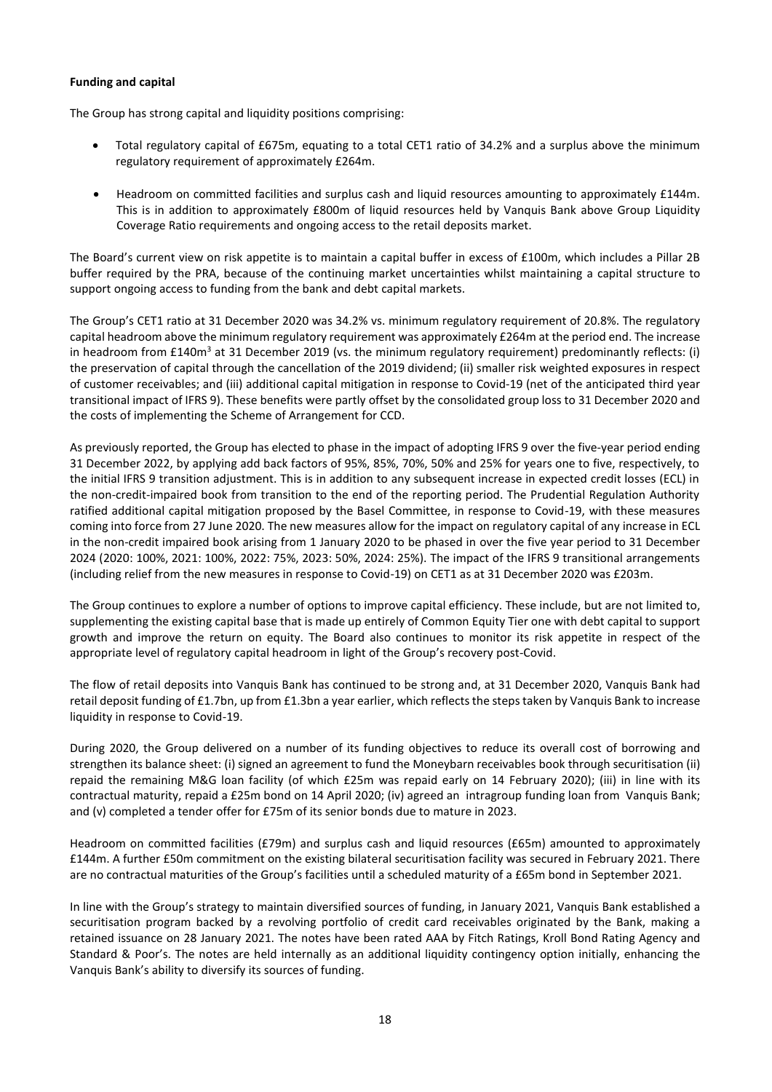## **Funding and capital**

The Group has strong capital and liquidity positions comprising:

- Total regulatory capital of £675m, equating to a total CET1 ratio of 34.2% and a surplus above the minimum regulatory requirement of approximately £264m.
- Headroom on committed facilities and surplus cash and liquid resources amounting to approximately £144m. This is in addition to approximately £800m of liquid resources held by Vanquis Bank above Group Liquidity Coverage Ratio requirements and ongoing access to the retail deposits market.

The Board's current view on risk appetite is to maintain a capital buffer in excess of £100m, which includes a Pillar 2B buffer required by the PRA, because of the continuing market uncertainties whilst maintaining a capital structure to support ongoing access to funding from the bank and debt capital markets.

The Group's CET1 ratio at 31 December 2020 was 34.2% vs. minimum regulatory requirement of 20.8%. The regulatory capital headroom above the minimum regulatory requirement was approximately £264m at the period end. The increase in headroom from  $£140m<sup>3</sup>$  at 31 December 2019 (vs. the minimum regulatory requirement) predominantly reflects: (i) the preservation of capital through the cancellation of the 2019 dividend; (ii) smaller risk weighted exposures in respect of customer receivables; and (iii) additional capital mitigation in response to Covid-19 (net of the anticipated third year transitional impact of IFRS 9). These benefits were partly offset by the consolidated group loss to 31 December 2020 and the costs of implementing the Scheme of Arrangement for CCD.

As previously reported, the Group has elected to phase in the impact of adopting IFRS 9 over the five-year period ending 31 December 2022, by applying add back factors of 95%, 85%, 70%, 50% and 25% for years one to five, respectively, to the initial IFRS 9 transition adjustment. This is in addition to any subsequent increase in expected credit losses (ECL) in the non-credit-impaired book from transition to the end of the reporting period. The Prudential Regulation Authority ratified additional capital mitigation proposed by the Basel Committee, in response to Covid-19, with these measures coming into force from 27 June 2020. The new measures allow for the impact on regulatory capital of any increase in ECL in the non-credit impaired book arising from 1 January 2020 to be phased in over the five year period to 31 December 2024 (2020: 100%, 2021: 100%, 2022: 75%, 2023: 50%, 2024: 25%). The impact of the IFRS 9 transitional arrangements (including relief from the new measures in response to Covid-19) on CET1 as at 31 December 2020 was £203m.

The Group continues to explore a number of options to improve capital efficiency. These include, but are not limited to, supplementing the existing capital base that is made up entirely of Common Equity Tier one with debt capital to support growth and improve the return on equity. The Board also continues to monitor its risk appetite in respect of the appropriate level of regulatory capital headroom in light of the Group's recovery post-Covid.

The flow of retail deposits into Vanquis Bank has continued to be strong and, at 31 December 2020, Vanquis Bank had retail deposit funding of £1.7bn, up from £1.3bn a year earlier, which reflects the steps taken by Vanquis Bank to increase liquidity in response to Covid-19.

During 2020, the Group delivered on a number of its funding objectives to reduce its overall cost of borrowing and strengthen its balance sheet: (i) signed an agreement to fund the Moneybarn receivables book through securitisation (ii) repaid the remaining M&G loan facility (of which £25m was repaid early on 14 February 2020); (iii) in line with its contractual maturity, repaid a £25m bond on 14 April 2020; (iv) agreed an intragroup funding loan from Vanquis Bank; and (v) completed a tender offer for £75m of its senior bonds due to mature in 2023.

Headroom on committed facilities (£79m) and surplus cash and liquid resources (£65m) amounted to approximately £144m. A further £50m commitment on the existing bilateral securitisation facility was secured in February 2021. There are no contractual maturities of the Group's facilities until a scheduled maturity of a £65m bond in September 2021.

In line with the Group's strategy to maintain diversified sources of funding, in January 2021, Vanquis Bank established a securitisation program backed by a revolving portfolio of credit card receivables originated by the Bank, making a retained issuance on 28 January 2021. The notes have been rated AAA by Fitch Ratings, Kroll Bond Rating Agency and Standard & Poor's. The notes are held internally as an additional liquidity contingency option initially, enhancing the Vanquis Bank's ability to diversify its sources of funding.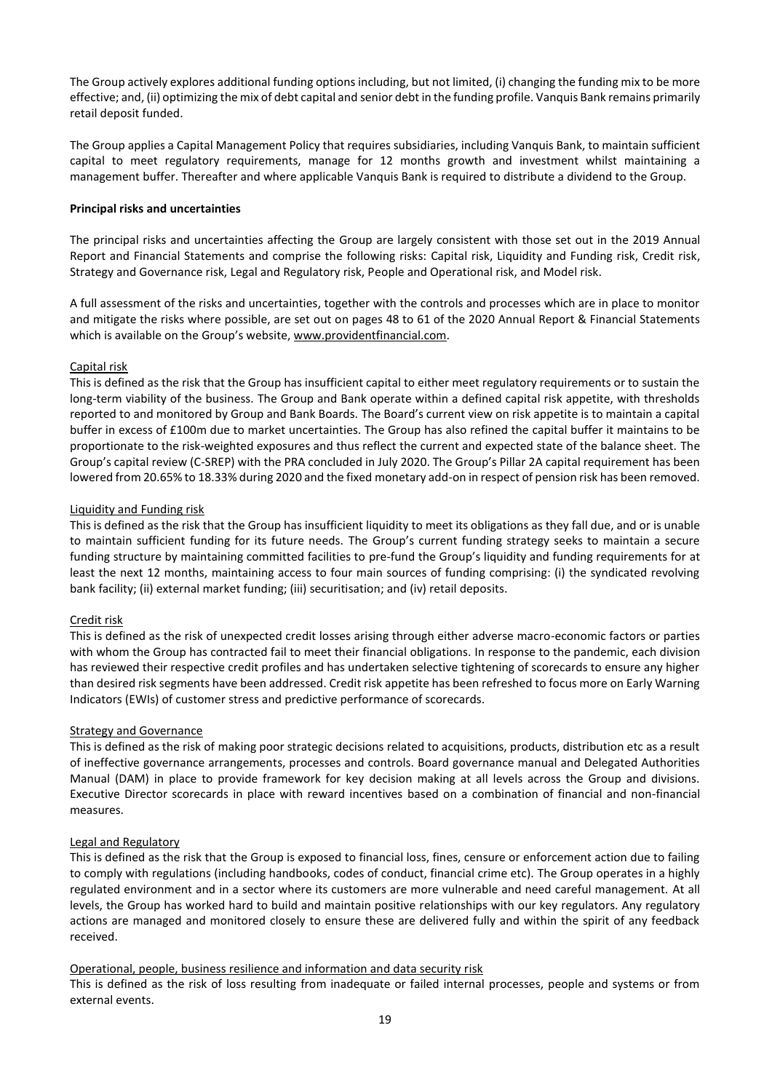The Group actively explores additional funding options including, but not limited, (i) changing the funding mix to be more effective; and, (ii) optimizing the mix of debt capital and senior debt in the funding profile. Vanquis Bank remains primarily retail deposit funded.

The Group applies a Capital Management Policy that requires subsidiaries, including Vanquis Bank, to maintain sufficient capital to meet regulatory requirements, manage for 12 months growth and investment whilst maintaining a management buffer. Thereafter and where applicable Vanquis Bank is required to distribute a dividend to the Group.

## **Principal risks and uncertainties**

The principal risks and uncertainties affecting the Group are largely consistent with those set out in the 2019 Annual Report and Financial Statements and comprise the following risks: Capital risk, Liquidity and Funding risk, Credit risk, Strategy and Governance risk, Legal and Regulatory risk, People and Operational risk, and Model risk.

A full assessment of the risks and uncertainties, together with the controls and processes which are in place to monitor and mitigate the risks where possible, are set out on pages 48 to 61 of the 2020 Annual Report & Financial Statements which is available on the Group's website, [www.providentfinancial.com.](http://www.providentfinancial.com/) 

# Capital risk

This is defined as the risk that the Group has insufficient capital to either meet regulatory requirements or to sustain the long-term viability of the business. The Group and Bank operate within a defined capital risk appetite, with thresholds reported to and monitored by Group and Bank Boards. The Board's current view on risk appetite is to maintain a capital buffer in excess of £100m due to market uncertainties. The Group has also refined the capital buffer it maintains to be proportionate to the risk-weighted exposures and thus reflect the current and expected state of the balance sheet. The Group's capital review (C-SREP) with the PRA concluded in July 2020. The Group's Pillar 2A capital requirement has been lowered from 20.65% to 18.33% during 2020 and the fixed monetary add-on in respect of pension risk has been removed.

## Liquidity and Funding risk

This is defined as the risk that the Group has insufficient liquidity to meet its obligations as they fall due, and or is unable to maintain sufficient funding for its future needs. The Group's current funding strategy seeks to maintain a secure funding structure by maintaining committed facilities to pre-fund the Group's liquidity and funding requirements for at least the next 12 months, maintaining access to four main sources of funding comprising: (i) the syndicated revolving bank facility; (ii) external market funding; (iii) securitisation; and (iv) retail deposits.

## Credit risk

This is defined as the risk of unexpected credit losses arising through either adverse macro-economic factors or parties with whom the Group has contracted fail to meet their financial obligations. In response to the pandemic, each division has reviewed their respective credit profiles and has undertaken selective tightening of scorecards to ensure any higher than desired risk segments have been addressed. Credit risk appetite has been refreshed to focus more on Early Warning Indicators (EWIs) of customer stress and predictive performance of scorecards.

## Strategy and Governance

This is defined as the risk of making poor strategic decisions related to acquisitions, products, distribution etc as a result of ineffective governance arrangements, processes and controls. Board governance manual and Delegated Authorities Manual (DAM) in place to provide framework for key decision making at all levels across the Group and divisions. Executive Director scorecards in place with reward incentives based on a combination of financial and non-financial measures.

## Legal and Regulatory

This is defined as the risk that the Group is exposed to financial loss, fines, censure or enforcement action due to failing to comply with regulations (including handbooks, codes of conduct, financial crime etc). The Group operates in a highly regulated environment and in a sector where its customers are more vulnerable and need careful management. At all levels, the Group has worked hard to build and maintain positive relationships with our key regulators. Any regulatory actions are managed and monitored closely to ensure these are delivered fully and within the spirit of any feedback received.

## Operational, people, business resilience and information and data security risk

This is defined as the risk of loss resulting from inadequate or failed internal processes, people and systems or from external events.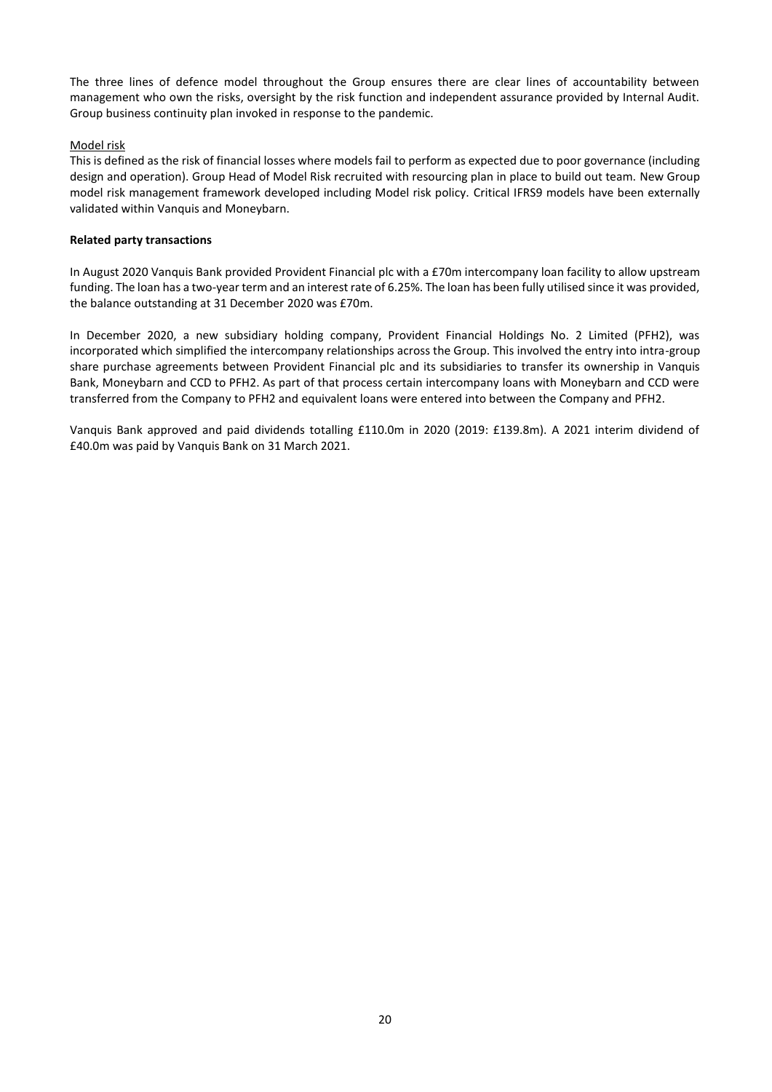The three lines of defence model throughout the Group ensures there are clear lines of accountability between management who own the risks, oversight by the risk function and independent assurance provided by Internal Audit. Group business continuity plan invoked in response to the pandemic.

## Model risk

This is defined as the risk of financial losses where models fail to perform as expected due to poor governance (including design and operation). Group Head of Model Risk recruited with resourcing plan in place to build out team. New Group model risk management framework developed including Model risk policy. Critical IFRS9 models have been externally validated within Vanquis and Moneybarn.

## **Related party transactions**

In August 2020 Vanquis Bank provided Provident Financial plc with a £70m intercompany loan facility to allow upstream funding. The loan has a two-year term and an interest rate of 6.25%. The loan has been fully utilised since it was provided, the balance outstanding at 31 December 2020 was £70m.

In December 2020, a new subsidiary holding company, Provident Financial Holdings No. 2 Limited (PFH2), was incorporated which simplified the intercompany relationships across the Group. This involved the entry into intra-group share purchase agreements between Provident Financial plc and its subsidiaries to transfer its ownership in Vanquis Bank, Moneybarn and CCD to PFH2. As part of that process certain intercompany loans with Moneybarn and CCD were transferred from the Company to PFH2 and equivalent loans were entered into between the Company and PFH2.

Vanquis Bank approved and paid dividends totalling £110.0m in 2020 (2019: £139.8m). A 2021 interim dividend of £40.0m was paid by Vanquis Bank on 31 March 2021.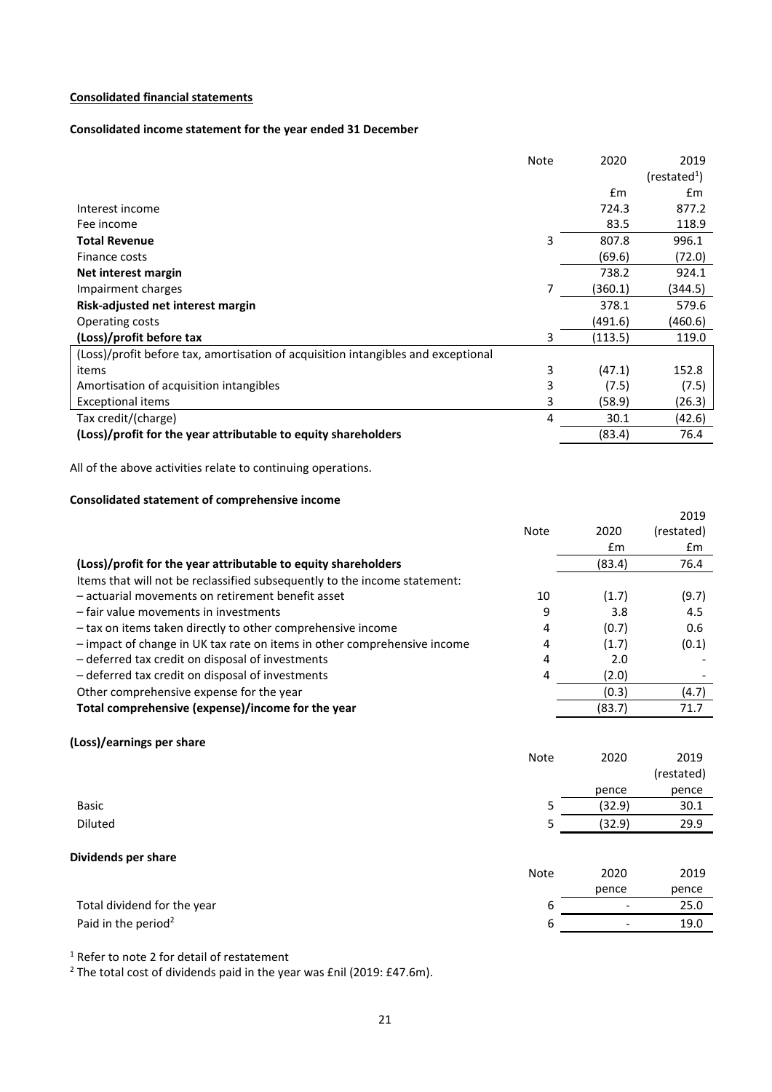# **Consolidated financial statements**

# **Consolidated income statement for the year ended 31 December**

|                                                                                   | <b>Note</b> | 2020          | 2019                   |
|-----------------------------------------------------------------------------------|-------------|---------------|------------------------|
|                                                                                   |             |               | (rested <sup>1</sup> ) |
|                                                                                   |             | $\mathsf{fm}$ | £m                     |
| Interest income                                                                   |             | 724.3         | 877.2                  |
| Fee income                                                                        |             | 83.5          | 118.9                  |
| <b>Total Revenue</b>                                                              | 3           | 807.8         | 996.1                  |
| Finance costs                                                                     |             | (69.6)        | (72.0)                 |
| Net interest margin                                                               |             | 738.2         | 924.1                  |
| Impairment charges                                                                | 7           | (360.1)       | (344.5)                |
| Risk-adjusted net interest margin                                                 |             | 378.1         | 579.6                  |
| Operating costs                                                                   |             | (491.6)       | (460.6)                |
| (Loss)/profit before tax                                                          | 3           | (113.5)       | 119.0                  |
| (Loss)/profit before tax, amortisation of acquisition intangibles and exceptional |             |               |                        |
| items                                                                             | 3           | (47.1)        | 152.8                  |
| Amortisation of acquisition intangibles                                           | 3           | (7.5)         | (7.5)                  |
| <b>Exceptional items</b>                                                          | 3           | (58.9)        | (26.3)                 |
| Tax credit/(charge)                                                               | 4           | 30.1          | (42.6)                 |
| (Loss)/profit for the year attributable to equity shareholders                    |             | (83.4)        | 76.4                   |

All of the above activities relate to continuing operations.

# **Consolidated statement of comprehensive income**

|                                                                           |             |        | 2019          |
|---------------------------------------------------------------------------|-------------|--------|---------------|
|                                                                           | <b>Note</b> | 2020   | (restated)    |
|                                                                           |             | £m     | $\mathsf{fm}$ |
| (Loss)/profit for the year attributable to equity shareholders            |             | (83.4) | 76.4          |
| Items that will not be reclassified subsequently to the income statement: |             |        |               |
| - actuarial movements on retirement benefit asset                         | 10          | (1.7)  | (9.7)         |
| - fair value movements in investments                                     | 9           | 3.8    | 4.5           |
| - tax on items taken directly to other comprehensive income               | 4           | (0.7)  | 0.6           |
| - impact of change in UK tax rate on items in other comprehensive income  | 4           | (1.7)  | (0.1)         |
| - deferred tax credit on disposal of investments                          | 4           | 2.0    |               |
| - deferred tax credit on disposal of investments                          | 4           | (2.0)  |               |
| Other comprehensive expense for the year                                  |             | (0.3)  | (4.7)         |
| Total comprehensive (expense)/income for the year                         |             | (83.7) | 71.7          |
| (Loss)/earnings per share                                                 |             |        |               |
|                                                                           | <b>Note</b> | 2020   | 2019          |
|                                                                           |             |        | (restated)    |
|                                                                           |             | pence  | pence         |
| <b>Basic</b>                                                              | 5           | (32.9) | 30.1          |
| <b>Diluted</b>                                                            | 5           | (32.9) | 29.9          |
|                                                                           |             |        |               |
| Dividends per share                                                       | <b>Note</b> | 2020   | 2019          |
|                                                                           |             | pence  | pence         |
| Total dividend for the year                                               | 6           |        | 25.0          |
|                                                                           |             |        |               |
| Paid in the period <sup>2</sup>                                           | 6           |        | 19.0          |

<sup>1</sup> Refer to note 2 for detail of restatement

<sup>2</sup> The total cost of dividends paid in the year was £nil (2019: £47.6m).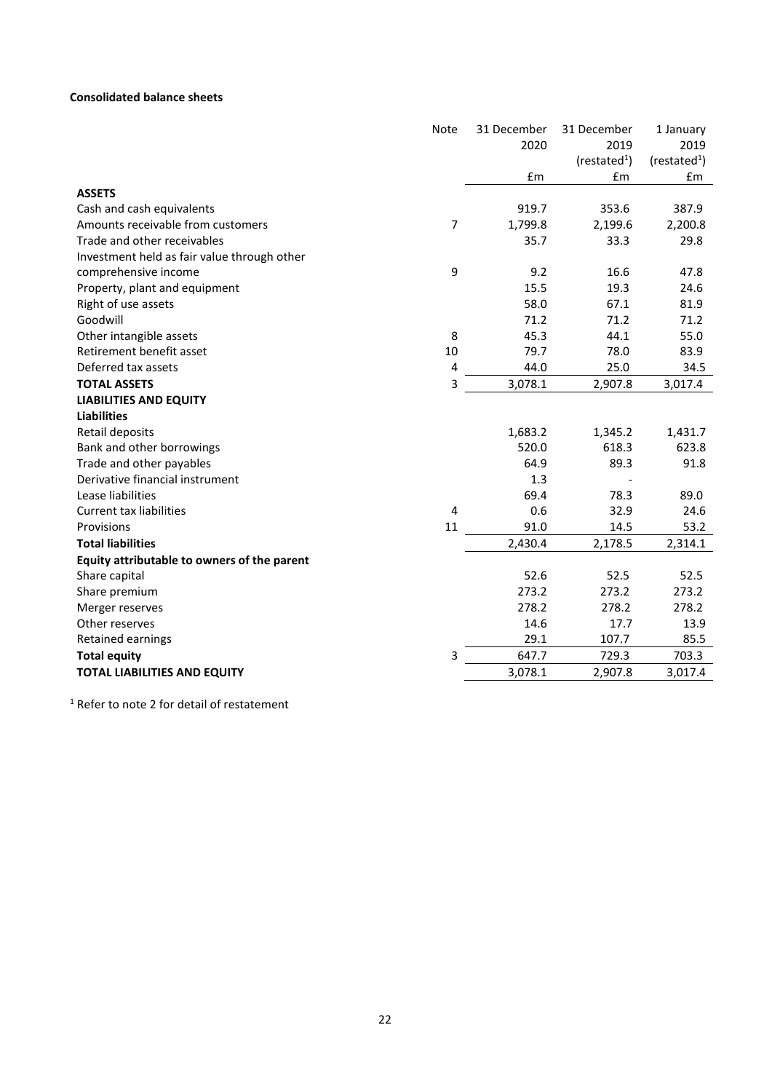## **Consolidated balance sheets**

|                                             | Note | 31 December | 31 December            | 1 January              |
|---------------------------------------------|------|-------------|------------------------|------------------------|
|                                             |      | 2020        | 2019                   | 2019                   |
|                                             |      |             | (rested <sup>1</sup> ) | (rested <sup>1</sup> ) |
|                                             |      | £m          | £m                     | £m                     |
| <b>ASSETS</b>                               |      |             |                        |                        |
| Cash and cash equivalents                   |      | 919.7       | 353.6                  | 387.9                  |
| Amounts receivable from customers           | 7    | 1,799.8     | 2,199.6                | 2,200.8                |
| Trade and other receivables                 |      | 35.7        | 33.3                   | 29.8                   |
| Investment held as fair value through other |      |             |                        |                        |
| comprehensive income                        | 9    | 9.2         | 16.6                   | 47.8                   |
| Property, plant and equipment               |      | 15.5        | 19.3                   | 24.6                   |
| Right of use assets                         |      | 58.0        | 67.1                   | 81.9                   |
| Goodwill                                    |      | 71.2        | 71.2                   | 71.2                   |
| Other intangible assets                     | 8    | 45.3        | 44.1                   | 55.0                   |
| Retirement benefit asset                    | 10   | 79.7        | 78.0                   | 83.9                   |
| Deferred tax assets                         | 4    | 44.0        | 25.0                   | 34.5                   |
| <b>TOTAL ASSETS</b>                         | 3    | 3,078.1     | 2,907.8                | 3,017.4                |
| <b>LIABILITIES AND EQUITY</b>               |      |             |                        |                        |
| <b>Liabilities</b>                          |      |             |                        |                        |
| Retail deposits                             |      | 1,683.2     | 1,345.2                | 1,431.7                |
| Bank and other borrowings                   |      | 520.0       | 618.3                  | 623.8                  |
| Trade and other payables                    |      | 64.9        | 89.3                   | 91.8                   |
| Derivative financial instrument             |      | 1.3         |                        |                        |
| Lease liabilities                           |      | 69.4        | 78.3                   | 89.0                   |
| <b>Current tax liabilities</b>              | 4    | 0.6         | 32.9                   | 24.6                   |
| Provisions                                  | 11   | 91.0        | 14.5                   | 53.2                   |
| <b>Total liabilities</b>                    |      | 2,430.4     | 2,178.5                | 2,314.1                |
| Equity attributable to owners of the parent |      |             |                        |                        |
| Share capital                               |      | 52.6        | 52.5                   | 52.5                   |
| Share premium                               |      | 273.2       | 273.2                  | 273.2                  |
| Merger reserves                             |      | 278.2       | 278.2                  | 278.2                  |
| Other reserves                              |      | 14.6        | 17.7                   | 13.9                   |
| Retained earnings                           |      | 29.1        | 107.7                  | 85.5                   |
| <b>Total equity</b>                         | 3    | 647.7       | 729.3                  | 703.3                  |
| TOTAL LIABILITIES AND EQUITY                |      | 3,078.1     | 2,907.8                | 3,017.4                |
|                                             |      |             |                        |                        |

<sup>1</sup> Refer to note 2 for detail of restatement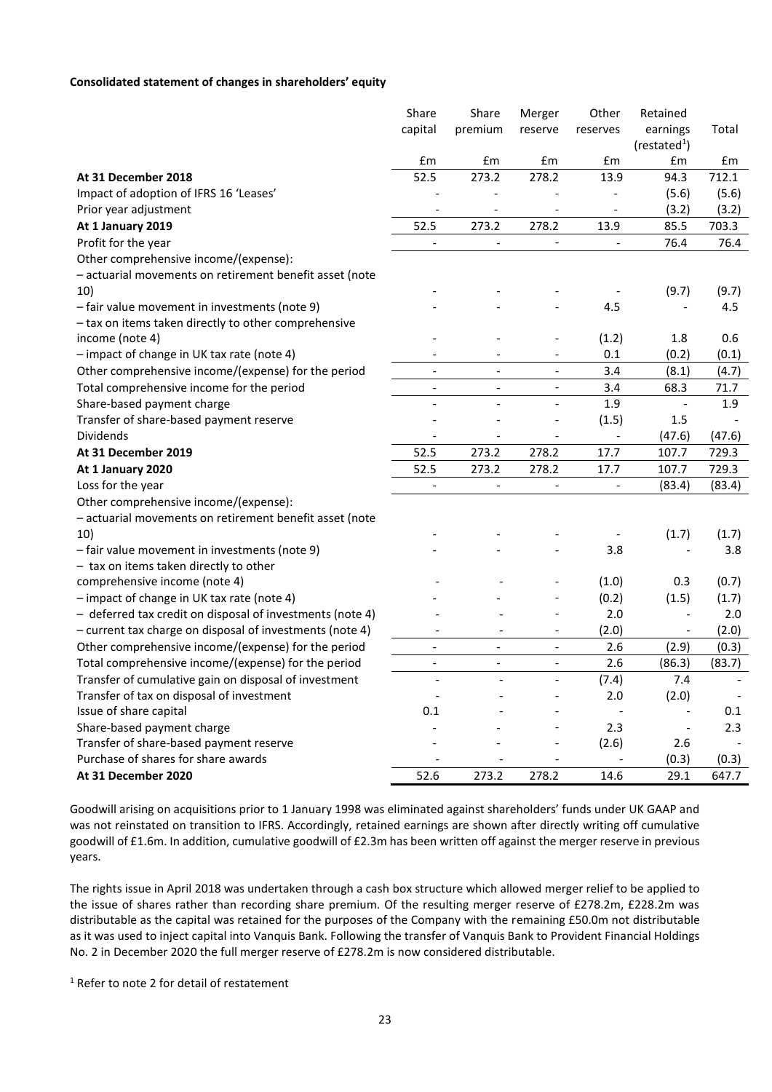#### **Consolidated statement of changes in shareholders' equity**

|                                                           | Share                    | Share                    | Merger                       | Other                    | Retained               |        |
|-----------------------------------------------------------|--------------------------|--------------------------|------------------------------|--------------------------|------------------------|--------|
|                                                           | capital                  | premium                  | reserve                      | reserves                 | earnings               | Total  |
|                                                           |                          |                          |                              |                          | (rested <sup>1</sup> ) |        |
|                                                           | £m                       | £m                       | £m                           | £m                       | £m                     | £m     |
| At 31 December 2018                                       | 52.5                     | 273.2                    | 278.2                        | 13.9                     | 94.3                   | 712.1  |
| Impact of adoption of IFRS 16 'Leases'                    |                          |                          |                              |                          | (5.6)                  | (5.6)  |
| Prior year adjustment                                     |                          |                          |                              |                          | (3.2)                  | (3.2)  |
| At 1 January 2019                                         | 52.5                     | 273.2                    | 278.2                        | 13.9                     | 85.5                   | 703.3  |
| Profit for the year                                       |                          |                          |                              |                          | 76.4                   | 76.4   |
| Other comprehensive income/(expense):                     |                          |                          |                              |                          |                        |        |
| - actuarial movements on retirement benefit asset (note   |                          |                          |                              |                          |                        |        |
| 10)                                                       |                          |                          |                              |                          | (9.7)                  | (9.7)  |
| - fair value movement in investments (note 9)             |                          |                          |                              | 4.5                      |                        | 4.5    |
| - tax on items taken directly to other comprehensive      |                          |                          |                              |                          |                        |        |
| income (note 4)                                           |                          |                          | $\overline{a}$               | (1.2)                    | 1.8                    | 0.6    |
| - impact of change in UK tax rate (note 4)                |                          |                          |                              | 0.1                      | (0.2)                  | (0.1)  |
| Other comprehensive income/(expense) for the period       | $\overline{a}$           | $\overline{a}$           | $\overline{a}$               | 3.4                      | (8.1)                  | (4.7)  |
| Total comprehensive income for the period                 | $\overline{\phantom{0}}$ | $\overline{\phantom{a}}$ | $\overline{a}$               | 3.4                      | 68.3                   | 71.7   |
| Share-based payment charge                                | $\overline{a}$           | $\overline{a}$           | $\overline{a}$               | 1.9                      |                        | 1.9    |
| Transfer of share-based payment reserve                   |                          |                          |                              | (1.5)                    | 1.5                    |        |
| <b>Dividends</b>                                          |                          |                          |                              | $\overline{\phantom{a}}$ | (47.6)                 | (47.6) |
| At 31 December 2019                                       | 52.5                     | 273.2                    | 278.2                        | 17.7                     | 107.7                  | 729.3  |
| At 1 January 2020                                         | 52.5                     | 273.2                    | 278.2                        | 17.7                     | 107.7                  | 729.3  |
| Loss for the year                                         |                          |                          |                              |                          | (83.4)                 | (83.4) |
| Other comprehensive income/(expense):                     |                          |                          |                              |                          |                        |        |
| - actuarial movements on retirement benefit asset (note   |                          |                          |                              |                          |                        |        |
| 10)                                                       |                          |                          |                              |                          | (1.7)                  | (1.7)  |
| - fair value movement in investments (note 9)             |                          |                          |                              | 3.8                      |                        | 3.8    |
| - tax on items taken directly to other                    |                          |                          |                              |                          |                        |        |
| comprehensive income (note 4)                             |                          |                          |                              | (1.0)                    | 0.3                    | (0.7)  |
| - impact of change in UK tax rate (note 4)                |                          |                          |                              | (0.2)                    | (1.5)                  | (1.7)  |
| - deferred tax credit on disposal of investments (note 4) |                          |                          |                              | 2.0                      |                        | 2.0    |
| - current tax charge on disposal of investments (note 4)  |                          |                          |                              | (2.0)                    |                        | (2.0)  |
| Other comprehensive income/(expense) for the period       |                          |                          | $\overline{a}$               | 2.6                      | (2.9)                  | (0.3)  |
| Total comprehensive income/(expense) for the period       | $\overline{\phantom{a}}$ | $\overline{\phantom{a}}$ | $\qquad \qquad \blacksquare$ | 2.6                      | (86.3)                 | (83.7) |
| Transfer of cumulative gain on disposal of investment     | $\overline{\phantom{a}}$ | $\overline{\phantom{a}}$ | $\overline{a}$               | (7.4)                    | 7.4                    |        |
| Transfer of tax on disposal of investment                 |                          |                          |                              | 2.0                      | (2.0)                  |        |
| Issue of share capital                                    | 0.1                      |                          |                              |                          |                        | 0.1    |
| Share-based payment charge                                |                          |                          |                              | 2.3                      |                        | 2.3    |
| Transfer of share-based payment reserve                   |                          |                          | ٠                            | (2.6)                    | 2.6                    |        |
| Purchase of shares for share awards                       |                          |                          |                              |                          | (0.3)                  | (0.3)  |
| At 31 December 2020                                       | 52.6                     | 273.2                    | 278.2                        | 14.6                     | 29.1                   | 647.7  |

Goodwill arising on acquisitions prior to 1 January 1998 was eliminated against shareholders' funds under UK GAAP and was not reinstated on transition to IFRS. Accordingly, retained earnings are shown after directly writing off cumulative goodwill of £1.6m. In addition, cumulative goodwill of £2.3m has been written off against the merger reserve in previous years.

The rights issue in April 2018 was undertaken through a cash box structure which allowed merger relief to be applied to the issue of shares rather than recording share premium. Of the resulting merger reserve of £278.2m, £228.2m was distributable as the capital was retained for the purposes of the Company with the remaining £50.0m not distributable as it was used to inject capital into Vanquis Bank. Following the transfer of Vanquis Bank to Provident Financial Holdings No. 2 in December 2020 the full merger reserve of £278.2m is now considered distributable.

<sup>1</sup> Refer to note 2 for detail of restatement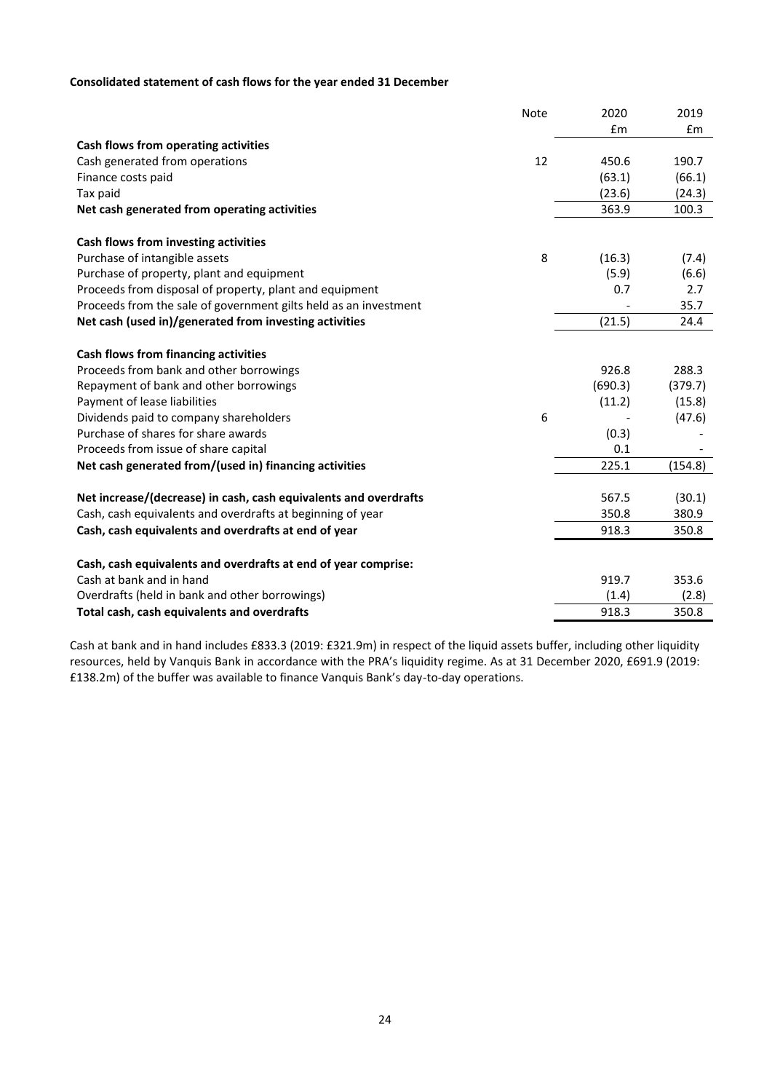# **Consolidated statement of cash flows for the year ended 31 December**

|                                                                  | <b>Note</b> | 2020    | 2019    |
|------------------------------------------------------------------|-------------|---------|---------|
|                                                                  |             | £m      | Em      |
| Cash flows from operating activities                             |             |         |         |
| Cash generated from operations                                   | 12          | 450.6   | 190.7   |
| Finance costs paid                                               |             | (63.1)  | (66.1)  |
| Tax paid                                                         |             | (23.6)  | (24.3)  |
| Net cash generated from operating activities                     |             | 363.9   | 100.3   |
| Cash flows from investing activities                             |             |         |         |
| Purchase of intangible assets                                    | 8           | (16.3)  | (7.4)   |
| Purchase of property, plant and equipment                        |             | (5.9)   | (6.6)   |
| Proceeds from disposal of property, plant and equipment          |             | 0.7     | 2.7     |
| Proceeds from the sale of government gilts held as an investment |             |         | 35.7    |
| Net cash (used in)/generated from investing activities           |             | (21.5)  | 24.4    |
| Cash flows from financing activities                             |             |         |         |
| Proceeds from bank and other borrowings                          |             | 926.8   | 288.3   |
| Repayment of bank and other borrowings                           |             | (690.3) | (379.7) |
| Payment of lease liabilities                                     |             | (11.2)  | (15.8)  |
| Dividends paid to company shareholders                           | 6           |         | (47.6)  |
| Purchase of shares for share awards                              |             | (0.3)   |         |
| Proceeds from issue of share capital                             |             | 0.1     |         |
| Net cash generated from/(used in) financing activities           |             | 225.1   | (154.8) |
| Net increase/(decrease) in cash, cash equivalents and overdrafts |             | 567.5   | (30.1)  |
| Cash, cash equivalents and overdrafts at beginning of year       |             | 350.8   | 380.9   |
| Cash, cash equivalents and overdrafts at end of year             |             | 918.3   | 350.8   |
| Cash, cash equivalents and overdrafts at end of year comprise:   |             |         |         |
| Cash at bank and in hand                                         |             | 919.7   | 353.6   |
| Overdrafts (held in bank and other borrowings)                   |             | (1.4)   | (2.8)   |
| Total cash, cash equivalents and overdrafts                      |             | 918.3   | 350.8   |

Cash at bank and in hand includes £833.3 (2019: £321.9m) in respect of the liquid assets buffer, including other liquidity resources, held by Vanquis Bank in accordance with the PRA's liquidity regime. As at 31 December 2020, £691.9 (2019: £138.2m) of the buffer was available to finance Vanquis Bank's day-to-day operations.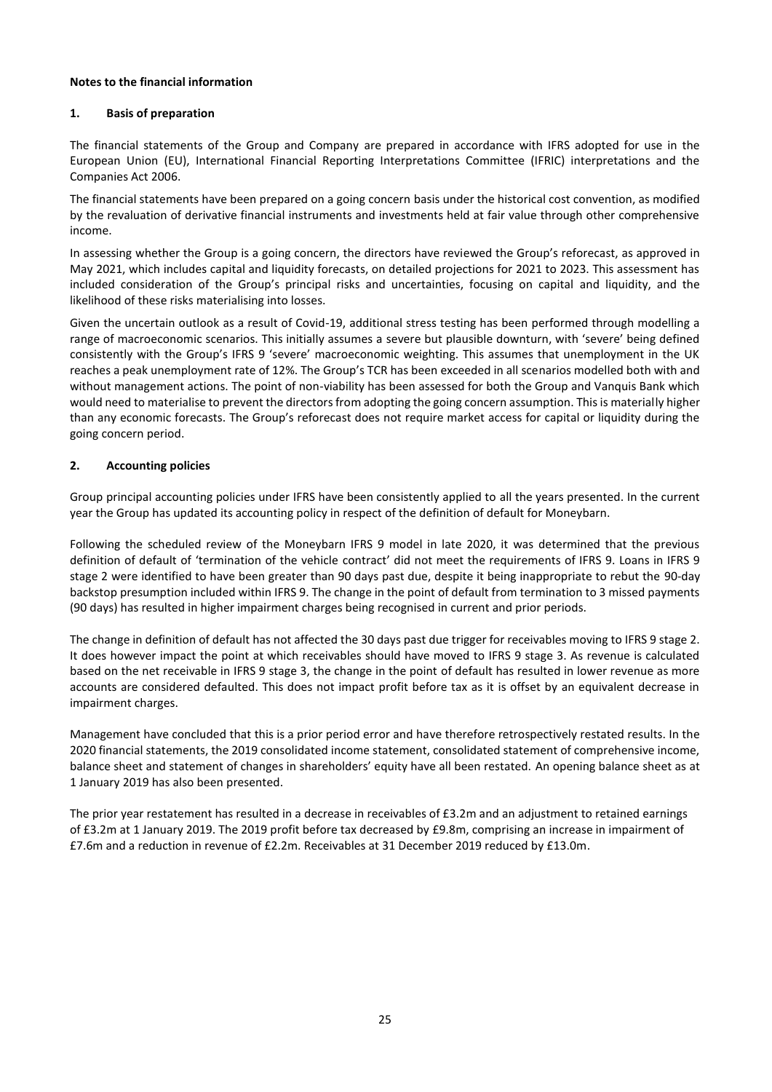## **Notes to the financial information**

## **1. Basis of preparation**

The financial statements of the Group and Company are prepared in accordance with IFRS adopted for use in the European Union (EU), International Financial Reporting Interpretations Committee (IFRIC) interpretations and the Companies Act 2006.

The financial statements have been prepared on a going concern basis under the historical cost convention, as modified by the revaluation of derivative financial instruments and investments held at fair value through other comprehensive income.

In assessing whether the Group is a going concern, the directors have reviewed the Group's reforecast, as approved in May 2021, which includes capital and liquidity forecasts, on detailed projections for 2021 to 2023. This assessment has included consideration of the Group's principal risks and uncertainties, focusing on capital and liquidity, and the likelihood of these risks materialising into losses.

Given the uncertain outlook as a result of Covid-19, additional stress testing has been performed through modelling a range of macroeconomic scenarios. This initially assumes a severe but plausible downturn, with 'severe' being defined consistently with the Group's IFRS 9 'severe' macroeconomic weighting. This assumes that unemployment in the UK reaches a peak unemployment rate of 12%. The Group's TCR has been exceeded in all scenarios modelled both with and without management actions. The point of non-viability has been assessed for both the Group and Vanquis Bank which would need to materialise to prevent the directors from adopting the going concern assumption. This is materially higher than any economic forecasts. The Group's reforecast does not require market access for capital or liquidity during the going concern period.

## **2. Accounting policies**

Group principal accounting policies under IFRS have been consistently applied to all the years presented. In the current year the Group has updated its accounting policy in respect of the definition of default for Moneybarn.

Following the scheduled review of the Moneybarn IFRS 9 model in late 2020, it was determined that the previous definition of default of 'termination of the vehicle contract' did not meet the requirements of IFRS 9. Loans in IFRS 9 stage 2 were identified to have been greater than 90 days past due, despite it being inappropriate to rebut the 90-day backstop presumption included within IFRS 9. The change in the point of default from termination to 3 missed payments (90 days) has resulted in higher impairment charges being recognised in current and prior periods.

The change in definition of default has not affected the 30 days past due trigger for receivables moving to IFRS 9 stage 2. It does however impact the point at which receivables should have moved to IFRS 9 stage 3. As revenue is calculated based on the net receivable in IFRS 9 stage 3, the change in the point of default has resulted in lower revenue as more accounts are considered defaulted. This does not impact profit before tax as it is offset by an equivalent decrease in impairment charges.

Management have concluded that this is a prior period error and have therefore retrospectively restated results. In the 2020 financial statements, the 2019 consolidated income statement, consolidated statement of comprehensive income, balance sheet and statement of changes in shareholders' equity have all been restated. An opening balance sheet as at 1 January 2019 has also been presented.

The prior year restatement has resulted in a decrease in receivables of £3.2m and an adjustment to retained earnings of £3.2m at 1 January 2019. The 2019 profit before tax decreased by £9.8m, comprising an increase in impairment of £7.6m and a reduction in revenue of £2.2m. Receivables at 31 December 2019 reduced by £13.0m.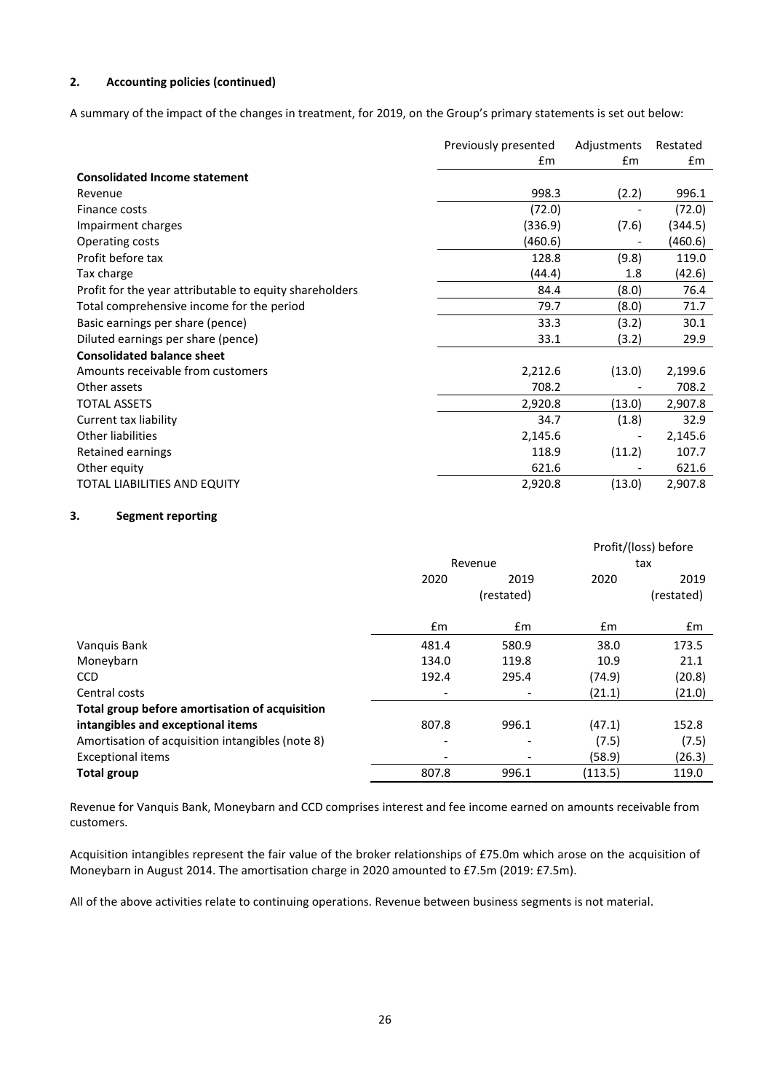# **2. Accounting policies (continued)**

A summary of the impact of the changes in treatment, for 2019, on the Group's primary statements is set out below:

|                                                         | Previously presented | Adjustments | Restated |
|---------------------------------------------------------|----------------------|-------------|----------|
|                                                         | £m                   | £m          | £m       |
| <b>Consolidated Income statement</b>                    |                      |             |          |
| Revenue                                                 | 998.3                | (2.2)       | 996.1    |
| Finance costs                                           | (72.0)               |             | (72.0)   |
| Impairment charges                                      | (336.9)              | (7.6)       | (344.5)  |
| Operating costs                                         | (460.6)              |             | (460.6)  |
| Profit before tax                                       | 128.8                | (9.8)       | 119.0    |
| Tax charge                                              | (44.4)               | 1.8         | (42.6)   |
| Profit for the year attributable to equity shareholders | 84.4                 | (8.0)       | 76.4     |
| Total comprehensive income for the period               | 79.7                 | (8.0)       | 71.7     |
| Basic earnings per share (pence)                        | 33.3                 | (3.2)       | 30.1     |
| Diluted earnings per share (pence)                      | 33.1                 | (3.2)       | 29.9     |
| <b>Consolidated balance sheet</b>                       |                      |             |          |
| Amounts receivable from customers                       | 2,212.6              | (13.0)      | 2,199.6  |
| Other assets                                            | 708.2                |             | 708.2    |
| <b>TOTAL ASSETS</b>                                     | 2,920.8              | (13.0)      | 2,907.8  |
| Current tax liability                                   | 34.7                 | (1.8)       | 32.9     |
| <b>Other liabilities</b>                                | 2,145.6              |             | 2,145.6  |
| Retained earnings                                       | 118.9                | (11.2)      | 107.7    |
| Other equity                                            | 621.6                |             | 621.6    |
| <b>TOTAL LIABILITIES AND EQUITY</b>                     | 2,920.8              | (13.0)      | 2,907.8  |

#### **3. Segment reporting**

|                                                  |               |            |         | Profit/(loss) before |
|--------------------------------------------------|---------------|------------|---------|----------------------|
|                                                  |               | Revenue    |         | tax                  |
|                                                  | 2020          | 2019       | 2020    | 2019                 |
|                                                  |               | (restated) |         | (restated)           |
|                                                  | $\mathsf{fm}$ | £m         | £m      | £m                   |
| Vanquis Bank                                     | 481.4         | 580.9      | 38.0    | 173.5                |
| Moneybarn                                        | 134.0         | 119.8      | 10.9    | 21.1                 |
| <b>CCD</b>                                       | 192.4         | 295.4      | (74.9)  | (20.8)               |
| Central costs                                    |               |            | (21.1)  | (21.0)               |
| Total group before amortisation of acquisition   |               |            |         |                      |
| intangibles and exceptional items                | 807.8         | 996.1      | (47.1)  | 152.8                |
| Amortisation of acquisition intangibles (note 8) | ٠             |            | (7.5)   | (7.5)                |
| <b>Exceptional items</b>                         |               |            | (58.9)  | (26.3)               |
| <b>Total group</b>                               | 807.8         | 996.1      | (113.5) | 119.0                |

Revenue for Vanquis Bank, Moneybarn and CCD comprises interest and fee income earned on amounts receivable from customers.

Acquisition intangibles represent the fair value of the broker relationships of £75.0m which arose on the acquisition of Moneybarn in August 2014. The amortisation charge in 2020 amounted to £7.5m (2019: £7.5m).

All of the above activities relate to continuing operations. Revenue between business segments is not material.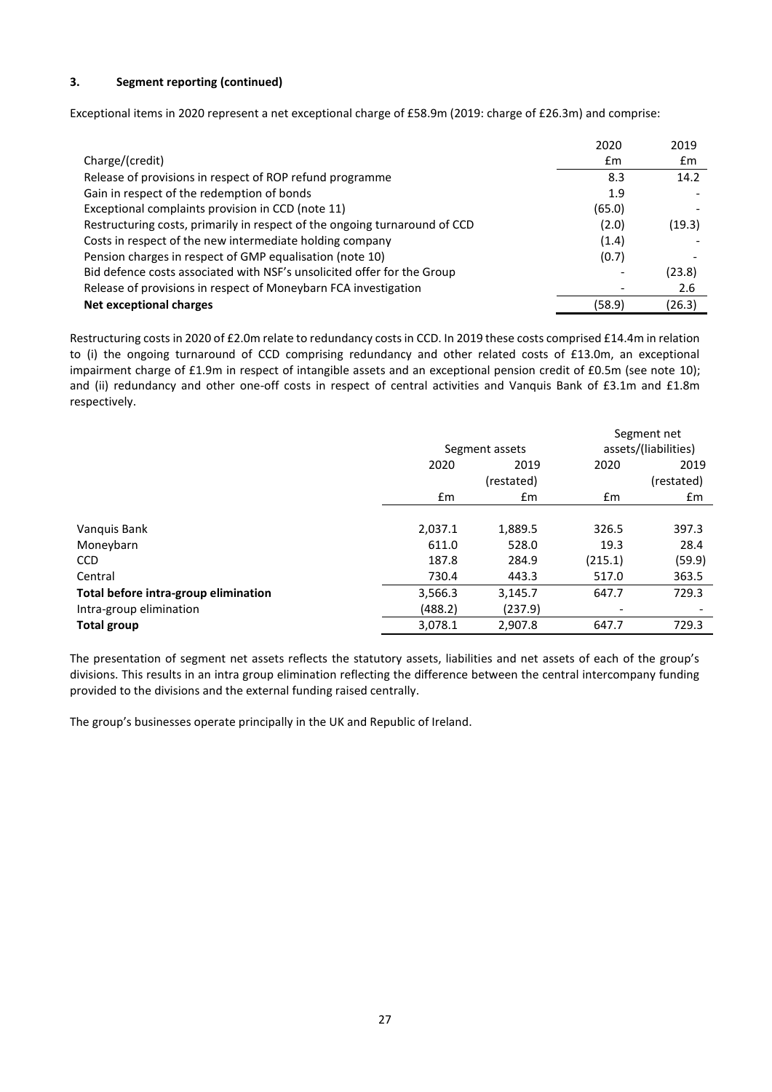## **3. Segment reporting (continued)**

Exceptional items in 2020 represent a net exceptional charge of £58.9m (2019: charge of £26.3m) and comprise:

|                                                                            | 2020   | 2019   |
|----------------------------------------------------------------------------|--------|--------|
| Charge/(credit)                                                            | £m     | £m     |
| Release of provisions in respect of ROP refund programme                   | 8.3    | 14.2   |
| Gain in respect of the redemption of bonds                                 | 1.9    |        |
| Exceptional complaints provision in CCD (note 11)                          | (65.0) |        |
| Restructuring costs, primarily in respect of the ongoing turnaround of CCD | (2.0)  | (19.3) |
| Costs in respect of the new intermediate holding company                   | (1.4)  |        |
| Pension charges in respect of GMP equalisation (note 10)                   | (0.7)  |        |
| Bid defence costs associated with NSF's unsolicited offer for the Group    |        | (23.8) |
| Release of provisions in respect of Moneybarn FCA investigation            |        | 2.6    |
| Net exceptional charges                                                    | (58.9) | (26.3) |

Restructuring costs in 2020 of £2.0m relate to redundancy costs in CCD. In 2019 these costs comprised £14.4m in relation to (i) the ongoing turnaround of CCD comprising redundancy and other related costs of £13.0m, an exceptional impairment charge of £1.9m in respect of intangible assets and an exceptional pension credit of £0.5m (see note 10); and (ii) redundancy and other one-off costs in respect of central activities and Vanquis Bank of £3.1m and £1.8m respectively.

|                                      |              |                |               | Segment net              |
|--------------------------------------|--------------|----------------|---------------|--------------------------|
|                                      |              | Segment assets |               | assets/(liabilities)     |
|                                      | 2020<br>2019 |                | 2020          | 2019                     |
|                                      |              | (restated)     |               | (restated)               |
|                                      | £m           | $\mathsf{fm}$  | $\mathsf{fm}$ | £m                       |
|                                      |              |                |               |                          |
| Vanquis Bank                         | 2,037.1      | 1,889.5        | 326.5         | 397.3                    |
| Moneybarn                            | 611.0        | 528.0          | 19.3          | 28.4                     |
| <b>CCD</b>                           | 187.8        | 284.9          | (215.1)       | (59.9)                   |
| Central                              | 730.4        | 443.3          | 517.0         | 363.5                    |
| Total before intra-group elimination | 3,566.3      | 3,145.7        | 647.7         | 729.3                    |
| Intra-group elimination              | (488.2)      | (237.9)        | -             | $\overline{\phantom{0}}$ |
| <b>Total group</b>                   | 3,078.1      | 2.907.8        | 647.7         | 729.3                    |

The presentation of segment net assets reflects the statutory assets, liabilities and net assets of each of the group's divisions. This results in an intra group elimination reflecting the difference between the central intercompany funding provided to the divisions and the external funding raised centrally.

The group's businesses operate principally in the UK and Republic of Ireland.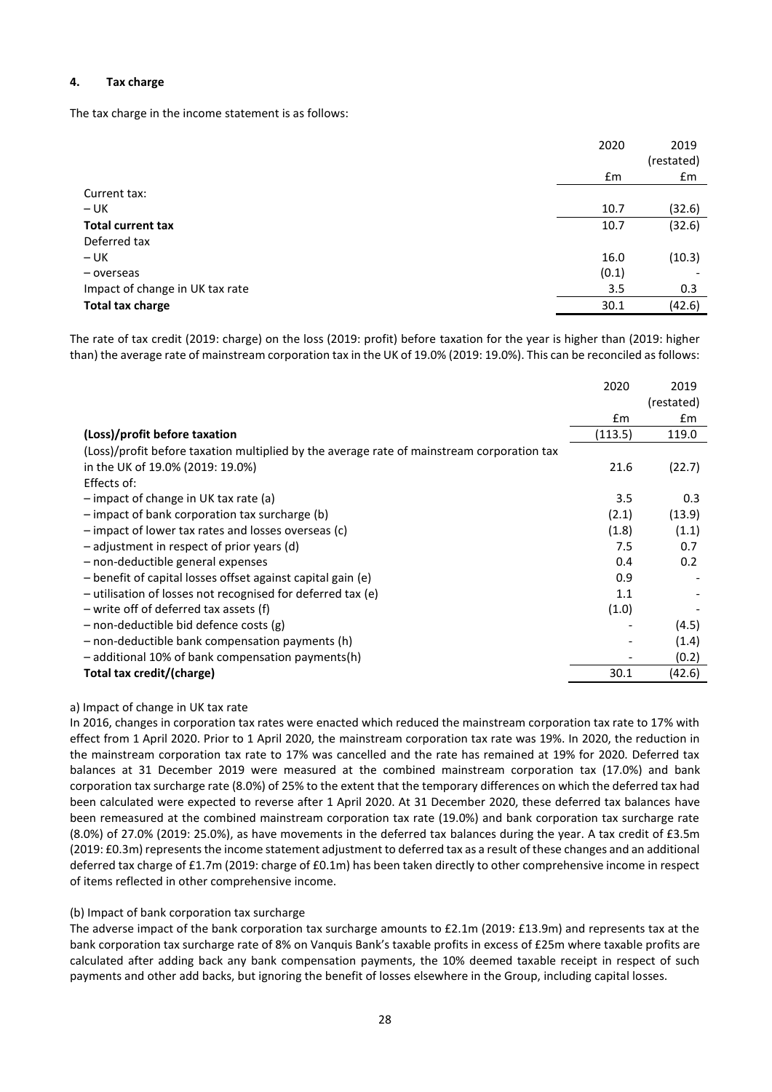# **4. Tax charge**

The tax charge in the income statement is as follows:

|                                 | 2020  | 2019       |
|---------------------------------|-------|------------|
|                                 |       | (restated) |
|                                 | £m    | £m         |
| Current tax:                    |       |            |
| $- UK$                          | 10.7  | (32.6)     |
| <b>Total current tax</b>        | 10.7  | (32.6)     |
| Deferred tax                    |       |            |
| $- UK$                          | 16.0  | (10.3)     |
| - overseas                      | (0.1) |            |
| Impact of change in UK tax rate | 3.5   | 0.3        |
| <b>Total tax charge</b>         | 30.1  | (42.6)     |

The rate of tax credit (2019: charge) on the loss (2019: profit) before taxation for the year is higher than (2019: higher than) the average rate of mainstream corporation tax in the UK of 19.0% (2019: 19.0%). This can be reconciled as follows:

|                                                                                            | 2020          | 2019       |
|--------------------------------------------------------------------------------------------|---------------|------------|
|                                                                                            |               | (restated) |
|                                                                                            | $\mathsf{fm}$ | £m         |
| (Loss)/profit before taxation                                                              | (113.5)       | 119.0      |
| (Loss)/profit before taxation multiplied by the average rate of mainstream corporation tax |               |            |
| in the UK of 19.0% (2019: 19.0%)                                                           | 21.6          | (22.7)     |
| Effects of:                                                                                |               |            |
| $-$ impact of change in UK tax rate (a)                                                    | 3.5           | 0.3        |
| $-$ impact of bank corporation tax surcharge (b)                                           | (2.1)         | (13.9)     |
| - impact of lower tax rates and losses overseas (c)                                        | (1.8)         | (1.1)      |
| - adjustment in respect of prior years (d)                                                 | 7.5           | 0.7        |
| - non-deductible general expenses                                                          | 0.4           | 0.2        |
| - benefit of capital losses offset against capital gain (e)                                | 0.9           |            |
| - utilisation of losses not recognised for deferred tax (e)                                | 1.1           |            |
| - write off of deferred tax assets (f)                                                     | (1.0)         |            |
| $-$ non-deductible bid defence costs (g)                                                   |               | (4.5)      |
| - non-deductible bank compensation payments (h)                                            |               | (1.4)      |
| $-$ additional 10% of bank compensation payments(h)                                        |               | (0.2)      |
| Total tax credit/(charge)                                                                  | 30.1          | (42.6)     |

## a) Impact of change in UK tax rate

In 2016, changes in corporation tax rates were enacted which reduced the mainstream corporation tax rate to 17% with effect from 1 April 2020. Prior to 1 April 2020, the mainstream corporation tax rate was 19%. In 2020, the reduction in the mainstream corporation tax rate to 17% was cancelled and the rate has remained at 19% for 2020. Deferred tax balances at 31 December 2019 were measured at the combined mainstream corporation tax (17.0%) and bank corporation tax surcharge rate (8.0%) of 25% to the extent that the temporary differences on which the deferred tax had been calculated were expected to reverse after 1 April 2020. At 31 December 2020, these deferred tax balances have been remeasured at the combined mainstream corporation tax rate (19.0%) and bank corporation tax surcharge rate (8.0%) of 27.0% (2019: 25.0%), as have movements in the deferred tax balances during the year. A tax credit of £3.5m (2019: £0.3m) represents the income statement adjustment to deferred tax as a result of these changes and an additional deferred tax charge of £1.7m (2019: charge of £0.1m) has been taken directly to other comprehensive income in respect of items reflected in other comprehensive income.

## (b) Impact of bank corporation tax surcharge

The adverse impact of the bank corporation tax surcharge amounts to £2.1m (2019: £13.9m) and represents tax at the bank corporation tax surcharge rate of 8% on Vanquis Bank's taxable profits in excess of £25m where taxable profits are calculated after adding back any bank compensation payments, the 10% deemed taxable receipt in respect of such payments and other add backs, but ignoring the benefit of losses elsewhere in the Group, including capital losses.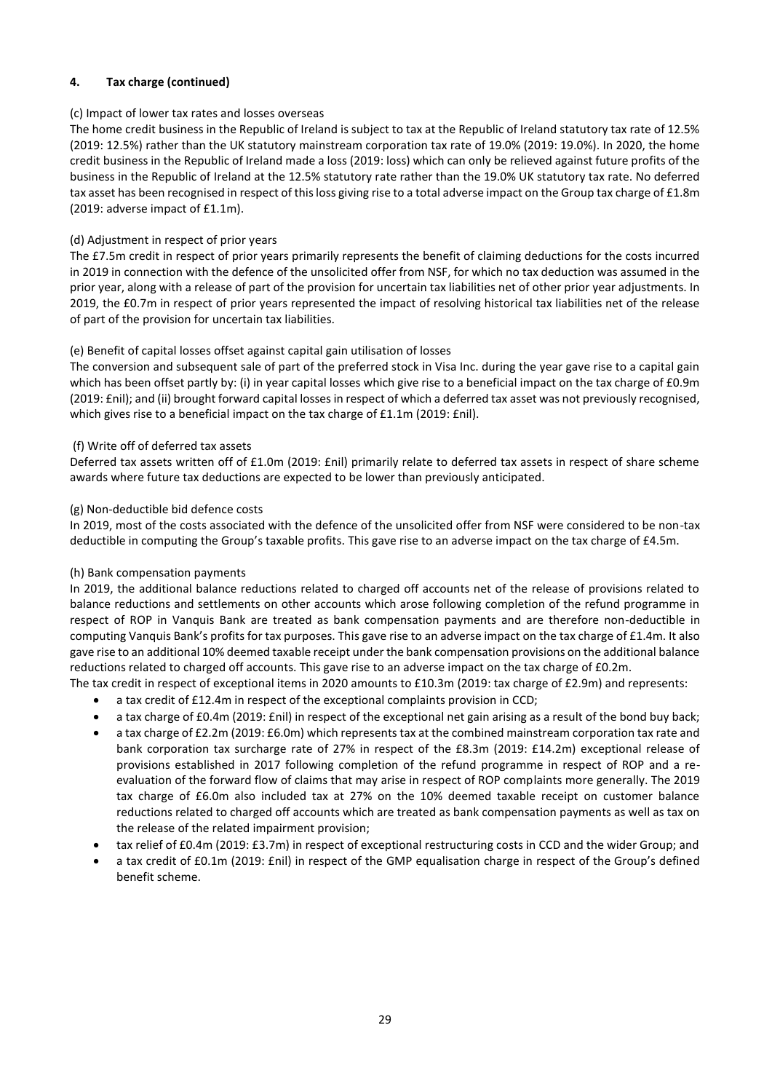# **4. Tax charge (continued)**

# (c) Impact of lower tax rates and losses overseas

The home credit business in the Republic of Ireland is subject to tax at the Republic of Ireland statutory tax rate of 12.5% (2019: 12.5%) rather than the UK statutory mainstream corporation tax rate of 19.0% (2019: 19.0%). In 2020, the home credit business in the Republic of Ireland made a loss (2019: loss) which can only be relieved against future profits of the business in the Republic of Ireland at the 12.5% statutory rate rather than the 19.0% UK statutory tax rate. No deferred tax asset has been recognised in respect of this loss giving rise to a total adverse impact on the Group tax charge of £1.8m (2019: adverse impact of £1.1m).

# (d) Adjustment in respect of prior years

The £7.5m credit in respect of prior years primarily represents the benefit of claiming deductions for the costs incurred in 2019 in connection with the defence of the unsolicited offer from NSF, for which no tax deduction was assumed in the prior year, along with a release of part of the provision for uncertain tax liabilities net of other prior year adjustments. In 2019, the £0.7m in respect of prior years represented the impact of resolving historical tax liabilities net of the release of part of the provision for uncertain tax liabilities.

# (e) Benefit of capital losses offset against capital gain utilisation of losses

The conversion and subsequent sale of part of the preferred stock in Visa Inc. during the year gave rise to a capital gain which has been offset partly by: (i) in year capital losses which give rise to a beneficial impact on the tax charge of £0.9m (2019: £nil); and (ii) brought forward capital losses in respect of which a deferred tax asset was not previously recognised, which gives rise to a beneficial impact on the tax charge of £1.1m (2019: £nil).

## (f) Write off of deferred tax assets

Deferred tax assets written off of £1.0m (2019: £nil) primarily relate to deferred tax assets in respect of share scheme awards where future tax deductions are expected to be lower than previously anticipated.

## (g) Non-deductible bid defence costs

In 2019, most of the costs associated with the defence of the unsolicited offer from NSF were considered to be non-tax deductible in computing the Group's taxable profits. This gave rise to an adverse impact on the tax charge of £4.5m.

## (h) Bank compensation payments

In 2019, the additional balance reductions related to charged off accounts net of the release of provisions related to balance reductions and settlements on other accounts which arose following completion of the refund programme in respect of ROP in Vanquis Bank are treated as bank compensation payments and are therefore non-deductible in computing Vanquis Bank's profits for tax purposes. This gave rise to an adverse impact on the tax charge of £1.4m. It also gave rise to an additional 10% deemed taxable receipt under the bank compensation provisions on the additional balance reductions related to charged off accounts. This gave rise to an adverse impact on the tax charge of £0.2m.

- The tax credit in respect of exceptional items in 2020 amounts to £10.3m (2019: tax charge of £2.9m) and represents:
	- a tax credit of £12.4m in respect of the exceptional complaints provision in CCD;
	- a tax charge of £0.4m (2019: £nil) in respect of the exceptional net gain arising as a result of the bond buy back;
	- a tax charge of £2.2m (2019: £6.0m) which represents tax at the combined mainstream corporation tax rate and bank corporation tax surcharge rate of 27% in respect of the £8.3m (2019: £14.2m) exceptional release of provisions established in 2017 following completion of the refund programme in respect of ROP and a reevaluation of the forward flow of claims that may arise in respect of ROP complaints more generally. The 2019 tax charge of £6.0m also included tax at 27% on the 10% deemed taxable receipt on customer balance reductions related to charged off accounts which are treated as bank compensation payments as well as tax on the release of the related impairment provision;
	- tax relief of £0.4m (2019: £3.7m) in respect of exceptional restructuring costs in CCD and the wider Group; and
	- a tax credit of £0.1m (2019: £nil) in respect of the GMP equalisation charge in respect of the Group's defined benefit scheme.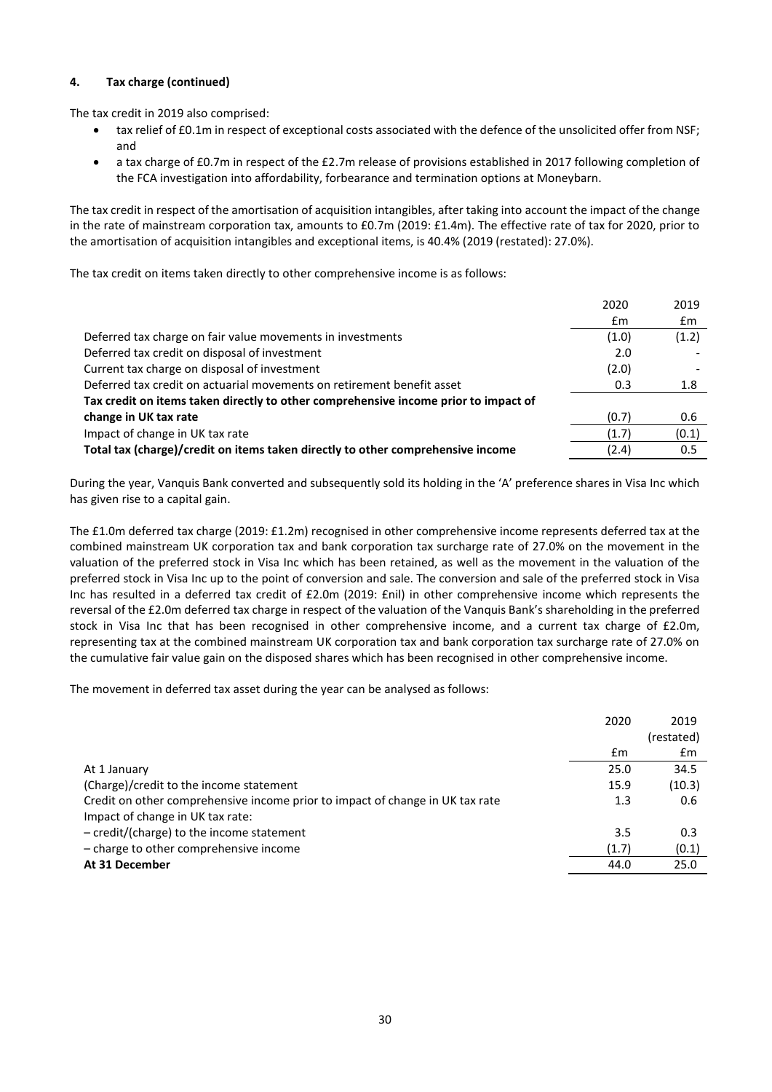# **4. Tax charge (continued)**

The tax credit in 2019 also comprised:

- tax relief of £0.1m in respect of exceptional costs associated with the defence of the unsolicited offer from NSF; and
- a tax charge of £0.7m in respect of the £2.7m release of provisions established in 2017 following completion of the FCA investigation into affordability, forbearance and termination options at Moneybarn.

The tax credit in respect of the amortisation of acquisition intangibles, after taking into account the impact of the change in the rate of mainstream corporation tax, amounts to £0.7m (2019: £1.4m). The effective rate of tax for 2020, prior to the amortisation of acquisition intangibles and exceptional items, is 40.4% (2019 (restated): 27.0%).

The tax credit on items taken directly to other comprehensive income is as follows:

|                                                                                     | 2020  | 2019  |
|-------------------------------------------------------------------------------------|-------|-------|
|                                                                                     | Em    | £m    |
| Deferred tax charge on fair value movements in investments                          | (1.0) | (1.2) |
| Deferred tax credit on disposal of investment                                       | 2.0   |       |
| Current tax charge on disposal of investment                                        | (2.0) |       |
| Deferred tax credit on actuarial movements on retirement benefit asset              | 0.3   | 1.8   |
| Tax credit on items taken directly to other comprehensive income prior to impact of |       |       |
| change in UK tax rate                                                               | (0.7) | 0.6   |
| Impact of change in UK tax rate                                                     | (1.7) | (0.1) |
| Total tax (charge)/credit on items taken directly to other comprehensive income     | (2.4) | 0.5   |

During the year, Vanquis Bank converted and subsequently sold its holding in the 'A' preference shares in Visa Inc which has given rise to a capital gain.

The £1.0m deferred tax charge (2019: £1.2m) recognised in other comprehensive income represents deferred tax at the combined mainstream UK corporation tax and bank corporation tax surcharge rate of 27.0% on the movement in the valuation of the preferred stock in Visa Inc which has been retained, as well as the movement in the valuation of the preferred stock in Visa Inc up to the point of conversion and sale. The conversion and sale of the preferred stock in Visa Inc has resulted in a deferred tax credit of £2.0m (2019: £nil) in other comprehensive income which represents the reversal of the £2.0m deferred tax charge in respect of the valuation of the Vanquis Bank's shareholding in the preferred stock in Visa Inc that has been recognised in other comprehensive income, and a current tax charge of £2.0m, representing tax at the combined mainstream UK corporation tax and bank corporation tax surcharge rate of 27.0% on the cumulative fair value gain on the disposed shares which has been recognised in other comprehensive income.

The movement in deferred tax asset during the year can be analysed as follows:

|                                                                               | 2020  | 2019       |
|-------------------------------------------------------------------------------|-------|------------|
|                                                                               |       | (restated) |
|                                                                               | £m    | £m         |
| At 1 January                                                                  | 25.0  | 34.5       |
| (Charge)/credit to the income statement                                       | 15.9  | (10.3)     |
| Credit on other comprehensive income prior to impact of change in UK tax rate | 1.3   | 0.6        |
| Impact of change in UK tax rate:                                              |       |            |
| - credit/(charge) to the income statement                                     | 3.5   | 0.3        |
| - charge to other comprehensive income                                        | (1.7) | (0.1)      |
| At 31 December                                                                | 44.0  | 25.0       |
|                                                                               |       |            |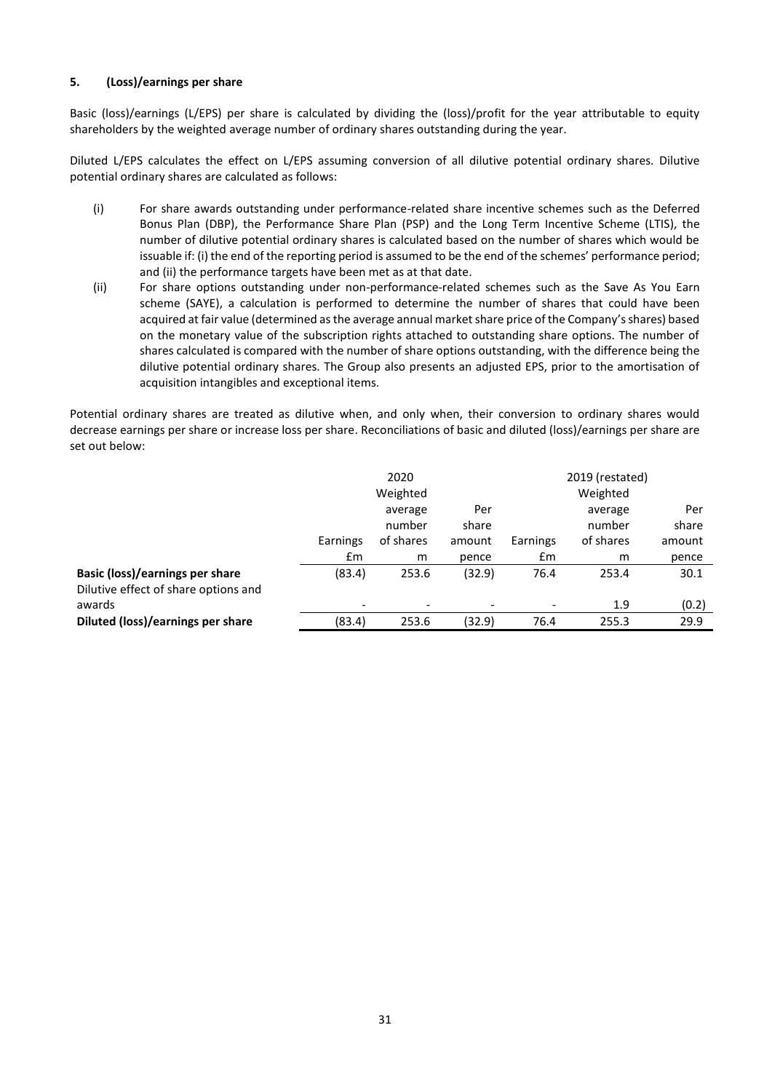# **5. (Loss)/earnings per share**

Basic (loss)/earnings (L/EPS) per share is calculated by dividing the (loss)/profit for the year attributable to equity shareholders by the weighted average number of ordinary shares outstanding during the year.

Diluted L/EPS calculates the effect on L/EPS assuming conversion of all dilutive potential ordinary shares. Dilutive potential ordinary shares are calculated as follows:

- (i) For share awards outstanding under performance-related share incentive schemes such as the Deferred Bonus Plan (DBP), the Performance Share Plan (PSP) and the Long Term Incentive Scheme (LTIS), the number of dilutive potential ordinary shares is calculated based on the number of shares which would be issuable if: (i) the end of the reporting period is assumed to be the end of the schemes' performance period; and (ii) the performance targets have been met as at that date.
- (ii) For share options outstanding under non-performance-related schemes such as the Save As You Earn scheme (SAYE), a calculation is performed to determine the number of shares that could have been acquired at fair value (determined as the average annual market share price of the Company's shares) based on the monetary value of the subscription rights attached to outstanding share options. The number of shares calculated is compared with the number of share options outstanding, with the difference being the dilutive potential ordinary shares. The Group also presents an adjusted EPS, prior to the amortisation of acquisition intangibles and exceptional items.

Potential ordinary shares are treated as dilutive when, and only when, their conversion to ordinary shares would decrease earnings per share or increase loss per share. Reconciliations of basic and diluted (loss)/earnings per share are set out below:

|                                        | 2020                     |           |        | 2019 (restated)          |           |        |
|----------------------------------------|--------------------------|-----------|--------|--------------------------|-----------|--------|
|                                        |                          | Weighted  |        |                          | Weighted  |        |
|                                        |                          | average   | Per    |                          | average   | Per    |
|                                        |                          | number    | share  |                          | number    | share  |
|                                        | Earnings                 | of shares | amount | Earnings                 | of shares | amount |
|                                        | $\mathsf{fm}$            | m         | pence  | £m                       | m         | pence  |
| <b>Basic (loss)/earnings per share</b> | (83.4)                   | 253.6     | (32.9) | 76.4                     | 253.4     | 30.1   |
| Dilutive effect of share options and   |                          |           |        |                          |           |        |
| awards                                 | $\overline{\phantom{0}}$ |           |        | $\overline{\phantom{a}}$ | 1.9       | (0.2)  |
| Diluted (loss)/earnings per share      | (83.4)                   | 253.6     | (32.9) | 76.4                     | 255.3     | 29.9   |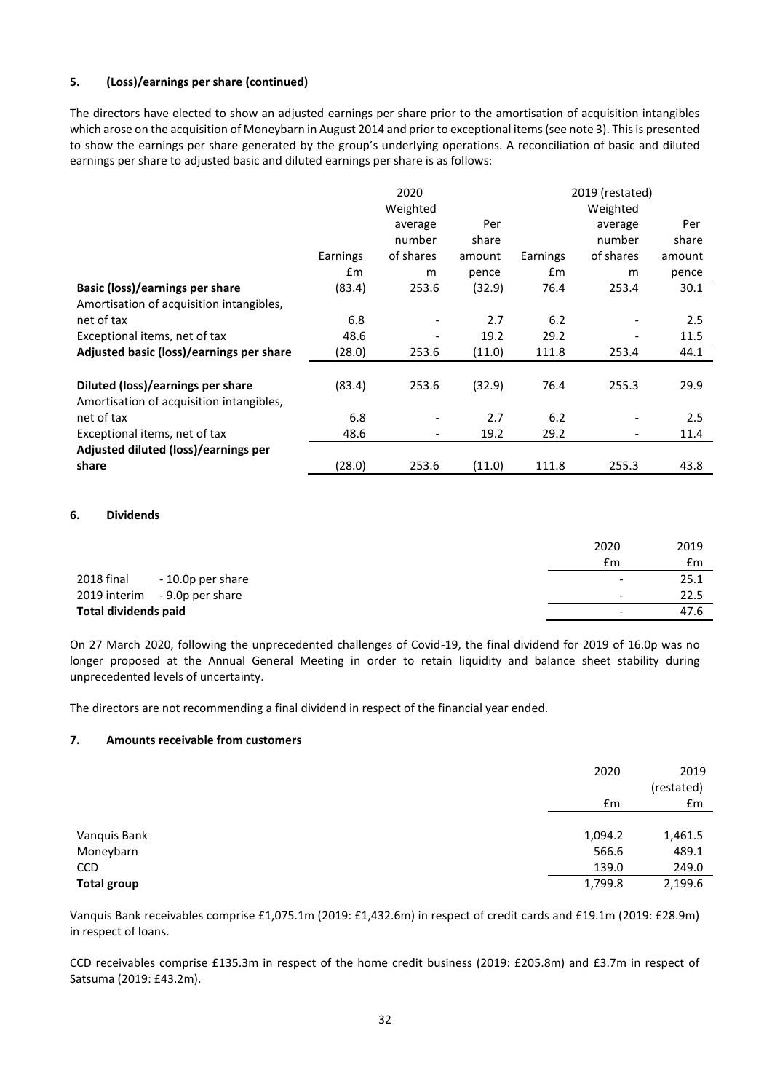# **5. (Loss)/earnings per share (continued)**

The directors have elected to show an adjusted earnings per share prior to the amortisation of acquisition intangibles which arose on the acquisition of Moneybarn in August 2014 and prior to exceptional items (see note 3). This is presented to show the earnings per share generated by the group's underlying operations. A reconciliation of basic and diluted earnings per share to adjusted basic and diluted earnings per share is as follows:

|                                          |          | 2020                         |        |          | 2019 (restated) |        |
|------------------------------------------|----------|------------------------------|--------|----------|-----------------|--------|
|                                          |          | Weighted                     |        |          | Weighted        |        |
|                                          |          | average                      | Per    |          | average         | Per    |
|                                          |          | number                       | share  |          | number          | share  |
|                                          | Earnings | of shares                    | amount | Earnings | of shares       | amount |
|                                          | £m       | m                            | pence  | £m       | m               | pence  |
| Basic (loss)/earnings per share          | (83.4)   | 253.6                        | (32.9) | 76.4     | 253.4           | 30.1   |
| Amortisation of acquisition intangibles, |          |                              |        |          |                 |        |
| net of tax                               | 6.8      |                              | 2.7    | 6.2      |                 | 2.5    |
| Exceptional items, net of tax            | 48.6     | $\qquad \qquad \blacksquare$ | 19.2   | 29.2     |                 | 11.5   |
| Adjusted basic (loss)/earnings per share | (28.0)   | 253.6                        | (11.0) | 111.8    | 253.4           | 44.1   |
|                                          |          |                              |        |          |                 |        |
| Diluted (loss)/earnings per share        | (83.4)   | 253.6                        | (32.9) | 76.4     | 255.3           | 29.9   |
| Amortisation of acquisition intangibles, |          |                              |        |          |                 |        |
| net of tax                               | 6.8      |                              | 2.7    | 6.2      |                 | 2.5    |
| Exceptional items, net of tax            | 48.6     | $\overline{\phantom{a}}$     | 19.2   | 29.2     | -               | 11.4   |
| Adjusted diluted (loss)/earnings per     |          |                              |        |          |                 |        |
| share                                    | (28.0)   | 253.6                        | (11.0) | 111.8    | 255.3           | 43.8   |

## **6. Dividends**

|                             |                               | 2020 | 2019                             |
|-----------------------------|-------------------------------|------|----------------------------------|
|                             |                               | £m   | £m                               |
| 2018 final                  | -10.0p per share              |      | 25.1<br>$\overline{\phantom{a}}$ |
|                             | 2019 interim - 9.0p per share |      | 22.5<br>$\overline{\phantom{a}}$ |
| <b>Total dividends paid</b> |                               |      | 47.6<br>$\overline{\phantom{a}}$ |

On 27 March 2020, following the unprecedented challenges of Covid-19, the final dividend for 2019 of 16.0p was no longer proposed at the Annual General Meeting in order to retain liquidity and balance sheet stability during unprecedented levels of uncertainty.

The directors are not recommending a final dividend in respect of the financial year ended.

## **7. Amounts receivable from customers**

|                    | 2020    | 2019<br>(restated) |
|--------------------|---------|--------------------|
|                    | £m      | £m                 |
|                    |         |                    |
| Vanquis Bank       | 1,094.2 | 1,461.5            |
| Moneybarn          | 566.6   | 489.1              |
| CCD                | 139.0   | 249.0              |
| <b>Total group</b> | 1,799.8 | 2,199.6            |

Vanquis Bank receivables comprise £1,075.1m (2019: £1,432.6m) in respect of credit cards and £19.1m (2019: £28.9m) in respect of loans.

CCD receivables comprise £135.3m in respect of the home credit business (2019: £205.8m) and £3.7m in respect of Satsuma (2019: £43.2m).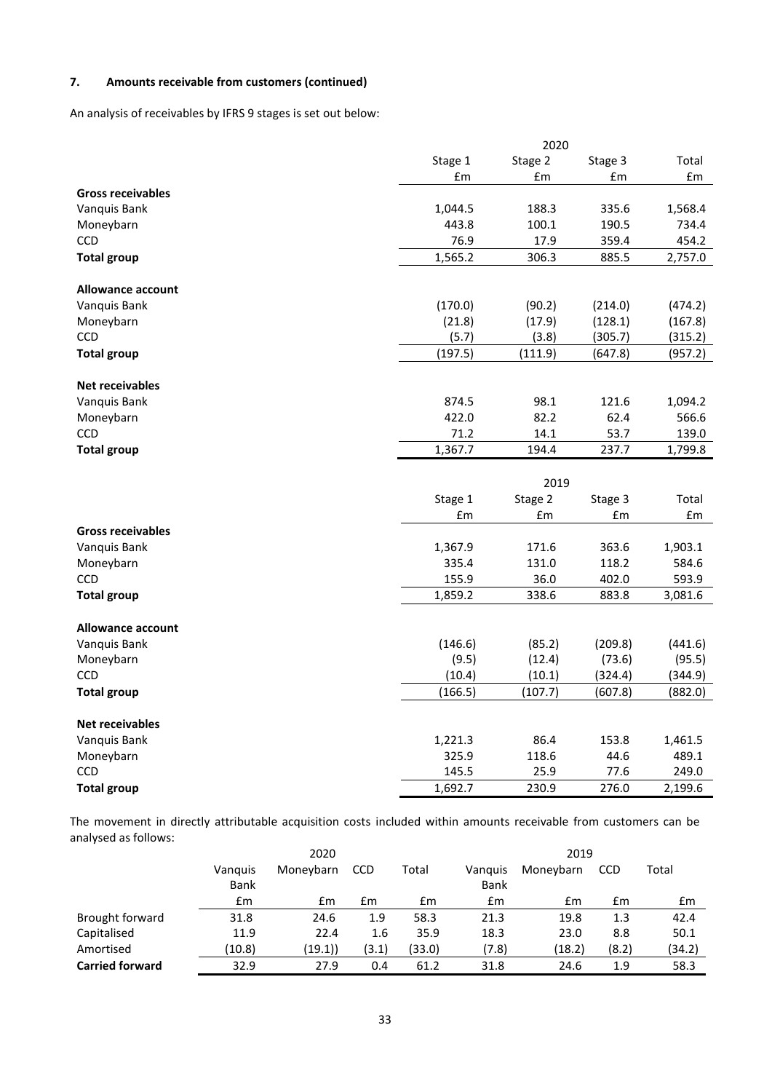# **7. Amounts receivable from customers (continued)**

An analysis of receivables by IFRS 9 stages is set out below:

|                          | 2020    |         |         |                                |  |
|--------------------------|---------|---------|---------|--------------------------------|--|
|                          | Stage 1 | Stage 2 | Stage 3 | Total                          |  |
|                          | £m      | £m      | £m      | £m                             |  |
| <b>Gross receivables</b> |         |         |         |                                |  |
| Vanquis Bank             | 1,044.5 | 188.3   | 335.6   | 1,568.4                        |  |
| Moneybarn                | 443.8   | 100.1   | 190.5   | 734.4                          |  |
| <b>CCD</b>               | 76.9    | 17.9    | 359.4   | 454.2                          |  |
| <b>Total group</b>       | 1,565.2 | 306.3   | 885.5   | 2,757.0                        |  |
| Allowance account        |         |         |         |                                |  |
| Vanquis Bank             | (170.0) | (90.2)  | (214.0) | (474.2)                        |  |
| Moneybarn                | (21.8)  | (17.9)  | (128.1) | (167.8)                        |  |
| CCD                      | (5.7)   | (3.8)   | (305.7) | (315.2)                        |  |
| <b>Total group</b>       | (197.5) | (111.9) | (647.8) | (957.2)                        |  |
|                          |         |         |         |                                |  |
| <b>Net receivables</b>   |         |         |         |                                |  |
| Vanquis Bank             | 874.5   | 98.1    | 121.6   | 1,094.2                        |  |
| Moneybarn                | 422.0   | 82.2    | 62.4    | 566.6                          |  |
| <b>CCD</b>               | 71.2    | 14.1    | 53.7    | 139.0                          |  |
| <b>Total group</b>       | 1,367.7 | 194.4   | 237.7   | 1,799.8                        |  |
|                          |         |         |         |                                |  |
|                          |         | 2019    |         |                                |  |
|                          | Stage 1 | Stage 2 | Stage 3 | Total                          |  |
|                          | £m      | £m      | £m      | $\pmb{\text{f}}\pmb{\text{m}}$ |  |
| <b>Gross receivables</b> |         |         |         |                                |  |
| Vanquis Bank             | 1,367.9 | 171.6   | 363.6   | 1,903.1                        |  |
| Moneybarn                | 335.4   | 131.0   | 118.2   | 584.6                          |  |
| <b>CCD</b>               | 155.9   | 36.0    | 402.0   | 593.9                          |  |
| <b>Total group</b>       | 1,859.2 | 338.6   | 883.8   | 3,081.6                        |  |
|                          |         |         |         |                                |  |
| <b>Allowance account</b> |         |         |         |                                |  |
| Vanquis Bank             | (146.6) | (85.2)  | (209.8) | (441.6)                        |  |
| Moneybarn                | (9.5)   | (12.4)  | (73.6)  | (95.5)                         |  |
| CCD                      | (10.4)  | (10.1)  | (324.4) | (344.9)                        |  |
| <b>Total group</b>       | (166.5) | (107.7) | (607.8) | (882.0)                        |  |
| <b>Net receivables</b>   |         |         |         |                                |  |
| Vanquis Bank             | 1,221.3 | 86.4    | 153.8   | 1,461.5                        |  |
| Moneybarn                | 325.9   | 118.6   | 44.6    | 489.1                          |  |
| <b>CCD</b>               | 145.5   | 25.9    | 77.6    | 249.0                          |  |
| <b>Total group</b>       | 1,692.7 | 230.9   | 276.0   | 2,199.6                        |  |

The movement in directly attributable acquisition costs included within amounts receivable from customers can be analysed as follows:

|                        | 2020        |           |            |        | 2019        |           |            |        |
|------------------------|-------------|-----------|------------|--------|-------------|-----------|------------|--------|
|                        | Vanguis     | Moneybarn | <b>CCD</b> | Total  | Vanguis     | Moneybarn | <b>CCD</b> | Total  |
|                        | <b>Bank</b> |           |            |        | <b>Bank</b> |           |            |        |
|                        | £m          | £m        | £m         | £m     | £m          | £m        | £m         | £m     |
| Brought forward        | 31.8        | 24.6      | 1.9        | 58.3   | 21.3        | 19.8      | 1.3        | 42.4   |
| Capitalised            | 11.9        | 22.4      | 1.6        | 35.9   | 18.3        | 23.0      | 8.8        | 50.1   |
| Amortised              | (10.8)      | (19.1))   | (3.1)      | (33.0) | (7.8)       | (18.2)    | (8.2)      | (34.2) |
| <b>Carried forward</b> | 32.9        | 27.9      | 0.4        | 61.2   | 31.8        | 24.6      | 1.9        | 58.3   |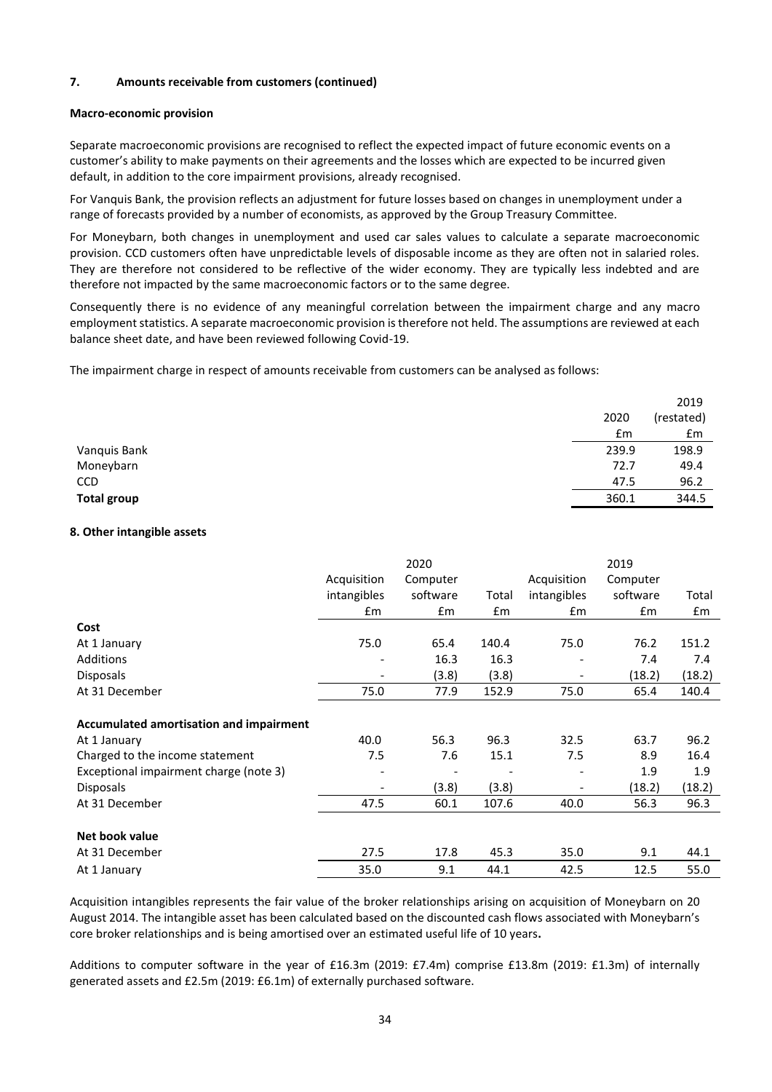## **7. Amounts receivable from customers (continued)**

#### **Macro-economic provision**

Separate macroeconomic provisions are recognised to reflect the expected impact of future economic events on a customer's ability to make payments on their agreements and the losses which are expected to be incurred given default, in addition to the core impairment provisions, already recognised.

For Vanquis Bank, the provision reflects an adjustment for future losses based on changes in unemployment under a range of forecasts provided by a number of economists, as approved by the Group Treasury Committee.

For Moneybarn, both changes in unemployment and used car sales values to calculate a separate macroeconomic provision. CCD customers often have unpredictable levels of disposable income as they are often not in salaried roles. They are therefore not considered to be reflective of the wider economy. They are typically less indebted and are therefore not impacted by the same macroeconomic factors or to the same degree.

Consequently there is no evidence of any meaningful correlation between the impairment charge and any macro employment statistics. A separate macroeconomic provision is therefore not held. The assumptions are reviewed at each balance sheet date, and have been reviewed following Covid-19.

The impairment charge in respect of amounts receivable from customers can be analysed as follows:

|                    |       | 2019       |
|--------------------|-------|------------|
|                    | 2020  | (restated) |
|                    | £m    | £m         |
| Vanquis Bank       | 239.9 | 198.9      |
| Moneybarn          | 72.7  | 49.4       |
| <b>CCD</b>         | 47.5  | 96.2       |
| <b>Total group</b> | 360.1 | 344.5      |

#### **8. Other intangible assets**

|                                         |                          | 2020          |       |                          | 2019     |        |
|-----------------------------------------|--------------------------|---------------|-------|--------------------------|----------|--------|
|                                         | Acquisition              | Computer      |       | Acquisition              | Computer |        |
|                                         | intangibles              | software      | Total | intangibles              | software | Total  |
|                                         | £m                       | $\mathsf{fm}$ | £m    | £m                       | £m       | £m     |
| Cost                                    |                          |               |       |                          |          |        |
| At 1 January                            | 75.0                     | 65.4          | 140.4 | 75.0                     | 76.2     | 151.2  |
| Additions                               |                          | 16.3          | 16.3  |                          | 7.4      | 7.4    |
| <b>Disposals</b>                        |                          | (3.8)         | (3.8) | ٠                        | (18.2)   | (18.2) |
| At 31 December                          | 75.0                     | 77.9          | 152.9 | 75.0                     | 65.4     | 140.4  |
|                                         |                          |               |       |                          |          |        |
| Accumulated amortisation and impairment |                          |               |       |                          |          |        |
| At 1 January                            | 40.0                     | 56.3          | 96.3  | 32.5                     | 63.7     | 96.2   |
| Charged to the income statement         | 7.5                      | 7.6           | 15.1  | 7.5                      | 8.9      | 16.4   |
| Exceptional impairment charge (note 3)  | ٠                        |               |       | $\overline{\phantom{a}}$ | 1.9      | 1.9    |
| <b>Disposals</b>                        | $\overline{\phantom{0}}$ | (3.8)         | (3.8) | $\overline{\phantom{a}}$ | (18.2)   | (18.2) |
| At 31 December                          | 47.5                     | 60.1          | 107.6 | 40.0                     | 56.3     | 96.3   |
|                                         |                          |               |       |                          |          |        |
| Net book value                          |                          |               |       |                          |          |        |
| At 31 December                          | 27.5                     | 17.8          | 45.3  | 35.0                     | 9.1      | 44.1   |
| At 1 January                            | 35.0                     | 9.1           | 44.1  | 42.5                     | 12.5     | 55.0   |

Acquisition intangibles represents the fair value of the broker relationships arising on acquisition of Moneybarn on 20 August 2014. The intangible asset has been calculated based on the discounted cash flows associated with Moneybarn's core broker relationships and is being amortised over an estimated useful life of 10 years**.**

Additions to computer software in the year of £16.3m (2019: £7.4m) comprise £13.8m (2019: £1.3m) of internally generated assets and £2.5m (2019: £6.1m) of externally purchased software.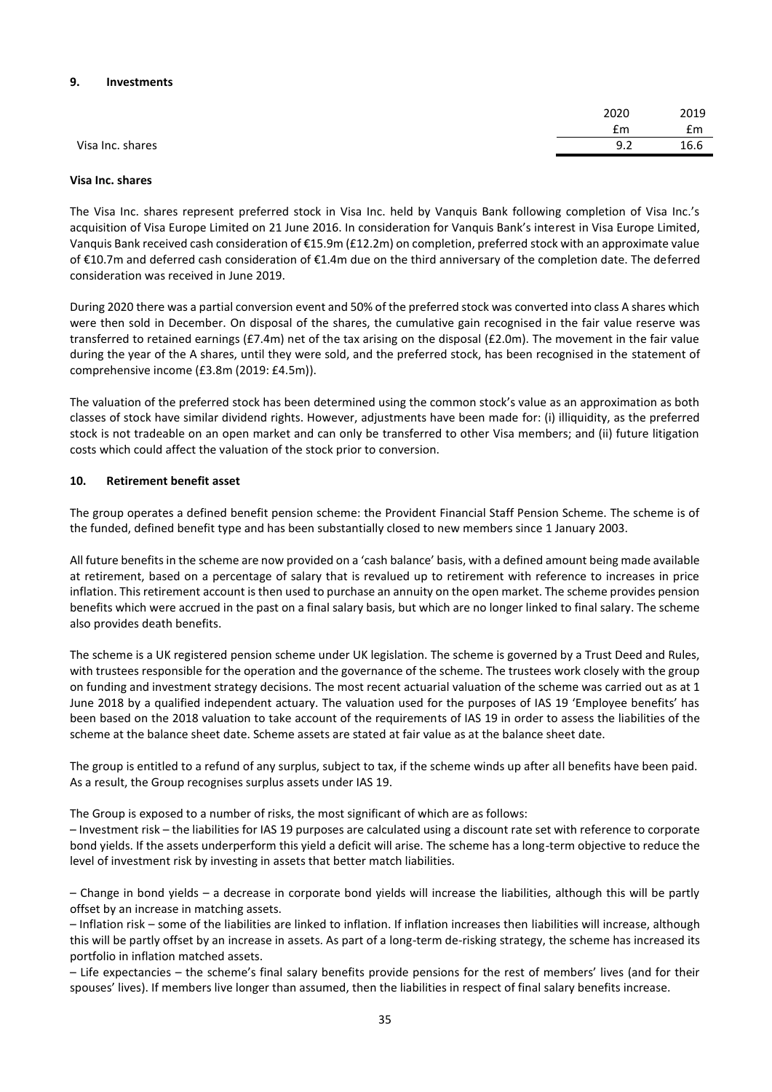#### **9. Investments**

|                  | 2020 | 2019 |
|------------------|------|------|
|                  | £m   | £m   |
| Visa Inc. shares | 9.2  | 16.6 |

#### **Visa Inc. shares**

The Visa Inc. shares represent preferred stock in Visa Inc. held by Vanquis Bank following completion of Visa Inc.'s acquisition of Visa Europe Limited on 21 June 2016. In consideration for Vanquis Bank's interest in Visa Europe Limited, Vanquis Bank received cash consideration of €15.9m (£12.2m) on completion, preferred stock with an approximate value of €10.7m and deferred cash consideration of €1.4m due on the third anniversary of the completion date. The deferred consideration was received in June 2019.

During 2020 there was a partial conversion event and 50% of the preferred stock was converted into class A shares which were then sold in December. On disposal of the shares, the cumulative gain recognised in the fair value reserve was transferred to retained earnings (£7.4m) net of the tax arising on the disposal (£2.0m). The movement in the fair value during the year of the A shares, until they were sold, and the preferred stock, has been recognised in the statement of comprehensive income (£3.8m (2019: £4.5m)).

The valuation of the preferred stock has been determined using the common stock's value as an approximation as both classes of stock have similar dividend rights. However, adjustments have been made for: (i) illiquidity, as the preferred stock is not tradeable on an open market and can only be transferred to other Visa members; and (ii) future litigation costs which could affect the valuation of the stock prior to conversion.

#### **10. Retirement benefit asset**

The group operates a defined benefit pension scheme: the Provident Financial Staff Pension Scheme. The scheme is of the funded, defined benefit type and has been substantially closed to new members since 1 January 2003.

All future benefits in the scheme are now provided on a 'cash balance' basis, with a defined amount being made available at retirement, based on a percentage of salary that is revalued up to retirement with reference to increases in price inflation. This retirement account is then used to purchase an annuity on the open market. The scheme provides pension benefits which were accrued in the past on a final salary basis, but which are no longer linked to final salary. The scheme also provides death benefits.

The scheme is a UK registered pension scheme under UK legislation. The scheme is governed by a Trust Deed and Rules, with trustees responsible for the operation and the governance of the scheme. The trustees work closely with the group on funding and investment strategy decisions. The most recent actuarial valuation of the scheme was carried out as at 1 June 2018 by a qualified independent actuary. The valuation used for the purposes of IAS 19 'Employee benefits' has been based on the 2018 valuation to take account of the requirements of IAS 19 in order to assess the liabilities of the scheme at the balance sheet date. Scheme assets are stated at fair value as at the balance sheet date.

The group is entitled to a refund of any surplus, subject to tax, if the scheme winds up after all benefits have been paid. As a result, the Group recognises surplus assets under IAS 19.

The Group is exposed to a number of risks, the most significant of which are as follows:

– Investment risk – the liabilities for IAS 19 purposes are calculated using a discount rate set with reference to corporate bond yields. If the assets underperform this yield a deficit will arise. The scheme has a long-term objective to reduce the level of investment risk by investing in assets that better match liabilities.

– Change in bond yields – a decrease in corporate bond yields will increase the liabilities, although this will be partly offset by an increase in matching assets.

– Inflation risk – some of the liabilities are linked to inflation. If inflation increases then liabilities will increase, although this will be partly offset by an increase in assets. As part of a long-term de-risking strategy, the scheme has increased its portfolio in inflation matched assets.

– Life expectancies – the scheme's final salary benefits provide pensions for the rest of members' lives (and for their spouses' lives). If members live longer than assumed, then the liabilities in respect of final salary benefits increase.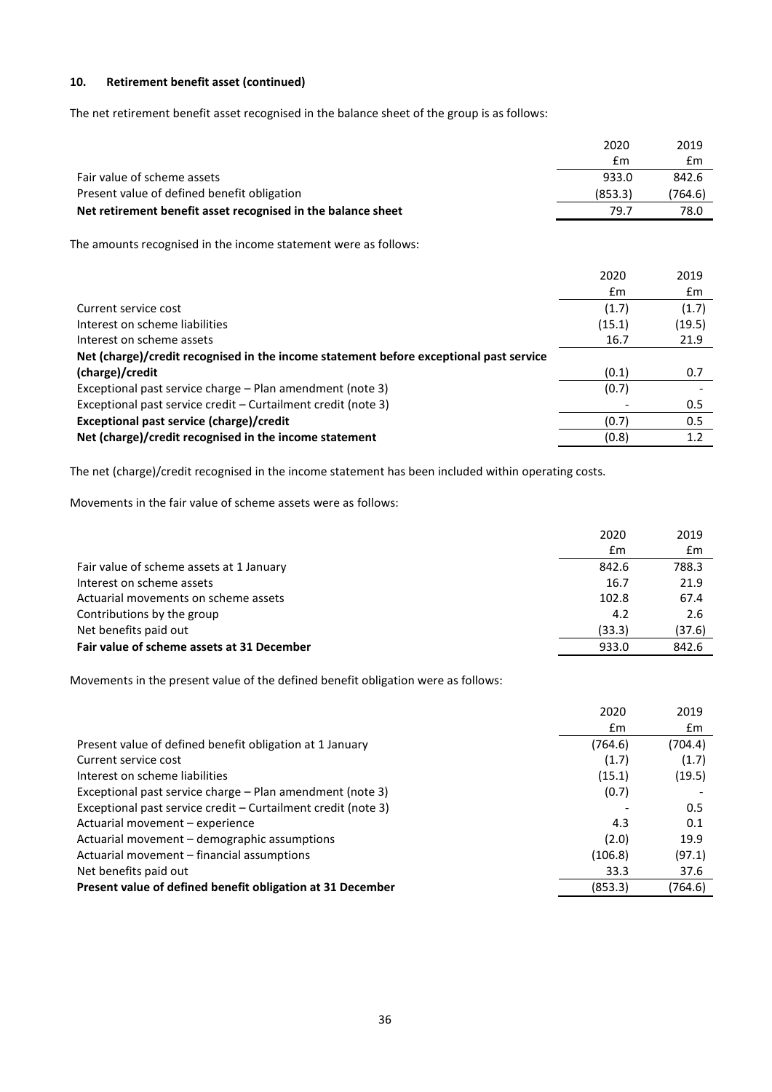# **10. Retirement benefit asset (continued)**

The net retirement benefit asset recognised in the balance sheet of the group is as follows:

|                                                                                        | 2020    | 2019    |
|----------------------------------------------------------------------------------------|---------|---------|
|                                                                                        | £m      | £m      |
| Fair value of scheme assets                                                            | 933.0   | 842.6   |
| Present value of defined benefit obligation                                            | (853.3) | (764.6) |
| Net retirement benefit asset recognised in the balance sheet                           | 79.7    | 78.0    |
| The amounts recognised in the income statement were as follows:                        |         |         |
|                                                                                        | 2020    | 2019    |
|                                                                                        | £m      | £m      |
| Current service cost                                                                   | (1.7)   | (1.7)   |
| Interest on scheme liabilities                                                         | (15.1)  | (19.5)  |
| Interest on scheme assets                                                              | 16.7    | 21.9    |
| Net (charge)/credit recognised in the income statement before exceptional past service |         |         |
| (charge)/credit                                                                        | (0.1)   | 0.7     |
| Exceptional past service charge - Plan amendment (note 3)                              | (0.7)   |         |
| Exceptional past service credit – Curtailment credit (note 3)                          |         | 0.5     |
| Exceptional past service (charge)/credit                                               | (0.7)   | 0.5     |
| Net (charge)/credit recognised in the income statement                                 | (0.8)   | 1.2     |

The net (charge)/credit recognised in the income statement has been included within operating costs.

Movements in the fair value of scheme assets were as follows:

|                                            | 2020   | 2019   |
|--------------------------------------------|--------|--------|
|                                            | £m     | £m     |
| Fair value of scheme assets at 1 January   | 842.6  | 788.3  |
| Interest on scheme assets                  | 16.7   | 21.9   |
| Actuarial movements on scheme assets       | 102.8  | 67.4   |
| Contributions by the group                 | 4.2    | 2.6    |
| Net benefits paid out                      | (33.3) | (37.6) |
| Fair value of scheme assets at 31 December | 933.0  | 842.6  |
|                                            |        |        |

Movements in the present value of the defined benefit obligation were as follows:

|                                                               | 2020    | 2019    |
|---------------------------------------------------------------|---------|---------|
|                                                               | £m      | £m      |
| Present value of defined benefit obligation at 1 January      | (764.6) | (704.4) |
| Current service cost                                          | (1.7)   | (1.7)   |
| Interest on scheme liabilities                                | (15.1)  | (19.5)  |
| Exceptional past service charge – Plan amendment (note 3)     | (0.7)   |         |
| Exceptional past service credit - Curtailment credit (note 3) |         | 0.5     |
| Actuarial movement - experience                               | 4.3     | 0.1     |
| Actuarial movement - demographic assumptions                  | (2.0)   | 19.9    |
| Actuarial movement - financial assumptions                    | (106.8) | (97.1)  |
| Net benefits paid out                                         | 33.3    | 37.6    |
| Present value of defined benefit obligation at 31 December    | (853.3) | (764.6) |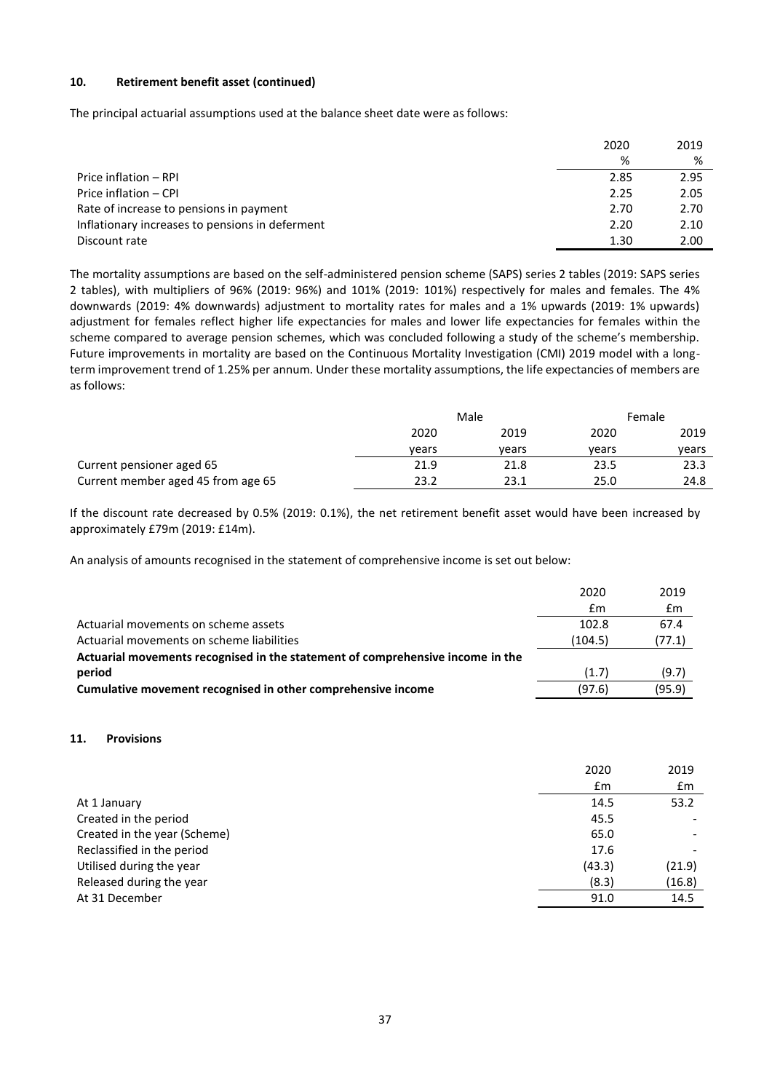# **10. Retirement benefit asset (continued)**

The principal actuarial assumptions used at the balance sheet date were as follows:

|                                                 | 2020 | 2019 |
|-------------------------------------------------|------|------|
|                                                 | %    | %    |
| Price inflation – RPI                           | 2.85 | 2.95 |
| Price inflation - CPI                           | 2.25 | 2.05 |
| Rate of increase to pensions in payment         | 2.70 | 2.70 |
| Inflationary increases to pensions in deferment | 2.20 | 2.10 |
| Discount rate                                   | 1.30 | 2.00 |

The mortality assumptions are based on the self-administered pension scheme (SAPS) series 2 tables (2019: SAPS series 2 tables), with multipliers of 96% (2019: 96%) and 101% (2019: 101%) respectively for males and females. The 4% downwards (2019: 4% downwards) adjustment to mortality rates for males and a 1% upwards (2019: 1% upwards) adjustment for females reflect higher life expectancies for males and lower life expectancies for females within the scheme compared to average pension schemes, which was concluded following a study of the scheme's membership. Future improvements in mortality are based on the Continuous Mortality Investigation (CMI) 2019 model with a longterm improvement trend of 1.25% per annum. Under these mortality assumptions, the life expectancies of members are as follows:

|                                    | Male  |       |       | Female |  |
|------------------------------------|-------|-------|-------|--------|--|
|                                    | 2020  | 2019  | 2020  | 2019   |  |
|                                    | vears | vears | vears | vears  |  |
| Current pensioner aged 65          | 21.9  | 21.8  | 23.5  | 23.3   |  |
| Current member aged 45 from age 65 | 23.2  | 23.1  | 25.0  | 24.8   |  |

If the discount rate decreased by 0.5% (2019: 0.1%), the net retirement benefit asset would have been increased by approximately £79m (2019: £14m).

An analysis of amounts recognised in the statement of comprehensive income is set out below:

|                                                                                | 2020    | 2019   |
|--------------------------------------------------------------------------------|---------|--------|
|                                                                                | £m      | £m     |
| Actuarial movements on scheme assets                                           | 102.8   | 67.4   |
| Actuarial movements on scheme liabilities                                      | (104.5) | (77.1) |
| Actuarial movements recognised in the statement of comprehensive income in the |         |        |
| period                                                                         | (1.7)   | (9.7)  |
| Cumulative movement recognised in other comprehensive income                   | (97.6)  | (95.9) |

#### **11. Provisions**

|                              | 2020   | 2019           |
|------------------------------|--------|----------------|
|                              | Em     | $\mathbf{f}$ m |
| At 1 January                 | 14.5   | 53.2           |
| Created in the period        | 45.5   |                |
| Created in the year (Scheme) | 65.0   |                |
| Reclassified in the period   | 17.6   |                |
| Utilised during the year     | (43.3) | (21.9)         |
| Released during the year     | (8.3)  | (16.8)         |
| At 31 December               | 91.0   | 14.5           |
|                              |        |                |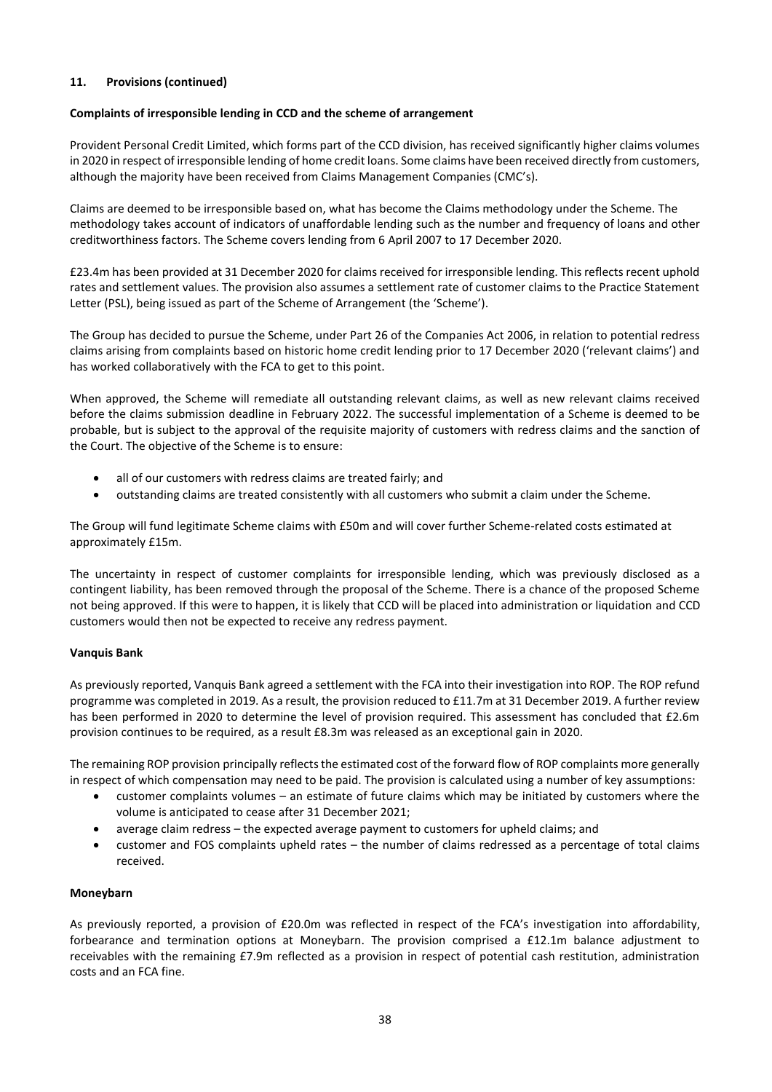# **11. Provisions (continued)**

## **Complaints of irresponsible lending in CCD and the scheme of arrangement**

Provident Personal Credit Limited, which forms part of the CCD division, has received significantly higher claims volumes in 2020 in respect of irresponsible lending of home credit loans. Some claims have been received directly from customers, although the majority have been received from Claims Management Companies (CMC's).

Claims are deemed to be irresponsible based on, what has become the Claims methodology under the Scheme. The methodology takes account of indicators of unaffordable lending such as the number and frequency of loans and other creditworthiness factors. The Scheme covers lending from 6 April 2007 to 17 December 2020.

£23.4m has been provided at 31 December 2020 for claims received for irresponsible lending. This reflects recent uphold rates and settlement values. The provision also assumes a settlement rate of customer claims to the Practice Statement Letter (PSL), being issued as part of the Scheme of Arrangement (the 'Scheme').

The Group has decided to pursue the Scheme, under Part 26 of the Companies Act 2006, in relation to potential redress claims arising from complaints based on historic home credit lending prior to 17 December 2020 ('relevant claims') and has worked collaboratively with the FCA to get to this point.

When approved, the Scheme will remediate all outstanding relevant claims, as well as new relevant claims received before the claims submission deadline in February 2022. The successful implementation of a Scheme is deemed to be probable, but is subject to the approval of the requisite majority of customers with redress claims and the sanction of the Court. The objective of the Scheme is to ensure:

- all of our customers with redress claims are treated fairly; and
- outstanding claims are treated consistently with all customers who submit a claim under the Scheme.

The Group will fund legitimate Scheme claims with £50m and will cover further Scheme-related costs estimated at approximately £15m.

The uncertainty in respect of customer complaints for irresponsible lending, which was previously disclosed as a contingent liability, has been removed through the proposal of the Scheme. There is a chance of the proposed Scheme not being approved. If this were to happen, it is likely that CCD will be placed into administration or liquidation and CCD customers would then not be expected to receive any redress payment.

## **Vanquis Bank**

As previously reported, Vanquis Bank agreed a settlement with the FCA into their investigation into ROP. The ROP refund programme was completed in 2019. As a result, the provision reduced to £11.7m at 31 December 2019. A further review has been performed in 2020 to determine the level of provision required. This assessment has concluded that £2.6m provision continues to be required, as a result £8.3m was released as an exceptional gain in 2020.

The remaining ROP provision principally reflects the estimated cost of the forward flow of ROP complaints more generally in respect of which compensation may need to be paid. The provision is calculated using a number of key assumptions:

- customer complaints volumes an estimate of future claims which may be initiated by customers where the volume is anticipated to cease after 31 December 2021;
- average claim redress the expected average payment to customers for upheld claims; and
- customer and FOS complaints upheld rates the number of claims redressed as a percentage of total claims received.

## **Moneybarn**

As previously reported, a provision of £20.0m was reflected in respect of the FCA's investigation into affordability, forbearance and termination options at Moneybarn. The provision comprised a £12.1m balance adjustment to receivables with the remaining £7.9m reflected as a provision in respect of potential cash restitution, administration costs and an FCA fine.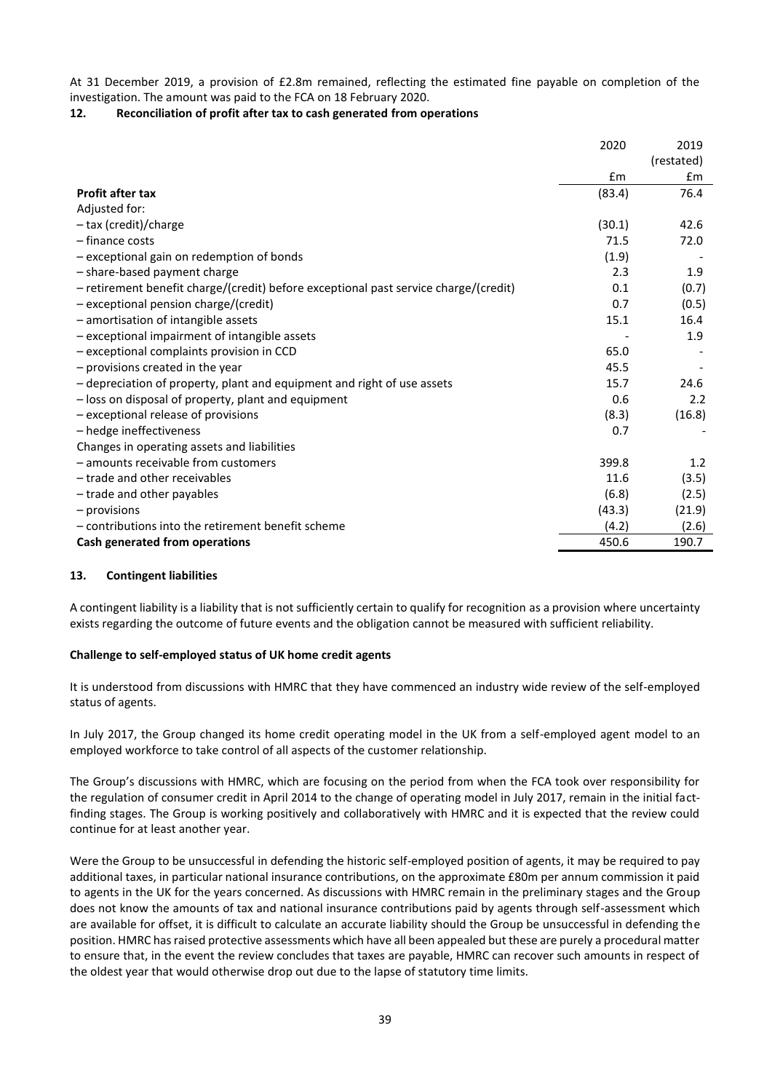At 31 December 2019, a provision of £2.8m remained, reflecting the estimated fine payable on completion of the investigation. The amount was paid to the FCA on 18 February 2020.

# **12. Reconciliation of profit after tax to cash generated from operations**

|                                                                                      | 2020   | 2019          |
|--------------------------------------------------------------------------------------|--------|---------------|
|                                                                                      |        | (restated)    |
|                                                                                      | £m     | $\mathsf{fm}$ |
| <b>Profit after tax</b>                                                              | (83.4) | 76.4          |
| Adjusted for:                                                                        |        |               |
| - tax (credit)/charge                                                                | (30.1) | 42.6          |
| - finance costs                                                                      | 71.5   | 72.0          |
| - exceptional gain on redemption of bonds                                            | (1.9)  |               |
| - share-based payment charge                                                         | 2.3    | 1.9           |
| - retirement benefit charge/(credit) before exceptional past service charge/(credit) | 0.1    | (0.7)         |
| - exceptional pension charge/(credit)                                                | 0.7    | (0.5)         |
| - amortisation of intangible assets                                                  | 15.1   | 16.4          |
| - exceptional impairment of intangible assets                                        |        | 1.9           |
| - exceptional complaints provision in CCD                                            | 65.0   |               |
| - provisions created in the year                                                     | 45.5   |               |
| - depreciation of property, plant and equipment and right of use assets              | 15.7   | 24.6          |
| - loss on disposal of property, plant and equipment                                  | 0.6    | 2.2           |
| - exceptional release of provisions                                                  | (8.3)  | (16.8)        |
| - hedge ineffectiveness                                                              | 0.7    |               |
| Changes in operating assets and liabilities                                          |        |               |
| - amounts receivable from customers                                                  | 399.8  | 1.2           |
| - trade and other receivables                                                        | 11.6   | (3.5)         |
| - trade and other payables                                                           | (6.8)  | (2.5)         |
| $-$ provisions                                                                       | (43.3) | (21.9)        |
| - contributions into the retirement benefit scheme                                   | (4.2)  | (2.6)         |
| Cash generated from operations                                                       | 450.6  | 190.7         |

## **13. Contingent liabilities**

A contingent liability is a liability that is not sufficiently certain to qualify for recognition as a provision where uncertainty exists regarding the outcome of future events and the obligation cannot be measured with sufficient reliability.

## **Challenge to self-employed status of UK home credit agents**

It is understood from discussions with HMRC that they have commenced an industry wide review of the self-employed status of agents.

In July 2017, the Group changed its home credit operating model in the UK from a self-employed agent model to an employed workforce to take control of all aspects of the customer relationship.

The Group's discussions with HMRC, which are focusing on the period from when the FCA took over responsibility for the regulation of consumer credit in April 2014 to the change of operating model in July 2017, remain in the initial factfinding stages. The Group is working positively and collaboratively with HMRC and it is expected that the review could continue for at least another year.

Were the Group to be unsuccessful in defending the historic self-employed position of agents, it may be required to pay additional taxes, in particular national insurance contributions, on the approximate £80m per annum commission it paid to agents in the UK for the years concerned. As discussions with HMRC remain in the preliminary stages and the Group does not know the amounts of tax and national insurance contributions paid by agents through self-assessment which are available for offset, it is difficult to calculate an accurate liability should the Group be unsuccessful in defending the position. HMRC has raised protective assessments which have all been appealed but these are purely a procedural matter to ensure that, in the event the review concludes that taxes are payable, HMRC can recover such amounts in respect of the oldest year that would otherwise drop out due to the lapse of statutory time limits.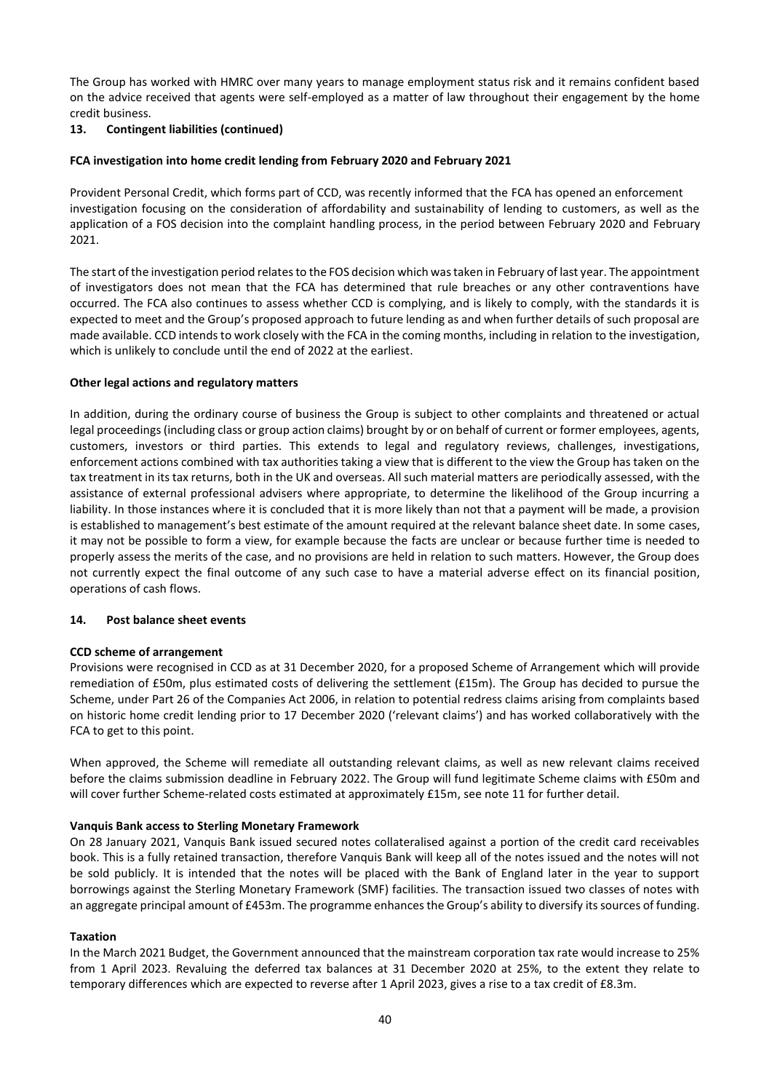The Group has worked with HMRC over many years to manage employment status risk and it remains confident based on the advice received that agents were self-employed as a matter of law throughout their engagement by the home credit business.

# **13. Contingent liabilities (continued)**

#### **FCA investigation into home credit lending from February 2020 and February 2021**

Provident Personal Credit, which forms part of CCD, was recently informed that the FCA has opened an enforcement investigation focusing on the consideration of affordability and sustainability of lending to customers, as well as the application of a FOS decision into the complaint handling process, in the period between February 2020 and February 2021.

The start of the investigation period relates to the FOS decision which was taken in February of last year. The appointment of investigators does not mean that the FCA has determined that rule breaches or any other contraventions have occurred. The FCA also continues to assess whether CCD is complying, and is likely to comply, with the standards it is expected to meet and the Group's proposed approach to future lending as and when further details of such proposal are made available. CCD intends to work closely with the FCA in the coming months, including in relation to the investigation, which is unlikely to conclude until the end of 2022 at the earliest.

#### **Other legal actions and regulatory matters**

In addition, during the ordinary course of business the Group is subject to other complaints and threatened or actual legal proceedings (including class or group action claims) brought by or on behalf of current or former employees, agents, customers, investors or third parties. This extends to legal and regulatory reviews, challenges, investigations, enforcement actions combined with tax authorities taking a view that is different to the view the Group has taken on the tax treatment in its tax returns, both in the UK and overseas. All such material matters are periodically assessed, with the assistance of external professional advisers where appropriate, to determine the likelihood of the Group incurring a liability. In those instances where it is concluded that it is more likely than not that a payment will be made, a provision is established to management's best estimate of the amount required at the relevant balance sheet date. In some cases, it may not be possible to form a view, for example because the facts are unclear or because further time is needed to properly assess the merits of the case, and no provisions are held in relation to such matters. However, the Group does not currently expect the final outcome of any such case to have a material adverse effect on its financial position, operations of cash flows.

## **14. Post balance sheet events**

## **CCD scheme of arrangement**

Provisions were recognised in CCD as at 31 December 2020, for a proposed Scheme of Arrangement which will provide remediation of £50m, plus estimated costs of delivering the settlement (£15m). The Group has decided to pursue the Scheme, under Part 26 of the Companies Act 2006, in relation to potential redress claims arising from complaints based on historic home credit lending prior to 17 December 2020 ('relevant claims') and has worked collaboratively with the FCA to get to this point.

When approved, the Scheme will remediate all outstanding relevant claims, as well as new relevant claims received before the claims submission deadline in February 2022. The Group will fund legitimate Scheme claims with £50m and will cover further Scheme-related costs estimated at approximately £15m, see note 11 for further detail.

#### **Vanquis Bank access to Sterling Monetary Framework**

On 28 January 2021, Vanquis Bank issued secured notes collateralised against a portion of the credit card receivables book. This is a fully retained transaction, therefore Vanquis Bank will keep all of the notes issued and the notes will not be sold publicly. It is intended that the notes will be placed with the Bank of England later in the year to support borrowings against the Sterling Monetary Framework (SMF) facilities. The transaction issued two classes of notes with an aggregate principal amount of £453m. The programme enhances the Group's ability to diversify its sources of funding.

#### **Taxation**

In the March 2021 Budget, the Government announced that the mainstream corporation tax rate would increase to 25% from 1 April 2023. Revaluing the deferred tax balances at 31 December 2020 at 25%, to the extent they relate to temporary differences which are expected to reverse after 1 April 2023, gives a rise to a tax credit of £8.3m.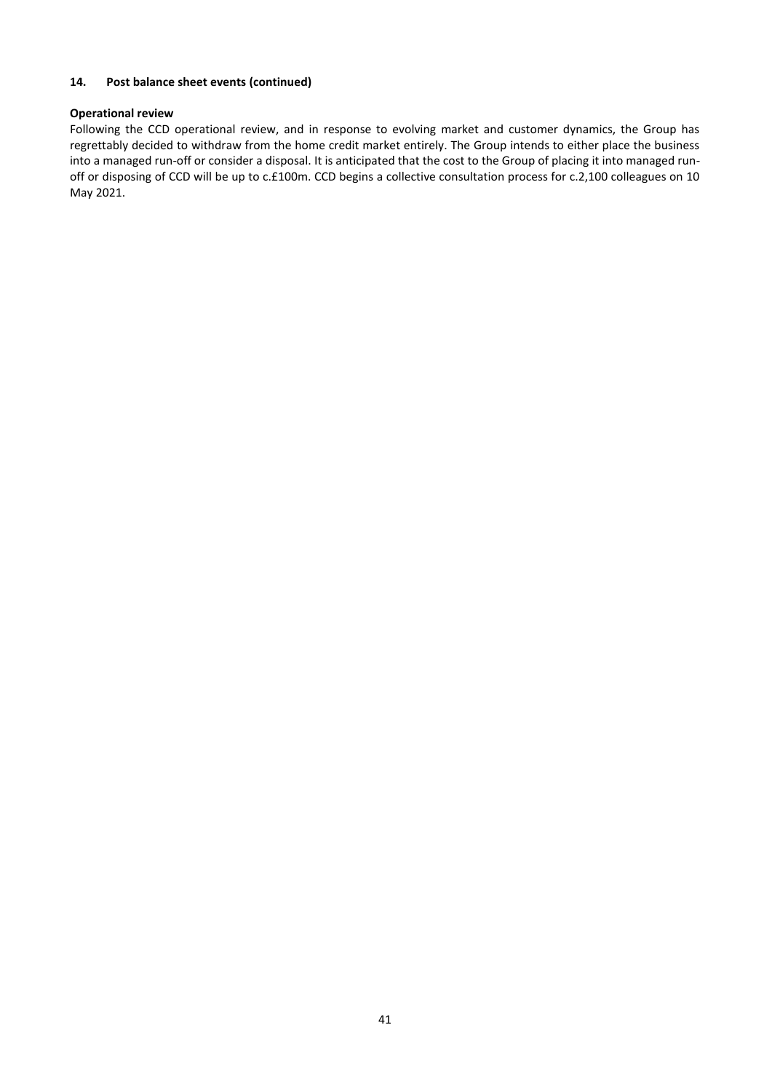# **14. Post balance sheet events (continued)**

## **Operational review**

Following the CCD operational review, and in response to evolving market and customer dynamics, the Group has regrettably decided to withdraw from the home credit market entirely. The Group intends to either place the business into a managed run-off or consider a disposal. It is anticipated that the cost to the Group of placing it into managed runoff or disposing of CCD will be up to c.£100m. CCD begins a collective consultation process for c.2,100 colleagues on 10 May 2021.